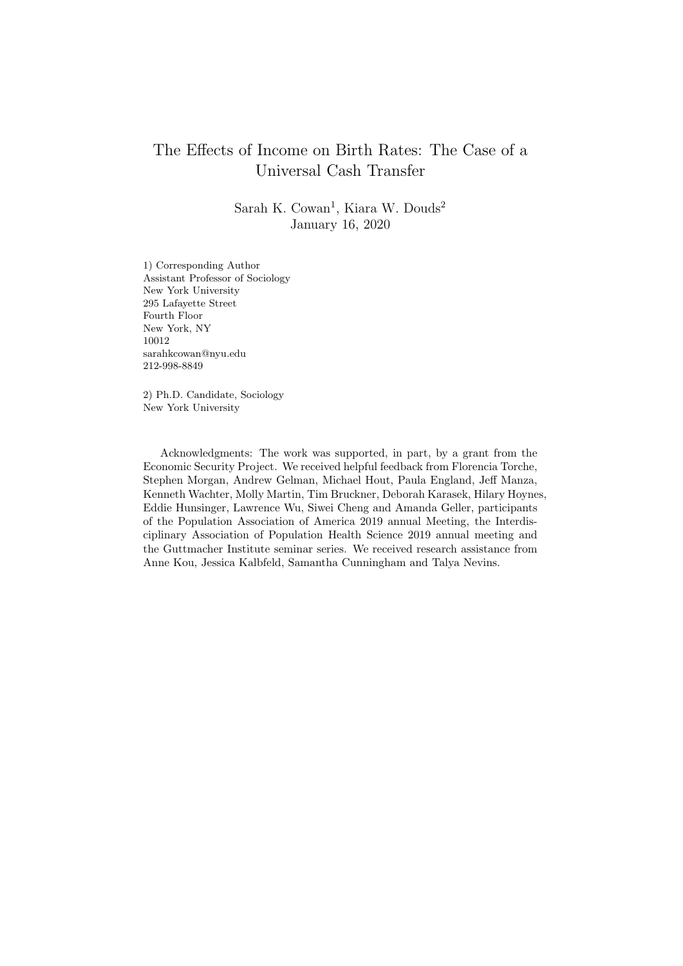# The Effects of Income on Birth Rates: The Case of a Universal Cash Transfer

Sarah K. Cowan<sup>1</sup>, Kiara W. Douds<sup>2</sup> January 16, 2020

1) Corresponding Author Assistant Professor of Sociology New York University 295 Lafayette Street Fourth Floor New York, NY 10012 sarahkcowan@nyu.edu 212-998-8849

2) Ph.D. Candidate, Sociology New York University

Acknowledgments: The work was supported, in part, by a grant from the Economic Security Project. We received helpful feedback from Florencia Torche, Stephen Morgan, Andrew Gelman, Michael Hout, Paula England, Jeff Manza, Kenneth Wachter, Molly Martin, Tim Bruckner, Deborah Karasek, Hilary Hoynes, Eddie Hunsinger, Lawrence Wu, Siwei Cheng and Amanda Geller, participants of the Population Association of America 2019 annual Meeting, the Interdisciplinary Association of Population Health Science 2019 annual meeting and the Guttmacher Institute seminar series. We received research assistance from Anne Kou, Jessica Kalbfeld, Samantha Cunningham and Talya Nevins.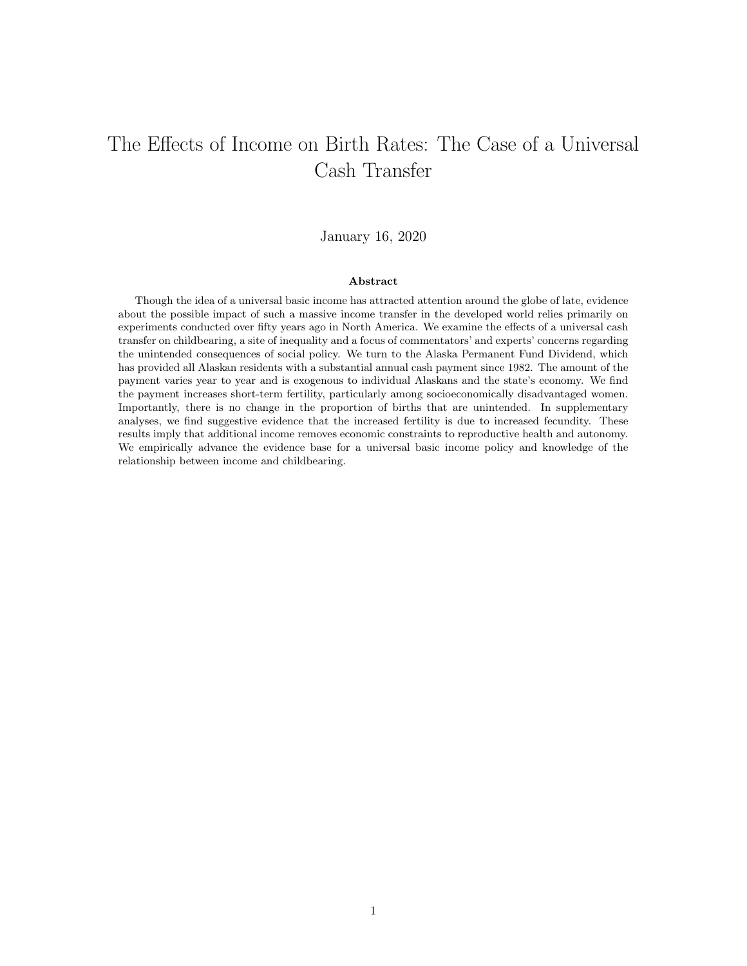# The Effects of Income on Birth Rates: The Case of a Universal Cash Transfer

# January 16, 2020

## Abstract

Though the idea of a universal basic income has attracted attention around the globe of late, evidence about the possible impact of such a massive income transfer in the developed world relies primarily on experiments conducted over fifty years ago in North America. We examine the effects of a universal cash transfer on childbearing, a site of inequality and a focus of commentators' and experts' concerns regarding the unintended consequences of social policy. We turn to the Alaska Permanent Fund Dividend, which has provided all Alaskan residents with a substantial annual cash payment since 1982. The amount of the payment varies year to year and is exogenous to individual Alaskans and the state's economy. We find the payment increases short-term fertility, particularly among socioeconomically disadvantaged women. Importantly, there is no change in the proportion of births that are unintended. In supplementary analyses, we find suggestive evidence that the increased fertility is due to increased fecundity. These results imply that additional income removes economic constraints to reproductive health and autonomy. We empirically advance the evidence base for a universal basic income policy and knowledge of the relationship between income and childbearing.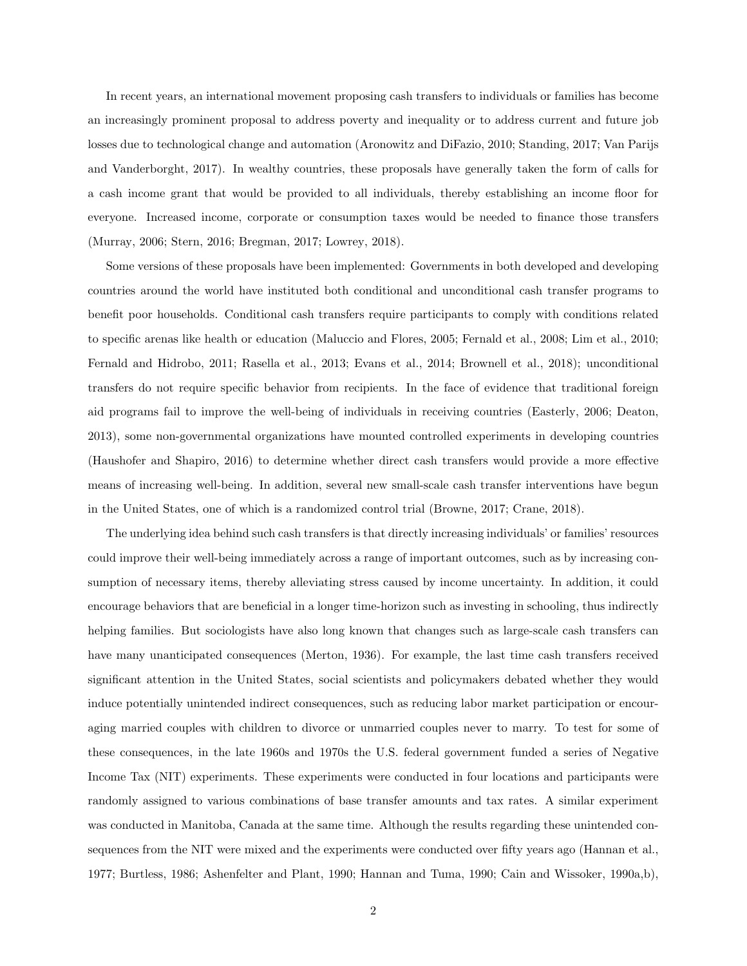In recent years, an international movement proposing cash transfers to individuals or families has become an increasingly prominent proposal to address poverty and inequality or to address current and future job losses due to technological change and automation (Aronowitz and DiFazio, 2010; Standing, 2017; Van Parijs and Vanderborght, 2017). In wealthy countries, these proposals have generally taken the form of calls for a cash income grant that would be provided to all individuals, thereby establishing an income floor for everyone. Increased income, corporate or consumption taxes would be needed to finance those transfers (Murray, 2006; Stern, 2016; Bregman, 2017; Lowrey, 2018).

Some versions of these proposals have been implemented: Governments in both developed and developing countries around the world have instituted both conditional and unconditional cash transfer programs to benefit poor households. Conditional cash transfers require participants to comply with conditions related to specific arenas like health or education (Maluccio and Flores, 2005; Fernald et al., 2008; Lim et al., 2010; Fernald and Hidrobo, 2011; Rasella et al., 2013; Evans et al., 2014; Brownell et al., 2018); unconditional transfers do not require specific behavior from recipients. In the face of evidence that traditional foreign aid programs fail to improve the well-being of individuals in receiving countries (Easterly, 2006; Deaton, 2013), some non-governmental organizations have mounted controlled experiments in developing countries (Haushofer and Shapiro, 2016) to determine whether direct cash transfers would provide a more effective means of increasing well-being. In addition, several new small-scale cash transfer interventions have begun in the United States, one of which is a randomized control trial (Browne, 2017; Crane, 2018).

The underlying idea behind such cash transfers is that directly increasing individuals' or families' resources could improve their well-being immediately across a range of important outcomes, such as by increasing consumption of necessary items, thereby alleviating stress caused by income uncertainty. In addition, it could encourage behaviors that are beneficial in a longer time-horizon such as investing in schooling, thus indirectly helping families. But sociologists have also long known that changes such as large-scale cash transfers can have many unanticipated consequences (Merton, 1936). For example, the last time cash transfers received significant attention in the United States, social scientists and policymakers debated whether they would induce potentially unintended indirect consequences, such as reducing labor market participation or encouraging married couples with children to divorce or unmarried couples never to marry. To test for some of these consequences, in the late 1960s and 1970s the U.S. federal government funded a series of Negative Income Tax (NIT) experiments. These experiments were conducted in four locations and participants were randomly assigned to various combinations of base transfer amounts and tax rates. A similar experiment was conducted in Manitoba, Canada at the same time. Although the results regarding these unintended consequences from the NIT were mixed and the experiments were conducted over fifty years ago (Hannan et al., 1977; Burtless, 1986; Ashenfelter and Plant, 1990; Hannan and Tuma, 1990; Cain and Wissoker, 1990a,b),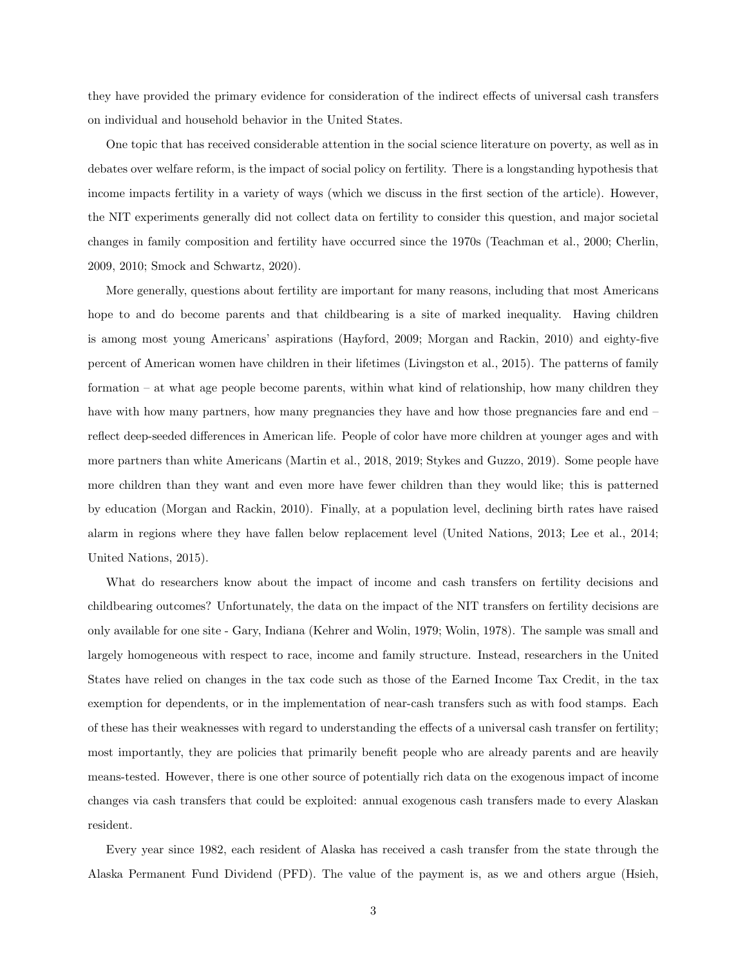they have provided the primary evidence for consideration of the indirect effects of universal cash transfers on individual and household behavior in the United States.

One topic that has received considerable attention in the social science literature on poverty, as well as in debates over welfare reform, is the impact of social policy on fertility. There is a longstanding hypothesis that income impacts fertility in a variety of ways (which we discuss in the first section of the article). However, the NIT experiments generally did not collect data on fertility to consider this question, and major societal changes in family composition and fertility have occurred since the 1970s (Teachman et al., 2000; Cherlin, 2009, 2010; Smock and Schwartz, 2020).

More generally, questions about fertility are important for many reasons, including that most Americans hope to and do become parents and that childbearing is a site of marked inequality. Having children is among most young Americans' aspirations (Hayford, 2009; Morgan and Rackin, 2010) and eighty-five percent of American women have children in their lifetimes (Livingston et al., 2015). The patterns of family formation – at what age people become parents, within what kind of relationship, how many children they have with how many partners, how many pregnancies they have and how those pregnancies fare and end – reflect deep-seeded differences in American life. People of color have more children at younger ages and with more partners than white Americans (Martin et al., 2018, 2019; Stykes and Guzzo, 2019). Some people have more children than they want and even more have fewer children than they would like; this is patterned by education (Morgan and Rackin, 2010). Finally, at a population level, declining birth rates have raised alarm in regions where they have fallen below replacement level (United Nations, 2013; Lee et al., 2014; United Nations, 2015).

What do researchers know about the impact of income and cash transfers on fertility decisions and childbearing outcomes? Unfortunately, the data on the impact of the NIT transfers on fertility decisions are only available for one site - Gary, Indiana (Kehrer and Wolin, 1979; Wolin, 1978). The sample was small and largely homogeneous with respect to race, income and family structure. Instead, researchers in the United States have relied on changes in the tax code such as those of the Earned Income Tax Credit, in the tax exemption for dependents, or in the implementation of near-cash transfers such as with food stamps. Each of these has their weaknesses with regard to understanding the effects of a universal cash transfer on fertility; most importantly, they are policies that primarily benefit people who are already parents and are heavily means-tested. However, there is one other source of potentially rich data on the exogenous impact of income changes via cash transfers that could be exploited: annual exogenous cash transfers made to every Alaskan resident.

Every year since 1982, each resident of Alaska has received a cash transfer from the state through the Alaska Permanent Fund Dividend (PFD). The value of the payment is, as we and others argue (Hsieh,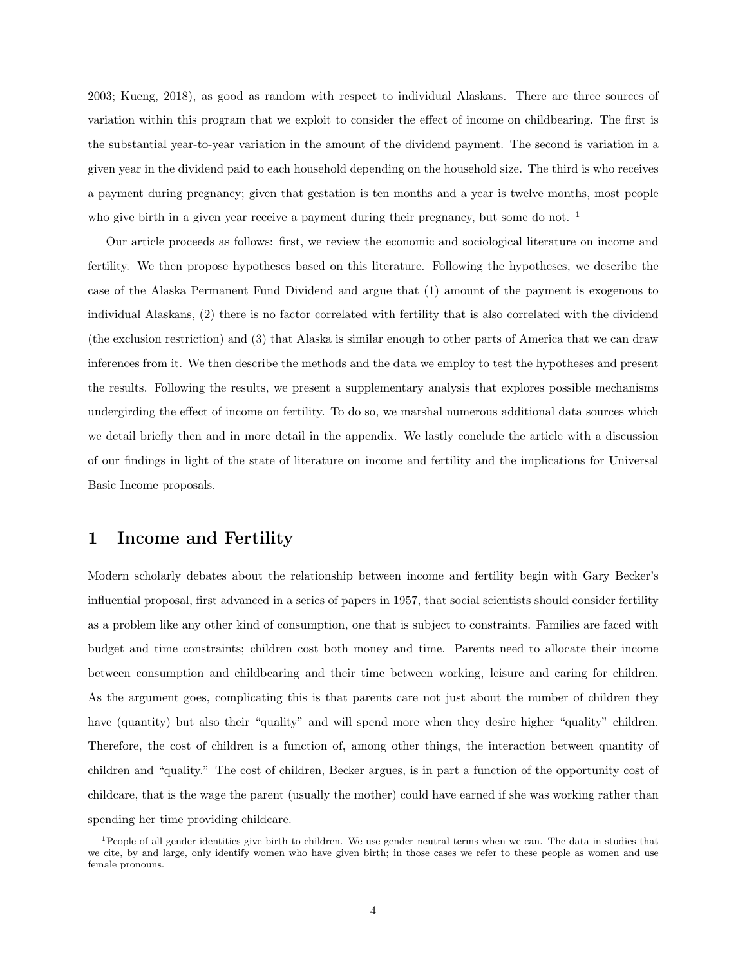2003; Kueng, 2018), as good as random with respect to individual Alaskans. There are three sources of variation within this program that we exploit to consider the effect of income on childbearing. The first is the substantial year-to-year variation in the amount of the dividend payment. The second is variation in a given year in the dividend paid to each household depending on the household size. The third is who receives a payment during pregnancy; given that gestation is ten months and a year is twelve months, most people who give birth in a given year receive a payment during their pregnancy, but some do not.  $1$ 

Our article proceeds as follows: first, we review the economic and sociological literature on income and fertility. We then propose hypotheses based on this literature. Following the hypotheses, we describe the case of the Alaska Permanent Fund Dividend and argue that (1) amount of the payment is exogenous to individual Alaskans, (2) there is no factor correlated with fertility that is also correlated with the dividend (the exclusion restriction) and (3) that Alaska is similar enough to other parts of America that we can draw inferences from it. We then describe the methods and the data we employ to test the hypotheses and present the results. Following the results, we present a supplementary analysis that explores possible mechanisms undergirding the effect of income on fertility. To do so, we marshal numerous additional data sources which we detail briefly then and in more detail in the appendix. We lastly conclude the article with a discussion of our findings in light of the state of literature on income and fertility and the implications for Universal Basic Income proposals.

## 1 Income and Fertility

Modern scholarly debates about the relationship between income and fertility begin with Gary Becker's influential proposal, first advanced in a series of papers in 1957, that social scientists should consider fertility as a problem like any other kind of consumption, one that is subject to constraints. Families are faced with budget and time constraints; children cost both money and time. Parents need to allocate their income between consumption and childbearing and their time between working, leisure and caring for children. As the argument goes, complicating this is that parents care not just about the number of children they have (quantity) but also their "quality" and will spend more when they desire higher "quality" children. Therefore, the cost of children is a function of, among other things, the interaction between quantity of children and "quality." The cost of children, Becker argues, is in part a function of the opportunity cost of childcare, that is the wage the parent (usually the mother) could have earned if she was working rather than spending her time providing childcare.

<sup>1</sup>People of all gender identities give birth to children. We use gender neutral terms when we can. The data in studies that we cite, by and large, only identify women who have given birth; in those cases we refer to these people as women and use female pronouns.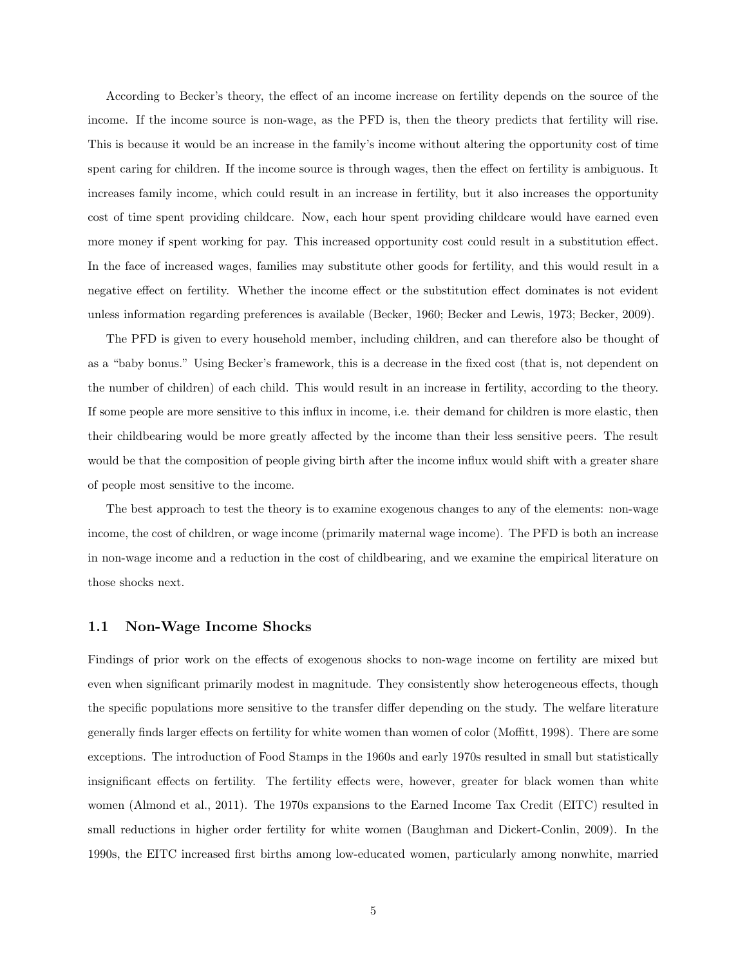According to Becker's theory, the effect of an income increase on fertility depends on the source of the income. If the income source is non-wage, as the PFD is, then the theory predicts that fertility will rise. This is because it would be an increase in the family's income without altering the opportunity cost of time spent caring for children. If the income source is through wages, then the effect on fertility is ambiguous. It increases family income, which could result in an increase in fertility, but it also increases the opportunity cost of time spent providing childcare. Now, each hour spent providing childcare would have earned even more money if spent working for pay. This increased opportunity cost could result in a substitution effect. In the face of increased wages, families may substitute other goods for fertility, and this would result in a negative effect on fertility. Whether the income effect or the substitution effect dominates is not evident unless information regarding preferences is available (Becker, 1960; Becker and Lewis, 1973; Becker, 2009).

The PFD is given to every household member, including children, and can therefore also be thought of as a "baby bonus." Using Becker's framework, this is a decrease in the fixed cost (that is, not dependent on the number of children) of each child. This would result in an increase in fertility, according to the theory. If some people are more sensitive to this influx in income, i.e. their demand for children is more elastic, then their childbearing would be more greatly affected by the income than their less sensitive peers. The result would be that the composition of people giving birth after the income influx would shift with a greater share of people most sensitive to the income.

The best approach to test the theory is to examine exogenous changes to any of the elements: non-wage income, the cost of children, or wage income (primarily maternal wage income). The PFD is both an increase in non-wage income and a reduction in the cost of childbearing, and we examine the empirical literature on those shocks next.

### 1.1 Non-Wage Income Shocks

Findings of prior work on the effects of exogenous shocks to non-wage income on fertility are mixed but even when significant primarily modest in magnitude. They consistently show heterogeneous effects, though the specific populations more sensitive to the transfer differ depending on the study. The welfare literature generally finds larger effects on fertility for white women than women of color (Moffitt, 1998). There are some exceptions. The introduction of Food Stamps in the 1960s and early 1970s resulted in small but statistically insignificant effects on fertility. The fertility effects were, however, greater for black women than white women (Almond et al., 2011). The 1970s expansions to the Earned Income Tax Credit (EITC) resulted in small reductions in higher order fertility for white women (Baughman and Dickert-Conlin, 2009). In the 1990s, the EITC increased first births among low-educated women, particularly among nonwhite, married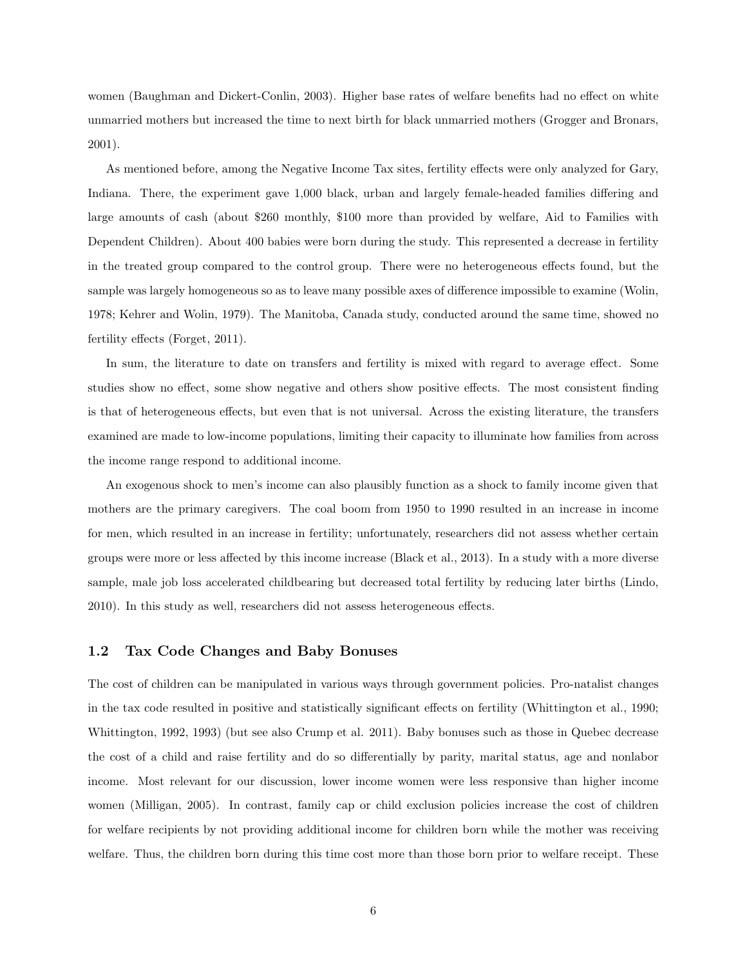women (Baughman and Dickert-Conlin, 2003). Higher base rates of welfare benefits had no effect on white unmarried mothers but increased the time to next birth for black unmarried mothers (Grogger and Bronars, 2001).

As mentioned before, among the Negative Income Tax sites, fertility effects were only analyzed for Gary, Indiana. There, the experiment gave 1,000 black, urban and largely female-headed families differing and large amounts of cash (about \$260 monthly, \$100 more than provided by welfare, Aid to Families with Dependent Children). About 400 babies were born during the study. This represented a decrease in fertility in the treated group compared to the control group. There were no heterogeneous effects found, but the sample was largely homogeneous so as to leave many possible axes of difference impossible to examine (Wolin, 1978; Kehrer and Wolin, 1979). The Manitoba, Canada study, conducted around the same time, showed no fertility effects (Forget, 2011).

In sum, the literature to date on transfers and fertility is mixed with regard to average effect. Some studies show no effect, some show negative and others show positive effects. The most consistent finding is that of heterogeneous effects, but even that is not universal. Across the existing literature, the transfers examined are made to low-income populations, limiting their capacity to illuminate how families from across the income range respond to additional income.

An exogenous shock to men's income can also plausibly function as a shock to family income given that mothers are the primary caregivers. The coal boom from 1950 to 1990 resulted in an increase in income for men, which resulted in an increase in fertility; unfortunately, researchers did not assess whether certain groups were more or less affected by this income increase (Black et al., 2013). In a study with a more diverse sample, male job loss accelerated childbearing but decreased total fertility by reducing later births (Lindo, 2010). In this study as well, researchers did not assess heterogeneous effects.

## 1.2 Tax Code Changes and Baby Bonuses

The cost of children can be manipulated in various ways through government policies. Pro-natalist changes in the tax code resulted in positive and statistically significant effects on fertility (Whittington et al., 1990; Whittington, 1992, 1993) (but see also Crump et al. 2011). Baby bonuses such as those in Quebec decrease the cost of a child and raise fertility and do so differentially by parity, marital status, age and nonlabor income. Most relevant for our discussion, lower income women were less responsive than higher income women (Milligan, 2005). In contrast, family cap or child exclusion policies increase the cost of children for welfare recipients by not providing additional income for children born while the mother was receiving welfare. Thus, the children born during this time cost more than those born prior to welfare receipt. These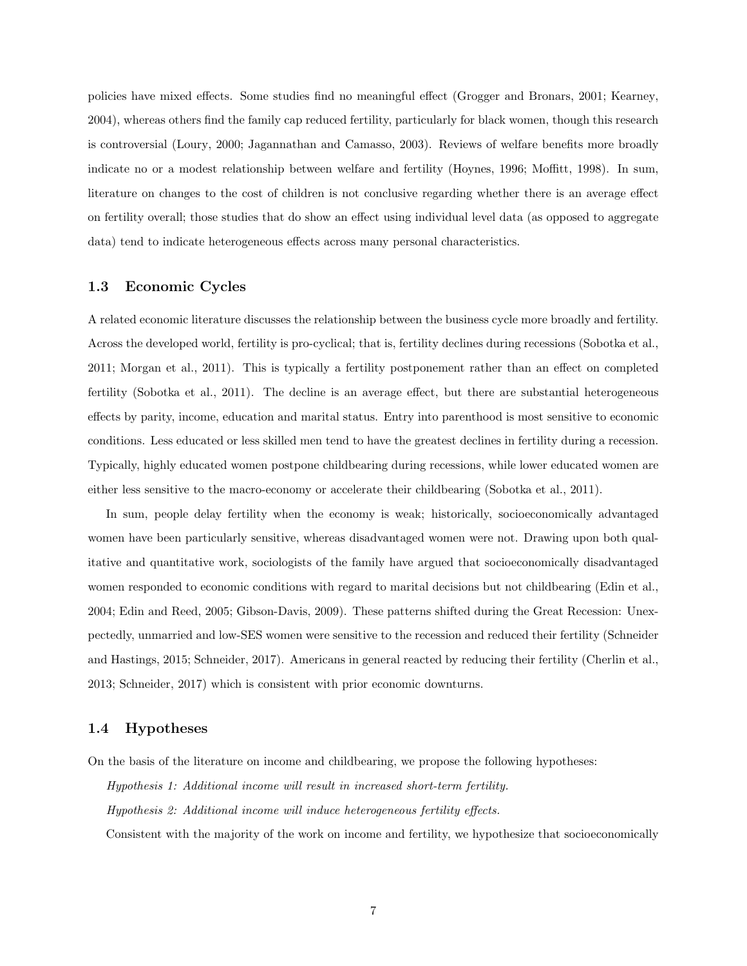policies have mixed effects. Some studies find no meaningful effect (Grogger and Bronars, 2001; Kearney, 2004), whereas others find the family cap reduced fertility, particularly for black women, though this research is controversial (Loury, 2000; Jagannathan and Camasso, 2003). Reviews of welfare benefits more broadly indicate no or a modest relationship between welfare and fertility (Hoynes, 1996; Moffitt, 1998). In sum, literature on changes to the cost of children is not conclusive regarding whether there is an average effect on fertility overall; those studies that do show an effect using individual level data (as opposed to aggregate data) tend to indicate heterogeneous effects across many personal characteristics.

#### 1.3 Economic Cycles

A related economic literature discusses the relationship between the business cycle more broadly and fertility. Across the developed world, fertility is pro-cyclical; that is, fertility declines during recessions (Sobotka et al., 2011; Morgan et al., 2011). This is typically a fertility postponement rather than an effect on completed fertility (Sobotka et al., 2011). The decline is an average effect, but there are substantial heterogeneous effects by parity, income, education and marital status. Entry into parenthood is most sensitive to economic conditions. Less educated or less skilled men tend to have the greatest declines in fertility during a recession. Typically, highly educated women postpone childbearing during recessions, while lower educated women are either less sensitive to the macro-economy or accelerate their childbearing (Sobotka et al., 2011).

In sum, people delay fertility when the economy is weak; historically, socioeconomically advantaged women have been particularly sensitive, whereas disadvantaged women were not. Drawing upon both qualitative and quantitative work, sociologists of the family have argued that socioeconomically disadvantaged women responded to economic conditions with regard to marital decisions but not childbearing (Edin et al., 2004; Edin and Reed, 2005; Gibson-Davis, 2009). These patterns shifted during the Great Recession: Unexpectedly, unmarried and low-SES women were sensitive to the recession and reduced their fertility (Schneider and Hastings, 2015; Schneider, 2017). Americans in general reacted by reducing their fertility (Cherlin et al., 2013; Schneider, 2017) which is consistent with prior economic downturns.

## 1.4 Hypotheses

On the basis of the literature on income and childbearing, we propose the following hypotheses:

Hypothesis 1: Additional income will result in increased short-term fertility. Hypothesis 2: Additional income will induce heterogeneous fertility effects.

Consistent with the majority of the work on income and fertility, we hypothesize that socioeconomically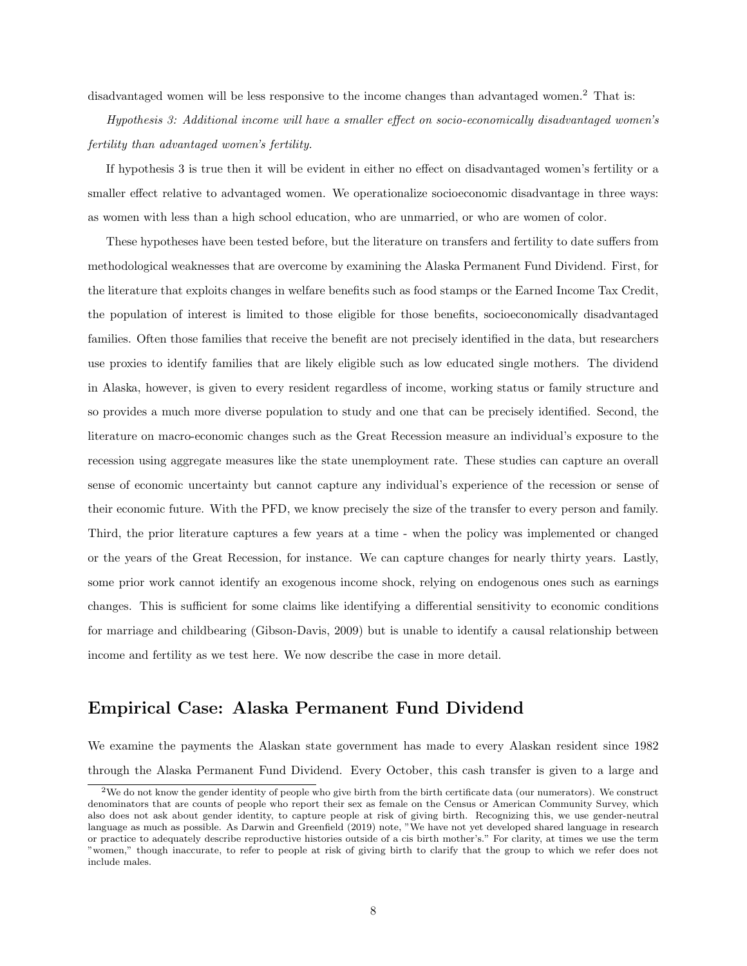disadvantaged women will be less responsive to the income changes than advantaged women.<sup>2</sup> That is:

Hypothesis 3: Additional income will have a smaller effect on socio-economically disadvantaged women's fertility than advantaged women's fertility.

If hypothesis 3 is true then it will be evident in either no effect on disadvantaged women's fertility or a smaller effect relative to advantaged women. We operationalize socioeconomic disadvantage in three ways: as women with less than a high school education, who are unmarried, or who are women of color.

These hypotheses have been tested before, but the literature on transfers and fertility to date suffers from methodological weaknesses that are overcome by examining the Alaska Permanent Fund Dividend. First, for the literature that exploits changes in welfare benefits such as food stamps or the Earned Income Tax Credit, the population of interest is limited to those eligible for those benefits, socioeconomically disadvantaged families. Often those families that receive the benefit are not precisely identified in the data, but researchers use proxies to identify families that are likely eligible such as low educated single mothers. The dividend in Alaska, however, is given to every resident regardless of income, working status or family structure and so provides a much more diverse population to study and one that can be precisely identified. Second, the literature on macro-economic changes such as the Great Recession measure an individual's exposure to the recession using aggregate measures like the state unemployment rate. These studies can capture an overall sense of economic uncertainty but cannot capture any individual's experience of the recession or sense of their economic future. With the PFD, we know precisely the size of the transfer to every person and family. Third, the prior literature captures a few years at a time - when the policy was implemented or changed or the years of the Great Recession, for instance. We can capture changes for nearly thirty years. Lastly, some prior work cannot identify an exogenous income shock, relying on endogenous ones such as earnings changes. This is sufficient for some claims like identifying a differential sensitivity to economic conditions for marriage and childbearing (Gibson-Davis, 2009) but is unable to identify a causal relationship between income and fertility as we test here. We now describe the case in more detail.

# Empirical Case: Alaska Permanent Fund Dividend

We examine the payments the Alaskan state government has made to every Alaskan resident since 1982 through the Alaska Permanent Fund Dividend. Every October, this cash transfer is given to a large and

<sup>&</sup>lt;sup>2</sup>We do not know the gender identity of people who give birth from the birth certificate data (our numerators). We construct denominators that are counts of people who report their sex as female on the Census or American Community Survey, which also does not ask about gender identity, to capture people at risk of giving birth. Recognizing this, we use gender-neutral language as much as possible. As Darwin and Greenfield (2019) note, "We have not yet developed shared language in research or practice to adequately describe reproductive histories outside of a cis birth mother's." For clarity, at times we use the term "women," though inaccurate, to refer to people at risk of giving birth to clarify that the group to which we refer does not include males.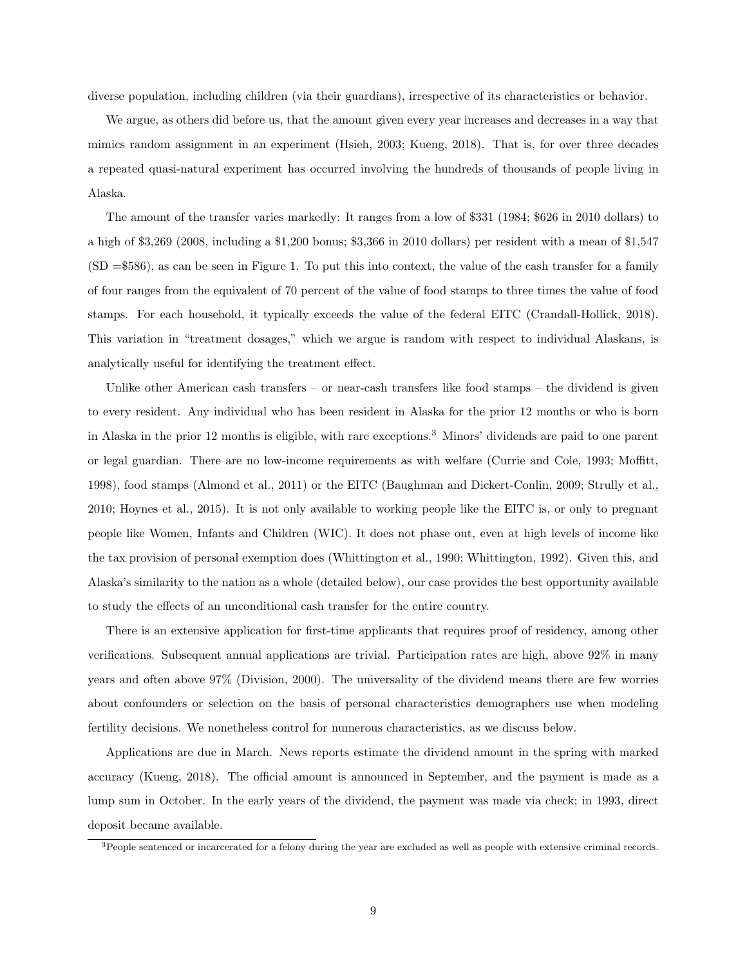diverse population, including children (via their guardians), irrespective of its characteristics or behavior.

We argue, as others did before us, that the amount given every year increases and decreases in a way that mimics random assignment in an experiment (Hsieh, 2003; Kueng, 2018). That is, for over three decades a repeated quasi-natural experiment has occurred involving the hundreds of thousands of people living in Alaska.

The amount of the transfer varies markedly: It ranges from a low of \$331 (1984; \$626 in 2010 dollars) to a high of \$3,269 (2008, including a \$1,200 bonus; \$3,366 in 2010 dollars) per resident with a mean of \$1,547 (SD =\$586), as can be seen in Figure 1. To put this into context, the value of the cash transfer for a family of four ranges from the equivalent of 70 percent of the value of food stamps to three times the value of food stamps. For each household, it typically exceeds the value of the federal EITC (Crandall-Hollick, 2018). This variation in "treatment dosages," which we argue is random with respect to individual Alaskans, is analytically useful for identifying the treatment effect.

Unlike other American cash transfers – or near-cash transfers like food stamps – the dividend is given to every resident. Any individual who has been resident in Alaska for the prior 12 months or who is born in Alaska in the prior 12 months is eligible, with rare exceptions.<sup>3</sup> Minors' dividends are paid to one parent or legal guardian. There are no low-income requirements as with welfare (Currie and Cole, 1993; Moffitt, 1998), food stamps (Almond et al., 2011) or the EITC (Baughman and Dickert-Conlin, 2009; Strully et al., 2010; Hoynes et al., 2015). It is not only available to working people like the EITC is, or only to pregnant people like Women, Infants and Children (WIC). It does not phase out, even at high levels of income like the tax provision of personal exemption does (Whittington et al., 1990; Whittington, 1992). Given this, and Alaska's similarity to the nation as a whole (detailed below), our case provides the best opportunity available to study the effects of an unconditional cash transfer for the entire country.

There is an extensive application for first-time applicants that requires proof of residency, among other verifications. Subsequent annual applications are trivial. Participation rates are high, above 92% in many years and often above 97% (Division, 2000). The universality of the dividend means there are few worries about confounders or selection on the basis of personal characteristics demographers use when modeling fertility decisions. We nonetheless control for numerous characteristics, as we discuss below.

Applications are due in March. News reports estimate the dividend amount in the spring with marked accuracy (Kueng, 2018). The official amount is announced in September, and the payment is made as a lump sum in October. In the early years of the dividend, the payment was made via check; in 1993, direct deposit became available.

 $3$ People sentenced or incarcerated for a felony during the year are excluded as well as people with extensive criminal records.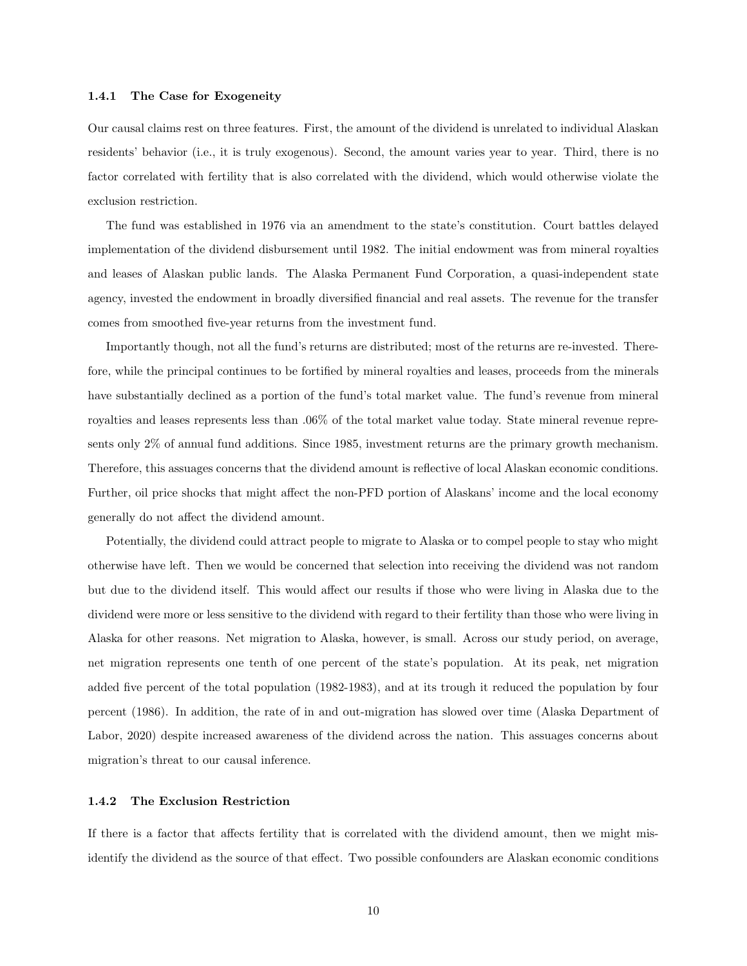#### 1.4.1 The Case for Exogeneity

Our causal claims rest on three features. First, the amount of the dividend is unrelated to individual Alaskan residents' behavior (i.e., it is truly exogenous). Second, the amount varies year to year. Third, there is no factor correlated with fertility that is also correlated with the dividend, which would otherwise violate the exclusion restriction.

The fund was established in 1976 via an amendment to the state's constitution. Court battles delayed implementation of the dividend disbursement until 1982. The initial endowment was from mineral royalties and leases of Alaskan public lands. The Alaska Permanent Fund Corporation, a quasi-independent state agency, invested the endowment in broadly diversified financial and real assets. The revenue for the transfer comes from smoothed five-year returns from the investment fund.

Importantly though, not all the fund's returns are distributed; most of the returns are re-invested. Therefore, while the principal continues to be fortified by mineral royalties and leases, proceeds from the minerals have substantially declined as a portion of the fund's total market value. The fund's revenue from mineral royalties and leases represents less than .06% of the total market value today. State mineral revenue represents only 2% of annual fund additions. Since 1985, investment returns are the primary growth mechanism. Therefore, this assuages concerns that the dividend amount is reflective of local Alaskan economic conditions. Further, oil price shocks that might affect the non-PFD portion of Alaskans' income and the local economy generally do not affect the dividend amount.

Potentially, the dividend could attract people to migrate to Alaska or to compel people to stay who might otherwise have left. Then we would be concerned that selection into receiving the dividend was not random but due to the dividend itself. This would affect our results if those who were living in Alaska due to the dividend were more or less sensitive to the dividend with regard to their fertility than those who were living in Alaska for other reasons. Net migration to Alaska, however, is small. Across our study period, on average, net migration represents one tenth of one percent of the state's population. At its peak, net migration added five percent of the total population (1982-1983), and at its trough it reduced the population by four percent (1986). In addition, the rate of in and out-migration has slowed over time (Alaska Department of Labor, 2020) despite increased awareness of the dividend across the nation. This assuages concerns about migration's threat to our causal inference.

#### 1.4.2 The Exclusion Restriction

If there is a factor that affects fertility that is correlated with the dividend amount, then we might misidentify the dividend as the source of that effect. Two possible confounders are Alaskan economic conditions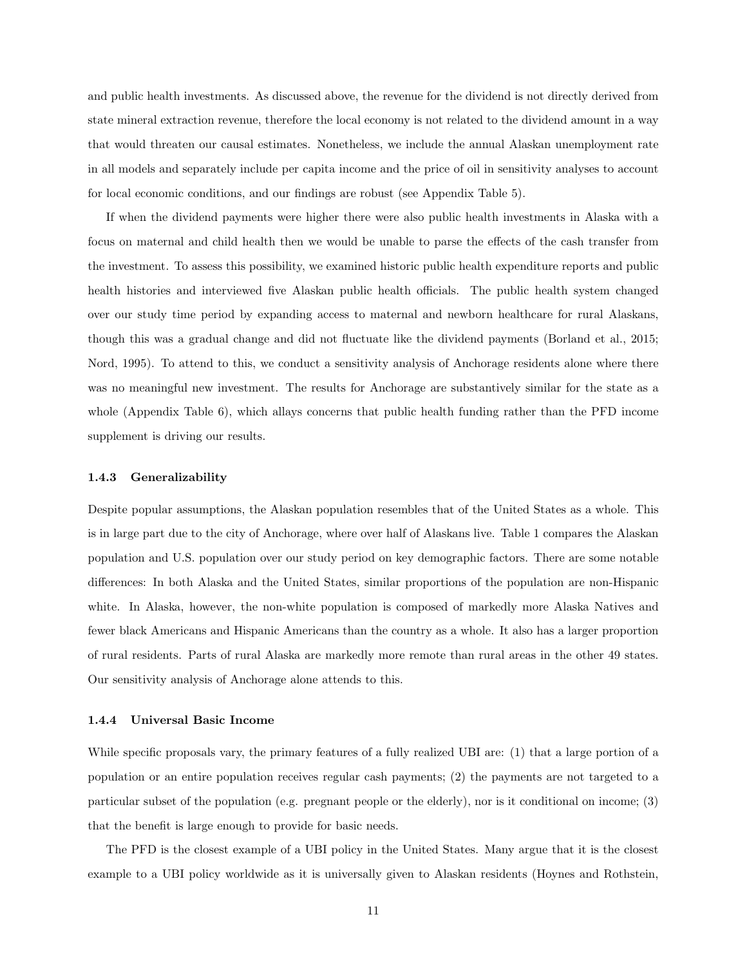and public health investments. As discussed above, the revenue for the dividend is not directly derived from state mineral extraction revenue, therefore the local economy is not related to the dividend amount in a way that would threaten our causal estimates. Nonetheless, we include the annual Alaskan unemployment rate in all models and separately include per capita income and the price of oil in sensitivity analyses to account for local economic conditions, and our findings are robust (see Appendix Table 5).

If when the dividend payments were higher there were also public health investments in Alaska with a focus on maternal and child health then we would be unable to parse the effects of the cash transfer from the investment. To assess this possibility, we examined historic public health expenditure reports and public health histories and interviewed five Alaskan public health officials. The public health system changed over our study time period by expanding access to maternal and newborn healthcare for rural Alaskans, though this was a gradual change and did not fluctuate like the dividend payments (Borland et al., 2015; Nord, 1995). To attend to this, we conduct a sensitivity analysis of Anchorage residents alone where there was no meaningful new investment. The results for Anchorage are substantively similar for the state as a whole (Appendix Table 6), which allays concerns that public health funding rather than the PFD income supplement is driving our results.

#### 1.4.3 Generalizability

Despite popular assumptions, the Alaskan population resembles that of the United States as a whole. This is in large part due to the city of Anchorage, where over half of Alaskans live. Table 1 compares the Alaskan population and U.S. population over our study period on key demographic factors. There are some notable differences: In both Alaska and the United States, similar proportions of the population are non-Hispanic white. In Alaska, however, the non-white population is composed of markedly more Alaska Natives and fewer black Americans and Hispanic Americans than the country as a whole. It also has a larger proportion of rural residents. Parts of rural Alaska are markedly more remote than rural areas in the other 49 states. Our sensitivity analysis of Anchorage alone attends to this.

#### 1.4.4 Universal Basic Income

While specific proposals vary, the primary features of a fully realized UBI are: (1) that a large portion of a population or an entire population receives regular cash payments; (2) the payments are not targeted to a particular subset of the population (e.g. pregnant people or the elderly), nor is it conditional on income; (3) that the benefit is large enough to provide for basic needs.

The PFD is the closest example of a UBI policy in the United States. Many argue that it is the closest example to a UBI policy worldwide as it is universally given to Alaskan residents (Hoynes and Rothstein,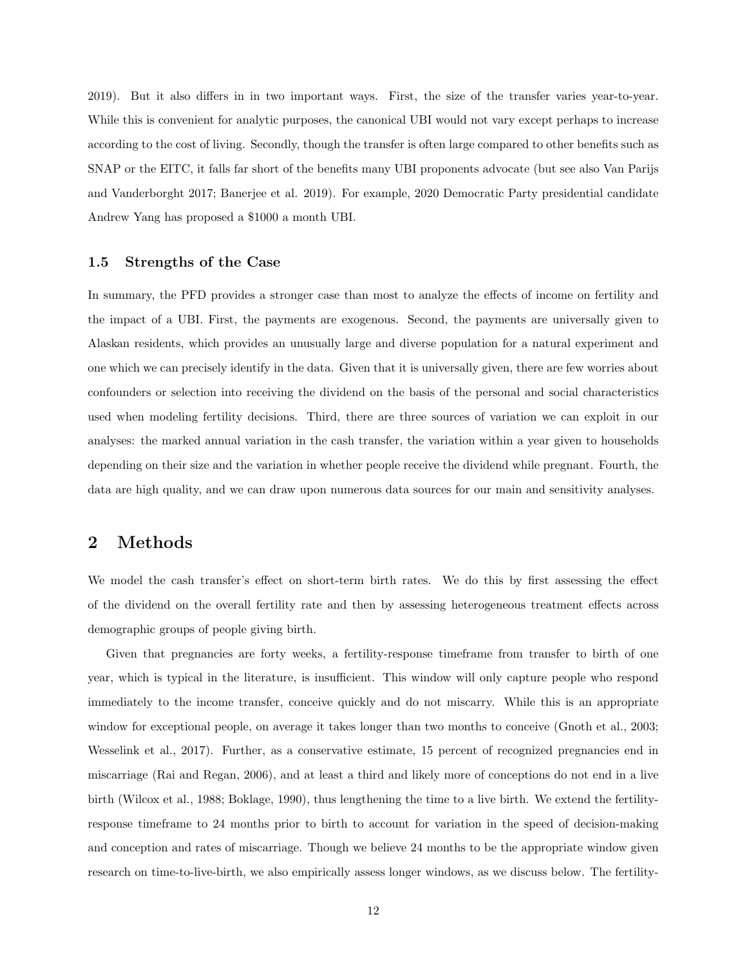2019). But it also differs in in two important ways. First, the size of the transfer varies year-to-year. While this is convenient for analytic purposes, the canonical UBI would not vary except perhaps to increase according to the cost of living. Secondly, though the transfer is often large compared to other benefits such as SNAP or the EITC, it falls far short of the benefits many UBI proponents advocate (but see also Van Parijs and Vanderborght 2017; Banerjee et al. 2019). For example, 2020 Democratic Party presidential candidate Andrew Yang has proposed a \$1000 a month UBI.

## 1.5 Strengths of the Case

In summary, the PFD provides a stronger case than most to analyze the effects of income on fertility and the impact of a UBI. First, the payments are exogenous. Second, the payments are universally given to Alaskan residents, which provides an unusually large and diverse population for a natural experiment and one which we can precisely identify in the data. Given that it is universally given, there are few worries about confounders or selection into receiving the dividend on the basis of the personal and social characteristics used when modeling fertility decisions. Third, there are three sources of variation we can exploit in our analyses: the marked annual variation in the cash transfer, the variation within a year given to households depending on their size and the variation in whether people receive the dividend while pregnant. Fourth, the data are high quality, and we can draw upon numerous data sources for our main and sensitivity analyses.

# 2 Methods

We model the cash transfer's effect on short-term birth rates. We do this by first assessing the effect of the dividend on the overall fertility rate and then by assessing heterogeneous treatment effects across demographic groups of people giving birth.

Given that pregnancies are forty weeks, a fertility-response timeframe from transfer to birth of one year, which is typical in the literature, is insufficient. This window will only capture people who respond immediately to the income transfer, conceive quickly and do not miscarry. While this is an appropriate window for exceptional people, on average it takes longer than two months to conceive (Gnoth et al., 2003; Wesselink et al., 2017). Further, as a conservative estimate, 15 percent of recognized pregnancies end in miscarriage (Rai and Regan, 2006), and at least a third and likely more of conceptions do not end in a live birth (Wilcox et al., 1988; Boklage, 1990), thus lengthening the time to a live birth. We extend the fertilityresponse timeframe to 24 months prior to birth to account for variation in the speed of decision-making and conception and rates of miscarriage. Though we believe 24 months to be the appropriate window given research on time-to-live-birth, we also empirically assess longer windows, as we discuss below. The fertility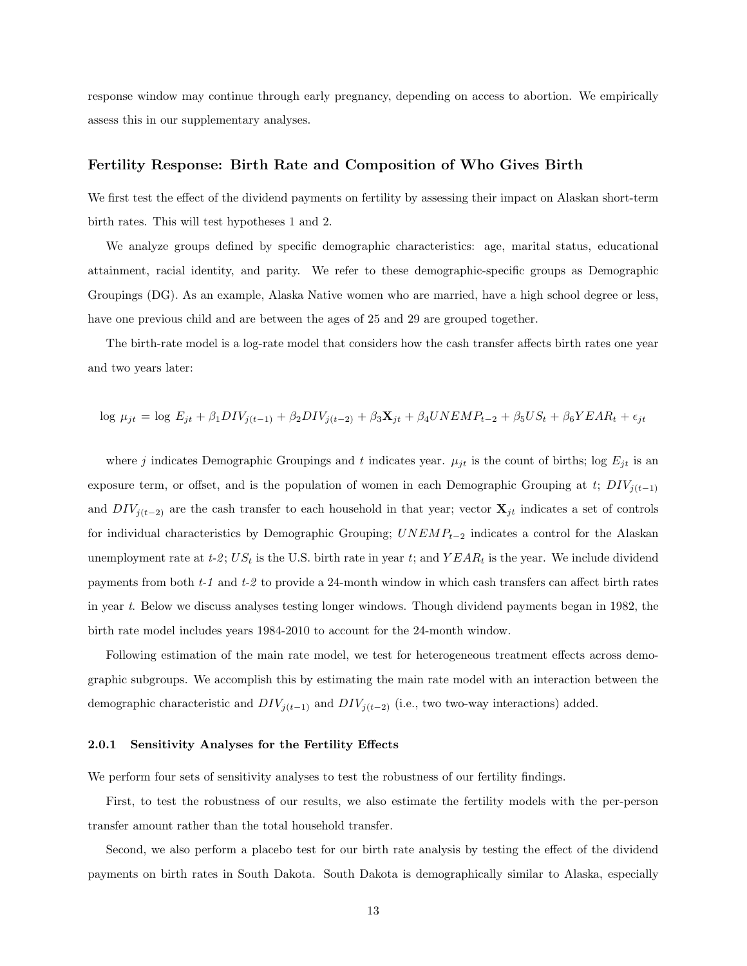response window may continue through early pregnancy, depending on access to abortion. We empirically assess this in our supplementary analyses.

## Fertility Response: Birth Rate and Composition of Who Gives Birth

We first test the effect of the dividend payments on fertility by assessing their impact on Alaskan short-term birth rates. This will test hypotheses 1 and 2.

We analyze groups defined by specific demographic characteristics: age, marital status, educational attainment, racial identity, and parity. We refer to these demographic-specific groups as Demographic Groupings (DG). As an example, Alaska Native women who are married, have a high school degree or less, have one previous child and are between the ages of 25 and 29 are grouped together.

The birth-rate model is a log-rate model that considers how the cash transfer affects birth rates one year and two years later:

$$
\log \mu_{jt} = \log E_{jt} + \beta_1 DIV_{j(t-1)} + \beta_2 DIV_{j(t-2)} + \beta_3 \mathbf{X}_{jt} + \beta_4 UNEMP_{t-2} + \beta_5 US_t + \beta_6 Y EAR_t + \epsilon_{jt}
$$

where j indicates Demographic Groupings and t indicates year.  $\mu_{jt}$  is the count of births; log  $E_{jt}$  is an exposure term, or offset, and is the population of women in each Demographic Grouping at t;  $DIV_{j(t-1)}$ and  $DIV_{j(t-2)}$  are the cash transfer to each household in that year; vector  $\mathbf{X}_{jt}$  indicates a set of controls for individual characteristics by Demographic Grouping;  $UNEMP_{t-2}$  indicates a control for the Alaskan unemployment rate at  $t-2$ ; US<sub>t</sub> is the U.S. birth rate in year t; and  $YEAR_t$  is the year. We include dividend payments from both  $t-1$  and  $t-2$  to provide a 24-month window in which cash transfers can affect birth rates in year t. Below we discuss analyses testing longer windows. Though dividend payments began in 1982, the birth rate model includes years 1984-2010 to account for the 24-month window.

Following estimation of the main rate model, we test for heterogeneous treatment effects across demographic subgroups. We accomplish this by estimating the main rate model with an interaction between the demographic characteristic and  $DIV_{j(t-1)}$  and  $DIV_{j(t-2)}$  (i.e., two two-way interactions) added.

#### 2.0.1 Sensitivity Analyses for the Fertility Effects

We perform four sets of sensitivity analyses to test the robustness of our fertility findings.

First, to test the robustness of our results, we also estimate the fertility models with the per-person transfer amount rather than the total household transfer.

Second, we also perform a placebo test for our birth rate analysis by testing the effect of the dividend payments on birth rates in South Dakota. South Dakota is demographically similar to Alaska, especially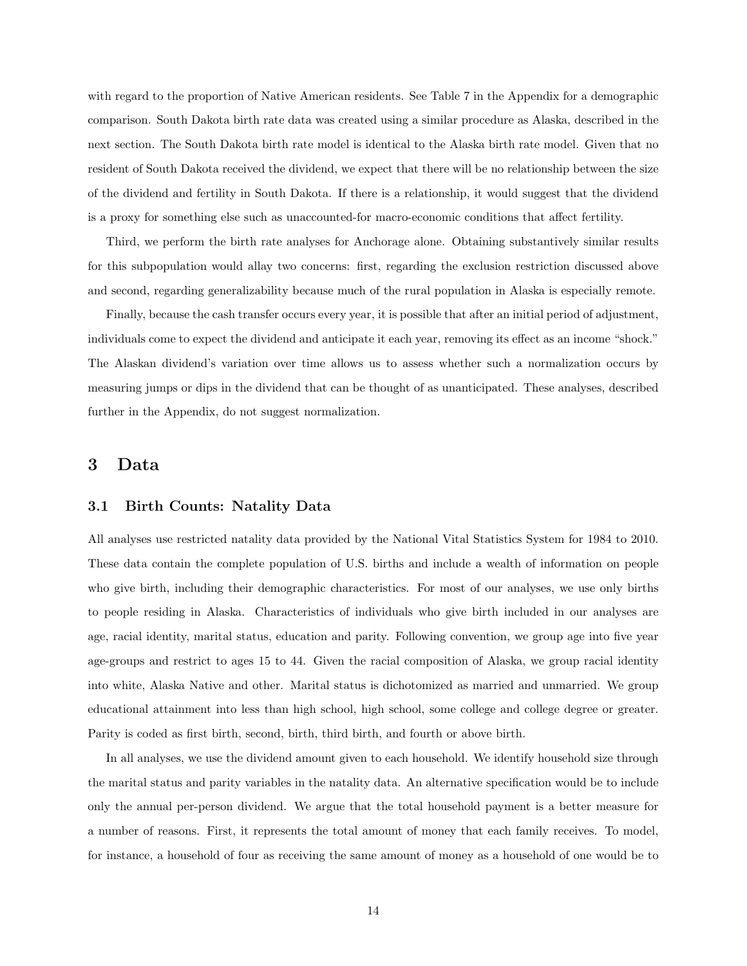with regard to the proportion of Native American residents. See Table 7 in the Appendix for a demographic comparison. South Dakota birth rate data was created using a similar procedure as Alaska, described in the next section. The South Dakota birth rate model is identical to the Alaska birth rate model. Given that no resident of South Dakota received the dividend, we expect that there will be no relationship between the size of the dividend and fertility in South Dakota. If there is a relationship, it would suggest that the dividend is a proxy for something else such as unaccounted-for macro-economic conditions that affect fertility.

Third, we perform the birth rate analyses for Anchorage alone. Obtaining substantively similar results for this subpopulation would allay two concerns: first, regarding the exclusion restriction discussed above and second, regarding generalizability because much of the rural population in Alaska is especially remote.

Finally, because the cash transfer occurs every year, it is possible that after an initial period of adjustment, individuals come to expect the dividend and anticipate it each year, removing its effect as an income "shock." The Alaskan dividend's variation over time allows us to assess whether such a normalization occurs by measuring jumps or dips in the dividend that can be thought of as unanticipated. These analyses, described further in the Appendix, do not suggest normalization.

# 3 Data

## 3.1 Birth Counts: Natality Data

All analyses use restricted natality data provided by the National Vital Statistics System for 1984 to 2010. These data contain the complete population of U.S. births and include a wealth of information on people who give birth, including their demographic characteristics. For most of our analyses, we use only births to people residing in Alaska. Characteristics of individuals who give birth included in our analyses are age, racial identity, marital status, education and parity. Following convention, we group age into five year age-groups and restrict to ages 15 to 44. Given the racial composition of Alaska, we group racial identity into white, Alaska Native and other. Marital status is dichotomized as married and unmarried. We group educational attainment into less than high school, high school, some college and college degree or greater. Parity is coded as first birth, second, birth, third birth, and fourth or above birth.

In all analyses, we use the dividend amount given to each household. We identify household size through the marital status and parity variables in the natality data. An alternative specification would be to include only the annual per-person dividend. We argue that the total household payment is a better measure for a number of reasons. First, it represents the total amount of money that each family receives. To model, for instance, a household of four as receiving the same amount of money as a household of one would be to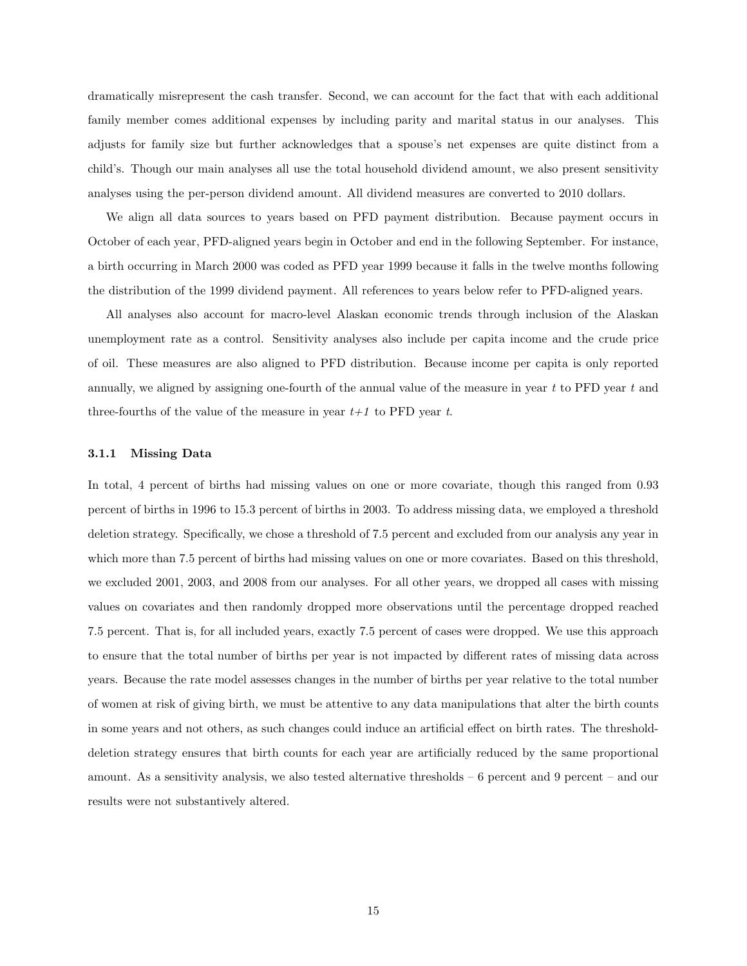dramatically misrepresent the cash transfer. Second, we can account for the fact that with each additional family member comes additional expenses by including parity and marital status in our analyses. This adjusts for family size but further acknowledges that a spouse's net expenses are quite distinct from a child's. Though our main analyses all use the total household dividend amount, we also present sensitivity analyses using the per-person dividend amount. All dividend measures are converted to 2010 dollars.

We align all data sources to years based on PFD payment distribution. Because payment occurs in October of each year, PFD-aligned years begin in October and end in the following September. For instance, a birth occurring in March 2000 was coded as PFD year 1999 because it falls in the twelve months following the distribution of the 1999 dividend payment. All references to years below refer to PFD-aligned years.

All analyses also account for macro-level Alaskan economic trends through inclusion of the Alaskan unemployment rate as a control. Sensitivity analyses also include per capita income and the crude price of oil. These measures are also aligned to PFD distribution. Because income per capita is only reported annually, we aligned by assigning one-fourth of the annual value of the measure in year  $t$  to PFD year  $t$  and three-fourths of the value of the measure in year  $t+1$  to PFD year t.

#### 3.1.1 Missing Data

In total, 4 percent of births had missing values on one or more covariate, though this ranged from 0.93 percent of births in 1996 to 15.3 percent of births in 2003. To address missing data, we employed a threshold deletion strategy. Specifically, we chose a threshold of 7.5 percent and excluded from our analysis any year in which more than 7.5 percent of births had missing values on one or more covariates. Based on this threshold, we excluded 2001, 2003, and 2008 from our analyses. For all other years, we dropped all cases with missing values on covariates and then randomly dropped more observations until the percentage dropped reached 7.5 percent. That is, for all included years, exactly 7.5 percent of cases were dropped. We use this approach to ensure that the total number of births per year is not impacted by different rates of missing data across years. Because the rate model assesses changes in the number of births per year relative to the total number of women at risk of giving birth, we must be attentive to any data manipulations that alter the birth counts in some years and not others, as such changes could induce an artificial effect on birth rates. The thresholddeletion strategy ensures that birth counts for each year are artificially reduced by the same proportional amount. As a sensitivity analysis, we also tested alternative thresholds – 6 percent and 9 percent – and our results were not substantively altered.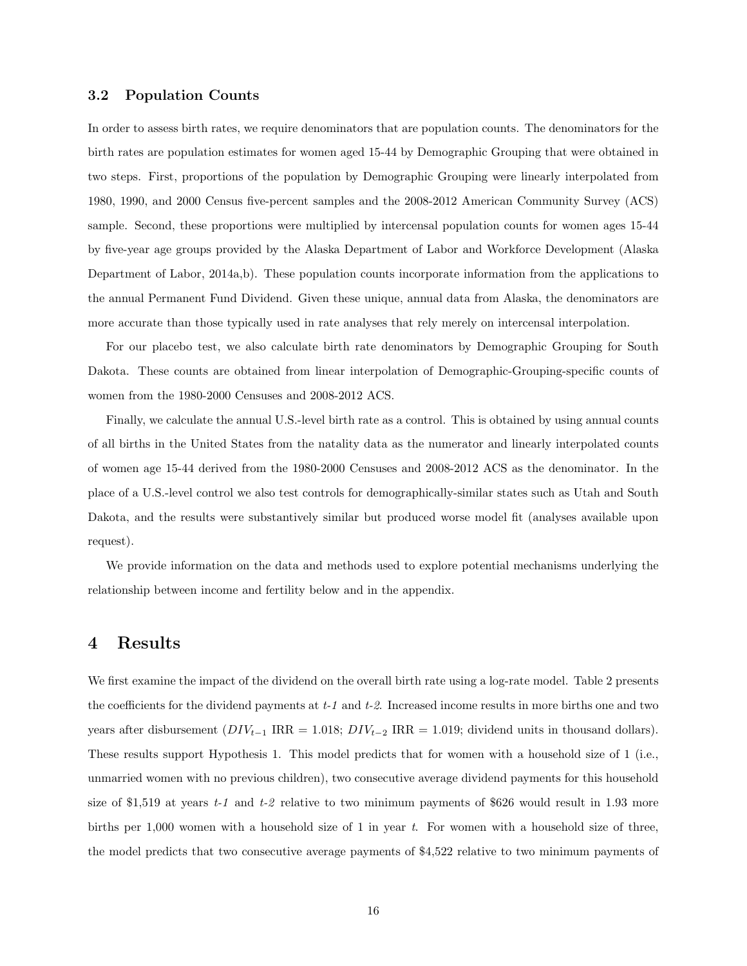## 3.2 Population Counts

In order to assess birth rates, we require denominators that are population counts. The denominators for the birth rates are population estimates for women aged 15-44 by Demographic Grouping that were obtained in two steps. First, proportions of the population by Demographic Grouping were linearly interpolated from 1980, 1990, and 2000 Census five-percent samples and the 2008-2012 American Community Survey (ACS) sample. Second, these proportions were multiplied by intercensal population counts for women ages 15-44 by five-year age groups provided by the Alaska Department of Labor and Workforce Development (Alaska Department of Labor, 2014a,b). These population counts incorporate information from the applications to the annual Permanent Fund Dividend. Given these unique, annual data from Alaska, the denominators are more accurate than those typically used in rate analyses that rely merely on intercensal interpolation.

For our placebo test, we also calculate birth rate denominators by Demographic Grouping for South Dakota. These counts are obtained from linear interpolation of Demographic-Grouping-specific counts of women from the 1980-2000 Censuses and 2008-2012 ACS.

Finally, we calculate the annual U.S.-level birth rate as a control. This is obtained by using annual counts of all births in the United States from the natality data as the numerator and linearly interpolated counts of women age 15-44 derived from the 1980-2000 Censuses and 2008-2012 ACS as the denominator. In the place of a U.S.-level control we also test controls for demographically-similar states such as Utah and South Dakota, and the results were substantively similar but produced worse model fit (analyses available upon request).

We provide information on the data and methods used to explore potential mechanisms underlying the relationship between income and fertility below and in the appendix.

# 4 Results

We first examine the impact of the dividend on the overall birth rate using a log-rate model. Table 2 presents the coefficients for the dividend payments at  $t-1$  and  $t-2$ . Increased income results in more births one and two years after disbursement  $(DIV_{t-1} \, \text{IRR} = 1.018; \, DIV_{t-2} \, \text{IRR} = 1.019; \, \text{dividend units in thousand dollars}).$ These results support Hypothesis 1. This model predicts that for women with a household size of 1 (i.e., unmarried women with no previous children), two consecutive average dividend payments for this household size of \$1,519 at years  $t-1$  and  $t-2$  relative to two minimum payments of \$626 would result in 1.93 more births per 1,000 women with a household size of 1 in year t. For women with a household size of three, the model predicts that two consecutive average payments of \$4,522 relative to two minimum payments of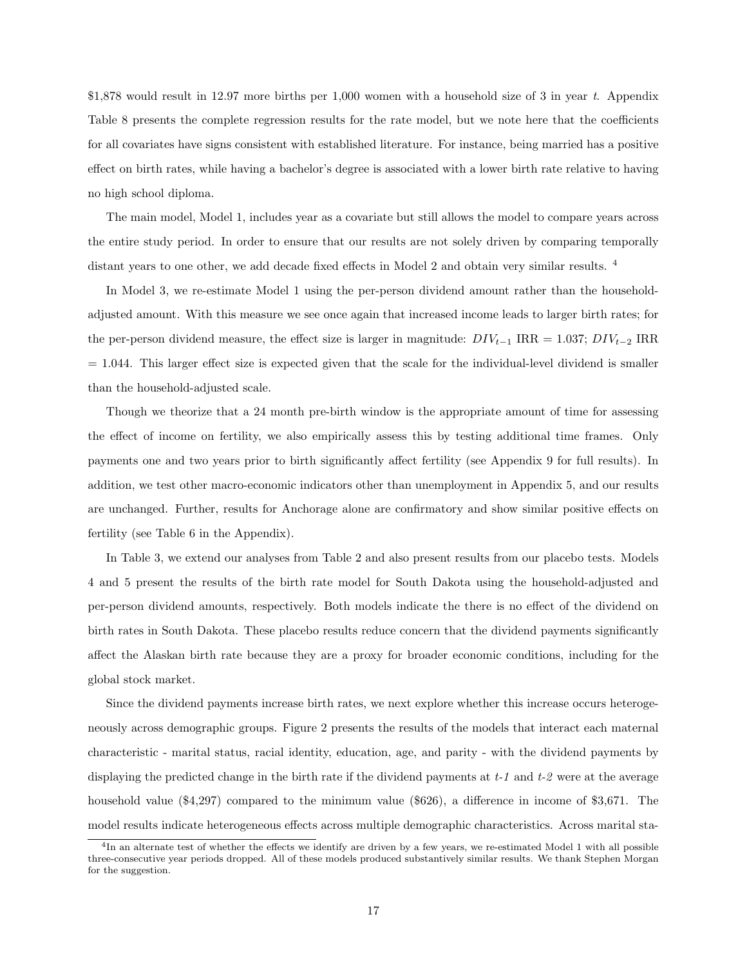\$1,878 would result in 12.97 more births per 1,000 women with a household size of 3 in year t. Appendix Table 8 presents the complete regression results for the rate model, but we note here that the coefficients for all covariates have signs consistent with established literature. For instance, being married has a positive effect on birth rates, while having a bachelor's degree is associated with a lower birth rate relative to having no high school diploma.

The main model, Model 1, includes year as a covariate but still allows the model to compare years across the entire study period. In order to ensure that our results are not solely driven by comparing temporally distant years to one other, we add decade fixed effects in Model 2 and obtain very similar results. <sup>4</sup>

In Model 3, we re-estimate Model 1 using the per-person dividend amount rather than the householdadjusted amount. With this measure we see once again that increased income leads to larger birth rates; for the per-person dividend measure, the effect size is larger in magnitude:  $DIV_{t-1}$  IRR = 1.037;  $DIV_{t-2}$  IRR  $= 1.044$ . This larger effect size is expected given that the scale for the individual-level dividend is smaller than the household-adjusted scale.

Though we theorize that a 24 month pre-birth window is the appropriate amount of time for assessing the effect of income on fertility, we also empirically assess this by testing additional time frames. Only payments one and two years prior to birth significantly affect fertility (see Appendix 9 for full results). In addition, we test other macro-economic indicators other than unemployment in Appendix 5, and our results are unchanged. Further, results for Anchorage alone are confirmatory and show similar positive effects on fertility (see Table 6 in the Appendix).

In Table 3, we extend our analyses from Table 2 and also present results from our placebo tests. Models 4 and 5 present the results of the birth rate model for South Dakota using the household-adjusted and per-person dividend amounts, respectively. Both models indicate the there is no effect of the dividend on birth rates in South Dakota. These placebo results reduce concern that the dividend payments significantly affect the Alaskan birth rate because they are a proxy for broader economic conditions, including for the global stock market.

Since the dividend payments increase birth rates, we next explore whether this increase occurs heterogeneously across demographic groups. Figure 2 presents the results of the models that interact each maternal characteristic - marital status, racial identity, education, age, and parity - with the dividend payments by displaying the predicted change in the birth rate if the dividend payments at  $t-1$  and  $t-2$  were at the average household value (\$4,297) compared to the minimum value (\$626), a difference in income of \$3,671. The model results indicate heterogeneous effects across multiple demographic characteristics. Across marital sta-

<sup>&</sup>lt;sup>4</sup>In an alternate test of whether the effects we identify are driven by a few years, we re-estimated Model 1 with all possible three-consecutive year periods dropped. All of these models produced substantively similar results. We thank Stephen Morgan for the suggestion.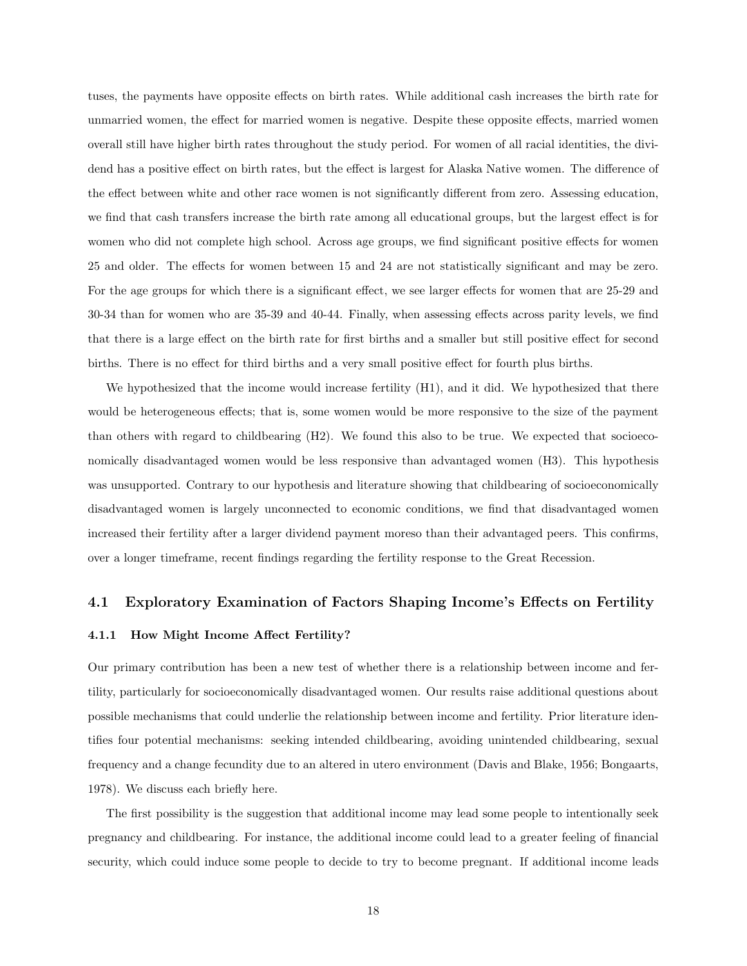tuses, the payments have opposite effects on birth rates. While additional cash increases the birth rate for unmarried women, the effect for married women is negative. Despite these opposite effects, married women overall still have higher birth rates throughout the study period. For women of all racial identities, the dividend has a positive effect on birth rates, but the effect is largest for Alaska Native women. The difference of the effect between white and other race women is not significantly different from zero. Assessing education, we find that cash transfers increase the birth rate among all educational groups, but the largest effect is for women who did not complete high school. Across age groups, we find significant positive effects for women 25 and older. The effects for women between 15 and 24 are not statistically significant and may be zero. For the age groups for which there is a significant effect, we see larger effects for women that are 25-29 and 30-34 than for women who are 35-39 and 40-44. Finally, when assessing effects across parity levels, we find that there is a large effect on the birth rate for first births and a smaller but still positive effect for second births. There is no effect for third births and a very small positive effect for fourth plus births.

We hypothesized that the income would increase fertility  $(H1)$ , and it did. We hypothesized that there would be heterogeneous effects; that is, some women would be more responsive to the size of the payment than others with regard to childbearing (H2). We found this also to be true. We expected that socioeconomically disadvantaged women would be less responsive than advantaged women (H3). This hypothesis was unsupported. Contrary to our hypothesis and literature showing that childbearing of socioeconomically disadvantaged women is largely unconnected to economic conditions, we find that disadvantaged women increased their fertility after a larger dividend payment moreso than their advantaged peers. This confirms, over a longer timeframe, recent findings regarding the fertility response to the Great Recession.

## 4.1 Exploratory Examination of Factors Shaping Income's Effects on Fertility

#### 4.1.1 How Might Income Affect Fertility?

Our primary contribution has been a new test of whether there is a relationship between income and fertility, particularly for socioeconomically disadvantaged women. Our results raise additional questions about possible mechanisms that could underlie the relationship between income and fertility. Prior literature identifies four potential mechanisms: seeking intended childbearing, avoiding unintended childbearing, sexual frequency and a change fecundity due to an altered in utero environment (Davis and Blake, 1956; Bongaarts, 1978). We discuss each briefly here.

The first possibility is the suggestion that additional income may lead some people to intentionally seek pregnancy and childbearing. For instance, the additional income could lead to a greater feeling of financial security, which could induce some people to decide to try to become pregnant. If additional income leads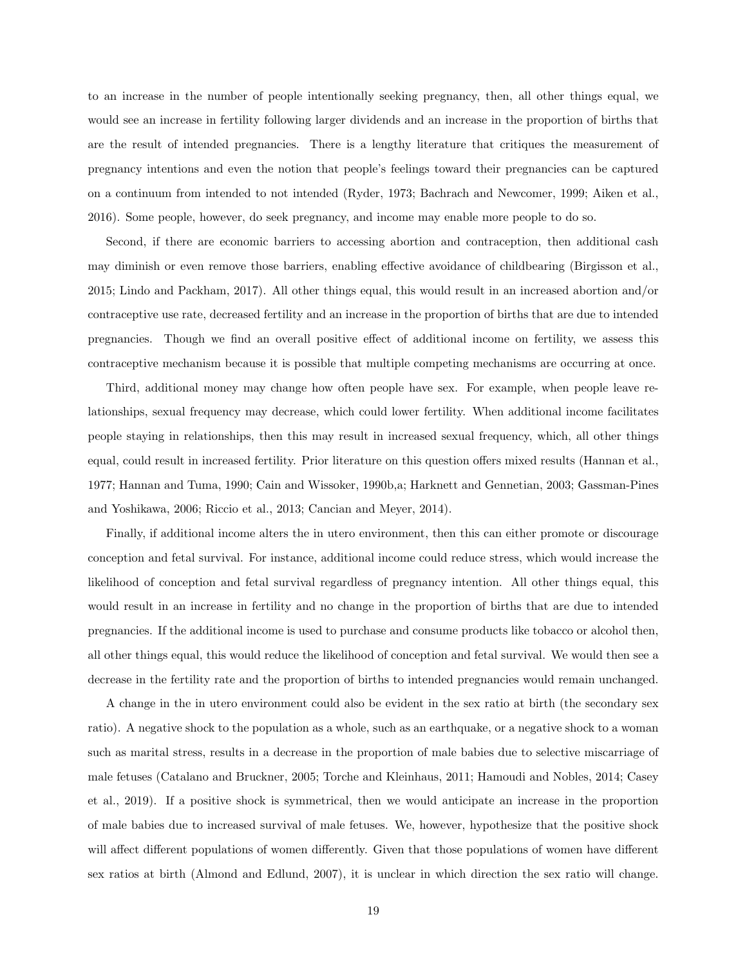to an increase in the number of people intentionally seeking pregnancy, then, all other things equal, we would see an increase in fertility following larger dividends and an increase in the proportion of births that are the result of intended pregnancies. There is a lengthy literature that critiques the measurement of pregnancy intentions and even the notion that people's feelings toward their pregnancies can be captured on a continuum from intended to not intended (Ryder, 1973; Bachrach and Newcomer, 1999; Aiken et al., 2016). Some people, however, do seek pregnancy, and income may enable more people to do so.

Second, if there are economic barriers to accessing abortion and contraception, then additional cash may diminish or even remove those barriers, enabling effective avoidance of childbearing (Birgisson et al., 2015; Lindo and Packham, 2017). All other things equal, this would result in an increased abortion and/or contraceptive use rate, decreased fertility and an increase in the proportion of births that are due to intended pregnancies. Though we find an overall positive effect of additional income on fertility, we assess this contraceptive mechanism because it is possible that multiple competing mechanisms are occurring at once.

Third, additional money may change how often people have sex. For example, when people leave relationships, sexual frequency may decrease, which could lower fertility. When additional income facilitates people staying in relationships, then this may result in increased sexual frequency, which, all other things equal, could result in increased fertility. Prior literature on this question offers mixed results (Hannan et al., 1977; Hannan and Tuma, 1990; Cain and Wissoker, 1990b,a; Harknett and Gennetian, 2003; Gassman-Pines and Yoshikawa, 2006; Riccio et al., 2013; Cancian and Meyer, 2014).

Finally, if additional income alters the in utero environment, then this can either promote or discourage conception and fetal survival. For instance, additional income could reduce stress, which would increase the likelihood of conception and fetal survival regardless of pregnancy intention. All other things equal, this would result in an increase in fertility and no change in the proportion of births that are due to intended pregnancies. If the additional income is used to purchase and consume products like tobacco or alcohol then, all other things equal, this would reduce the likelihood of conception and fetal survival. We would then see a decrease in the fertility rate and the proportion of births to intended pregnancies would remain unchanged.

A change in the in utero environment could also be evident in the sex ratio at birth (the secondary sex ratio). A negative shock to the population as a whole, such as an earthquake, or a negative shock to a woman such as marital stress, results in a decrease in the proportion of male babies due to selective miscarriage of male fetuses (Catalano and Bruckner, 2005; Torche and Kleinhaus, 2011; Hamoudi and Nobles, 2014; Casey et al., 2019). If a positive shock is symmetrical, then we would anticipate an increase in the proportion of male babies due to increased survival of male fetuses. We, however, hypothesize that the positive shock will affect different populations of women differently. Given that those populations of women have different sex ratios at birth (Almond and Edlund, 2007), it is unclear in which direction the sex ratio will change.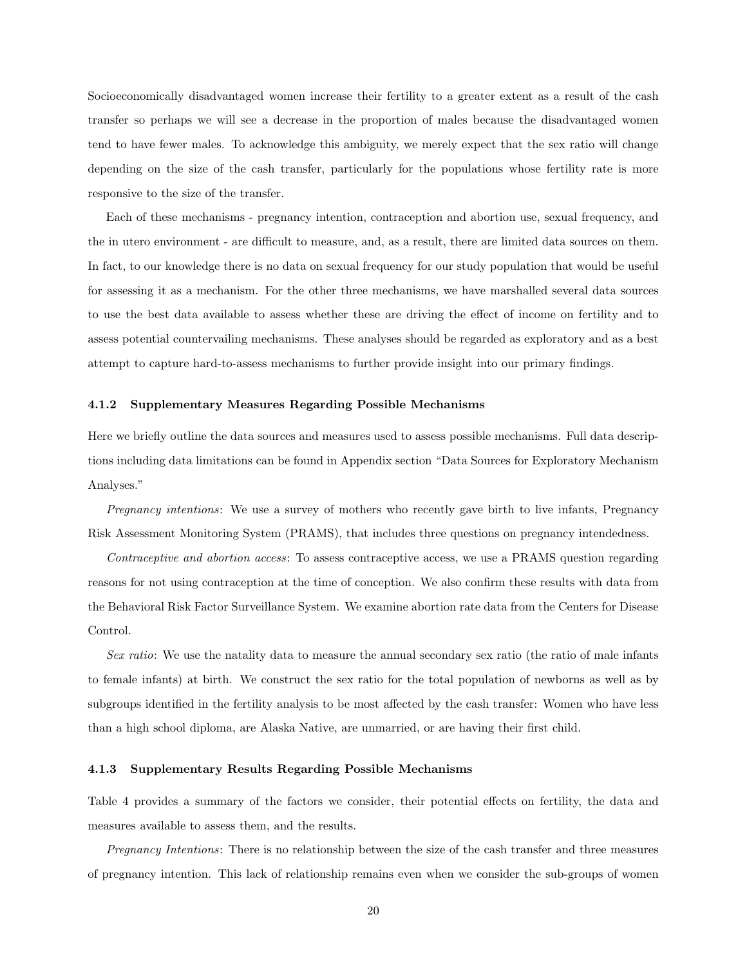Socioeconomically disadvantaged women increase their fertility to a greater extent as a result of the cash transfer so perhaps we will see a decrease in the proportion of males because the disadvantaged women tend to have fewer males. To acknowledge this ambiguity, we merely expect that the sex ratio will change depending on the size of the cash transfer, particularly for the populations whose fertility rate is more responsive to the size of the transfer.

Each of these mechanisms - pregnancy intention, contraception and abortion use, sexual frequency, and the in utero environment - are difficult to measure, and, as a result, there are limited data sources on them. In fact, to our knowledge there is no data on sexual frequency for our study population that would be useful for assessing it as a mechanism. For the other three mechanisms, we have marshalled several data sources to use the best data available to assess whether these are driving the effect of income on fertility and to assess potential countervailing mechanisms. These analyses should be regarded as exploratory and as a best attempt to capture hard-to-assess mechanisms to further provide insight into our primary findings.

#### 4.1.2 Supplementary Measures Regarding Possible Mechanisms

Here we briefly outline the data sources and measures used to assess possible mechanisms. Full data descriptions including data limitations can be found in Appendix section "Data Sources for Exploratory Mechanism Analyses."

Pregnancy intentions: We use a survey of mothers who recently gave birth to live infants, Pregnancy Risk Assessment Monitoring System (PRAMS), that includes three questions on pregnancy intendedness.

Contraceptive and abortion access: To assess contraceptive access, we use a PRAMS question regarding reasons for not using contraception at the time of conception. We also confirm these results with data from the Behavioral Risk Factor Surveillance System. We examine abortion rate data from the Centers for Disease Control.

Sex ratio: We use the natality data to measure the annual secondary sex ratio (the ratio of male infants to female infants) at birth. We construct the sex ratio for the total population of newborns as well as by subgroups identified in the fertility analysis to be most affected by the cash transfer: Women who have less than a high school diploma, are Alaska Native, are unmarried, or are having their first child.

#### 4.1.3 Supplementary Results Regarding Possible Mechanisms

Table 4 provides a summary of the factors we consider, their potential effects on fertility, the data and measures available to assess them, and the results.

Pregnancy Intentions: There is no relationship between the size of the cash transfer and three measures of pregnancy intention. This lack of relationship remains even when we consider the sub-groups of women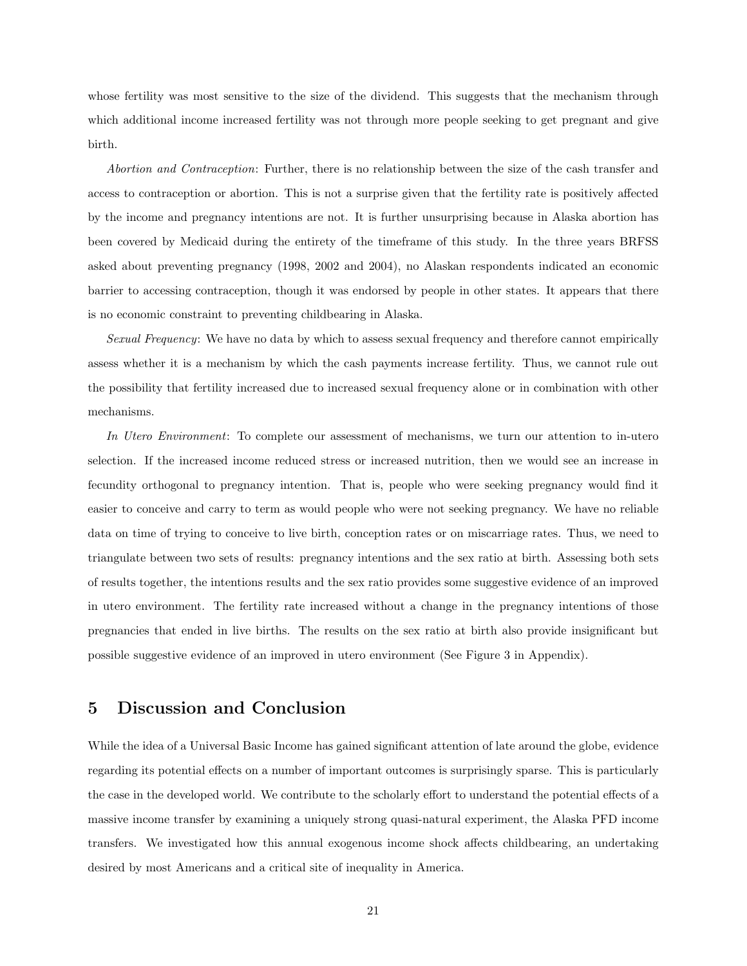whose fertility was most sensitive to the size of the dividend. This suggests that the mechanism through which additional income increased fertility was not through more people seeking to get pregnant and give birth.

Abortion and Contraception: Further, there is no relationship between the size of the cash transfer and access to contraception or abortion. This is not a surprise given that the fertility rate is positively affected by the income and pregnancy intentions are not. It is further unsurprising because in Alaska abortion has been covered by Medicaid during the entirety of the timeframe of this study. In the three years BRFSS asked about preventing pregnancy (1998, 2002 and 2004), no Alaskan respondents indicated an economic barrier to accessing contraception, though it was endorsed by people in other states. It appears that there is no economic constraint to preventing childbearing in Alaska.

Sexual Frequency: We have no data by which to assess sexual frequency and therefore cannot empirically assess whether it is a mechanism by which the cash payments increase fertility. Thus, we cannot rule out the possibility that fertility increased due to increased sexual frequency alone or in combination with other mechanisms.

In Utero Environment: To complete our assessment of mechanisms, we turn our attention to in-utero selection. If the increased income reduced stress or increased nutrition, then we would see an increase in fecundity orthogonal to pregnancy intention. That is, people who were seeking pregnancy would find it easier to conceive and carry to term as would people who were not seeking pregnancy. We have no reliable data on time of trying to conceive to live birth, conception rates or on miscarriage rates. Thus, we need to triangulate between two sets of results: pregnancy intentions and the sex ratio at birth. Assessing both sets of results together, the intentions results and the sex ratio provides some suggestive evidence of an improved in utero environment. The fertility rate increased without a change in the pregnancy intentions of those pregnancies that ended in live births. The results on the sex ratio at birth also provide insignificant but possible suggestive evidence of an improved in utero environment (See Figure 3 in Appendix).

# 5 Discussion and Conclusion

While the idea of a Universal Basic Income has gained significant attention of late around the globe, evidence regarding its potential effects on a number of important outcomes is surprisingly sparse. This is particularly the case in the developed world. We contribute to the scholarly effort to understand the potential effects of a massive income transfer by examining a uniquely strong quasi-natural experiment, the Alaska PFD income transfers. We investigated how this annual exogenous income shock affects childbearing, an undertaking desired by most Americans and a critical site of inequality in America.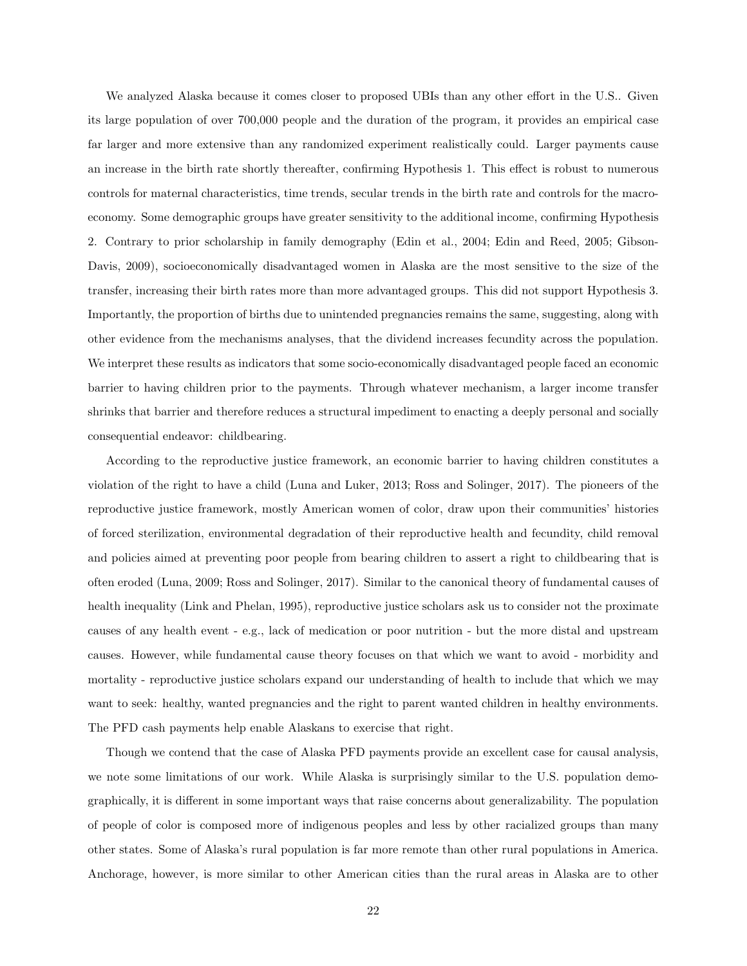We analyzed Alaska because it comes closer to proposed UBIs than any other effort in the U.S.. Given its large population of over 700,000 people and the duration of the program, it provides an empirical case far larger and more extensive than any randomized experiment realistically could. Larger payments cause an increase in the birth rate shortly thereafter, confirming Hypothesis 1. This effect is robust to numerous controls for maternal characteristics, time trends, secular trends in the birth rate and controls for the macroeconomy. Some demographic groups have greater sensitivity to the additional income, confirming Hypothesis 2. Contrary to prior scholarship in family demography (Edin et al., 2004; Edin and Reed, 2005; Gibson-Davis, 2009), socioeconomically disadvantaged women in Alaska are the most sensitive to the size of the transfer, increasing their birth rates more than more advantaged groups. This did not support Hypothesis 3. Importantly, the proportion of births due to unintended pregnancies remains the same, suggesting, along with other evidence from the mechanisms analyses, that the dividend increases fecundity across the population. We interpret these results as indicators that some socio-economically disadvantaged people faced an economic barrier to having children prior to the payments. Through whatever mechanism, a larger income transfer shrinks that barrier and therefore reduces a structural impediment to enacting a deeply personal and socially consequential endeavor: childbearing.

According to the reproductive justice framework, an economic barrier to having children constitutes a violation of the right to have a child (Luna and Luker, 2013; Ross and Solinger, 2017). The pioneers of the reproductive justice framework, mostly American women of color, draw upon their communities' histories of forced sterilization, environmental degradation of their reproductive health and fecundity, child removal and policies aimed at preventing poor people from bearing children to assert a right to childbearing that is often eroded (Luna, 2009; Ross and Solinger, 2017). Similar to the canonical theory of fundamental causes of health inequality (Link and Phelan, 1995), reproductive justice scholars ask us to consider not the proximate causes of any health event - e.g., lack of medication or poor nutrition - but the more distal and upstream causes. However, while fundamental cause theory focuses on that which we want to avoid - morbidity and mortality - reproductive justice scholars expand our understanding of health to include that which we may want to seek: healthy, wanted pregnancies and the right to parent wanted children in healthy environments. The PFD cash payments help enable Alaskans to exercise that right.

Though we contend that the case of Alaska PFD payments provide an excellent case for causal analysis, we note some limitations of our work. While Alaska is surprisingly similar to the U.S. population demographically, it is different in some important ways that raise concerns about generalizability. The population of people of color is composed more of indigenous peoples and less by other racialized groups than many other states. Some of Alaska's rural population is far more remote than other rural populations in America. Anchorage, however, is more similar to other American cities than the rural areas in Alaska are to other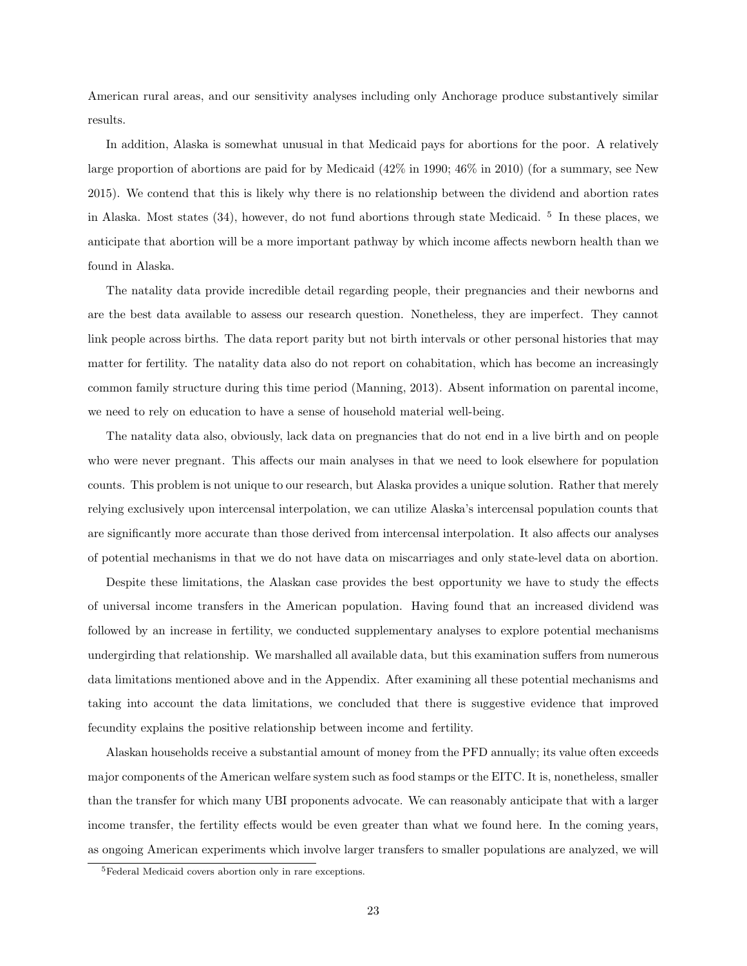American rural areas, and our sensitivity analyses including only Anchorage produce substantively similar results.

In addition, Alaska is somewhat unusual in that Medicaid pays for abortions for the poor. A relatively large proportion of abortions are paid for by Medicaid (42% in 1990; 46% in 2010) (for a summary, see New 2015). We contend that this is likely why there is no relationship between the dividend and abortion rates in Alaska. Most states (34), however, do not fund abortions through state Medicaid. <sup>5</sup> In these places, we anticipate that abortion will be a more important pathway by which income affects newborn health than we found in Alaska.

The natality data provide incredible detail regarding people, their pregnancies and their newborns and are the best data available to assess our research question. Nonetheless, they are imperfect. They cannot link people across births. The data report parity but not birth intervals or other personal histories that may matter for fertility. The natality data also do not report on cohabitation, which has become an increasingly common family structure during this time period (Manning, 2013). Absent information on parental income, we need to rely on education to have a sense of household material well-being.

The natality data also, obviously, lack data on pregnancies that do not end in a live birth and on people who were never pregnant. This affects our main analyses in that we need to look elsewhere for population counts. This problem is not unique to our research, but Alaska provides a unique solution. Rather that merely relying exclusively upon intercensal interpolation, we can utilize Alaska's intercensal population counts that are significantly more accurate than those derived from intercensal interpolation. It also affects our analyses of potential mechanisms in that we do not have data on miscarriages and only state-level data on abortion.

Despite these limitations, the Alaskan case provides the best opportunity we have to study the effects of universal income transfers in the American population. Having found that an increased dividend was followed by an increase in fertility, we conducted supplementary analyses to explore potential mechanisms undergirding that relationship. We marshalled all available data, but this examination suffers from numerous data limitations mentioned above and in the Appendix. After examining all these potential mechanisms and taking into account the data limitations, we concluded that there is suggestive evidence that improved fecundity explains the positive relationship between income and fertility.

Alaskan households receive a substantial amount of money from the PFD annually; its value often exceeds major components of the American welfare system such as food stamps or the EITC. It is, nonetheless, smaller than the transfer for which many UBI proponents advocate. We can reasonably anticipate that with a larger income transfer, the fertility effects would be even greater than what we found here. In the coming years, as ongoing American experiments which involve larger transfers to smaller populations are analyzed, we will

<sup>5</sup>Federal Medicaid covers abortion only in rare exceptions.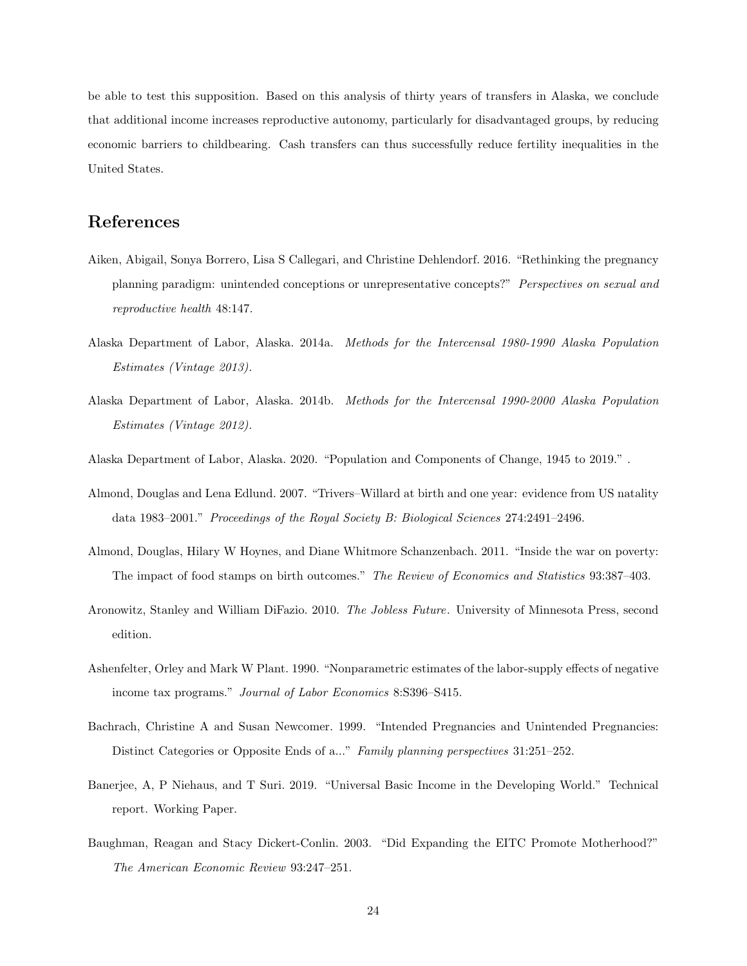be able to test this supposition. Based on this analysis of thirty years of transfers in Alaska, we conclude that additional income increases reproductive autonomy, particularly for disadvantaged groups, by reducing economic barriers to childbearing. Cash transfers can thus successfully reduce fertility inequalities in the United States.

# References

- Aiken, Abigail, Sonya Borrero, Lisa S Callegari, and Christine Dehlendorf. 2016. "Rethinking the pregnancy planning paradigm: unintended conceptions or unrepresentative concepts?" Perspectives on sexual and reproductive health 48:147.
- Alaska Department of Labor, Alaska. 2014a. Methods for the Intercensal 1980-1990 Alaska Population Estimates (Vintage 2013).
- Alaska Department of Labor, Alaska. 2014b. Methods for the Intercensal 1990-2000 Alaska Population Estimates (Vintage 2012).
- Alaska Department of Labor, Alaska. 2020. "Population and Components of Change, 1945 to 2019." .
- Almond, Douglas and Lena Edlund. 2007. "Trivers–Willard at birth and one year: evidence from US natality data 1983–2001." Proceedings of the Royal Society B: Biological Sciences 274:2491–2496.
- Almond, Douglas, Hilary W Hoynes, and Diane Whitmore Schanzenbach. 2011. "Inside the war on poverty: The impact of food stamps on birth outcomes." The Review of Economics and Statistics 93:387–403.
- Aronowitz, Stanley and William DiFazio. 2010. The Jobless Future. University of Minnesota Press, second edition.
- Ashenfelter, Orley and Mark W Plant. 1990. "Nonparametric estimates of the labor-supply effects of negative income tax programs." Journal of Labor Economics 8:S396–S415.
- Bachrach, Christine A and Susan Newcomer. 1999. "Intended Pregnancies and Unintended Pregnancies: Distinct Categories or Opposite Ends of a..." Family planning perspectives 31:251–252.
- Banerjee, A, P Niehaus, and T Suri. 2019. "Universal Basic Income in the Developing World." Technical report. Working Paper.
- Baughman, Reagan and Stacy Dickert-Conlin. 2003. "Did Expanding the EITC Promote Motherhood?" The American Economic Review 93:247–251.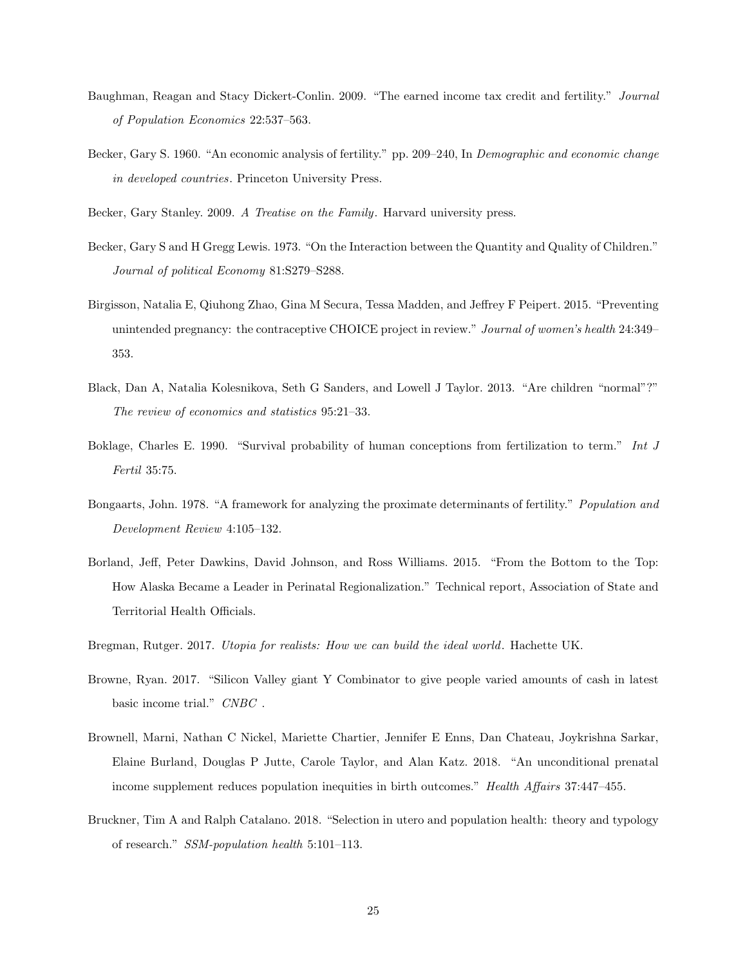- Baughman, Reagan and Stacy Dickert-Conlin. 2009. "The earned income tax credit and fertility." Journal of Population Economics 22:537–563.
- Becker, Gary S. 1960. "An economic analysis of fertility." pp. 209–240, In Demographic and economic change in developed countries. Princeton University Press.

Becker, Gary Stanley. 2009. A Treatise on the Family. Harvard university press.

- Becker, Gary S and H Gregg Lewis. 1973. "On the Interaction between the Quantity and Quality of Children." Journal of political Economy 81:S279–S288.
- Birgisson, Natalia E, Qiuhong Zhao, Gina M Secura, Tessa Madden, and Jeffrey F Peipert. 2015. "Preventing unintended pregnancy: the contraceptive CHOICE project in review." Journal of women's health 24:349– 353.
- Black, Dan A, Natalia Kolesnikova, Seth G Sanders, and Lowell J Taylor. 2013. "Are children "normal"?" The review of economics and statistics 95:21–33.
- Boklage, Charles E. 1990. "Survival probability of human conceptions from fertilization to term." Int J Fertil 35:75.
- Bongaarts, John. 1978. "A framework for analyzing the proximate determinants of fertility." Population and Development Review 4:105–132.
- Borland, Jeff, Peter Dawkins, David Johnson, and Ross Williams. 2015. "From the Bottom to the Top: How Alaska Became a Leader in Perinatal Regionalization." Technical report, Association of State and Territorial Health Officials.
- Bregman, Rutger. 2017. Utopia for realists: How we can build the ideal world. Hachette UK.
- Browne, Ryan. 2017. "Silicon Valley giant Y Combinator to give people varied amounts of cash in latest basic income trial."  $\mathit{CNBC}$  .
- Brownell, Marni, Nathan C Nickel, Mariette Chartier, Jennifer E Enns, Dan Chateau, Joykrishna Sarkar, Elaine Burland, Douglas P Jutte, Carole Taylor, and Alan Katz. 2018. "An unconditional prenatal income supplement reduces population inequities in birth outcomes." Health Affairs 37:447-455.
- Bruckner, Tim A and Ralph Catalano. 2018. "Selection in utero and population health: theory and typology of research." SSM-population health 5:101–113.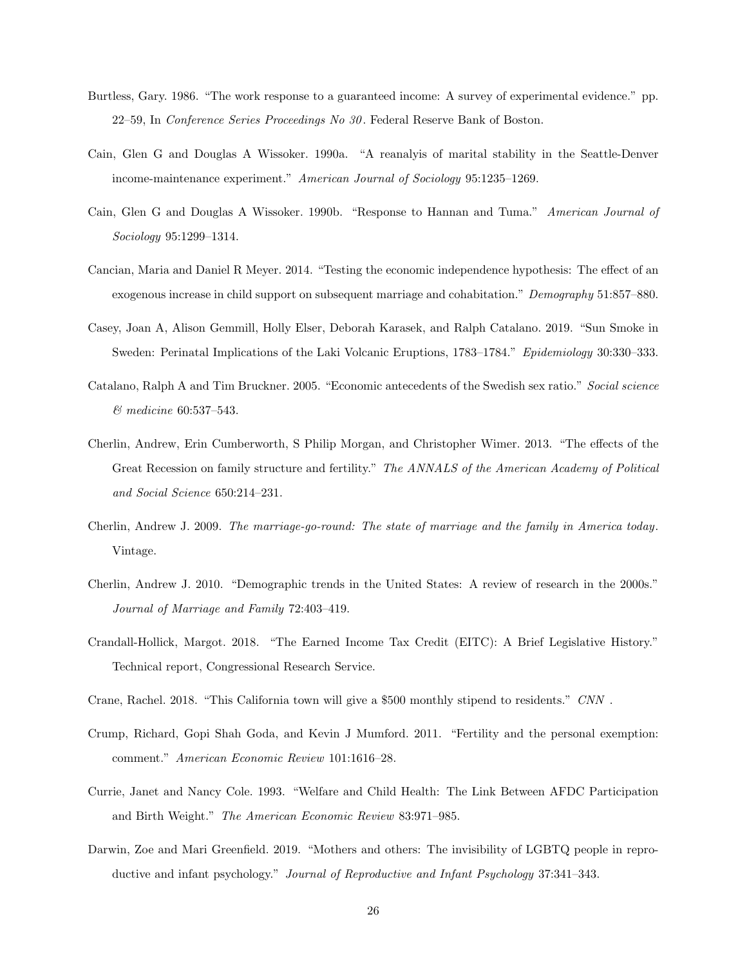- Burtless, Gary. 1986. "The work response to a guaranteed income: A survey of experimental evidence." pp. 22–59, In Conference Series Proceedings No 30 . Federal Reserve Bank of Boston.
- Cain, Glen G and Douglas A Wissoker. 1990a. "A reanalyis of marital stability in the Seattle-Denver income-maintenance experiment." American Journal of Sociology 95:1235–1269.
- Cain, Glen G and Douglas A Wissoker. 1990b. "Response to Hannan and Tuma." American Journal of Sociology 95:1299–1314.
- Cancian, Maria and Daniel R Meyer. 2014. "Testing the economic independence hypothesis: The effect of an exogenous increase in child support on subsequent marriage and cohabitation." Demography 51:857–880.
- Casey, Joan A, Alison Gemmill, Holly Elser, Deborah Karasek, and Ralph Catalano. 2019. "Sun Smoke in Sweden: Perinatal Implications of the Laki Volcanic Eruptions, 1783–1784." Epidemiology 30:330–333.
- Catalano, Ralph A and Tim Bruckner. 2005. "Economic antecedents of the Swedish sex ratio." Social science & medicine 60:537–543.
- Cherlin, Andrew, Erin Cumberworth, S Philip Morgan, and Christopher Wimer. 2013. "The effects of the Great Recession on family structure and fertility." The ANNALS of the American Academy of Political and Social Science 650:214–231.
- Cherlin, Andrew J. 2009. The marriage-go-round: The state of marriage and the family in America today. Vintage.
- Cherlin, Andrew J. 2010. "Demographic trends in the United States: A review of research in the 2000s." Journal of Marriage and Family 72:403–419.
- Crandall-Hollick, Margot. 2018. "The Earned Income Tax Credit (EITC): A Brief Legislative History." Technical report, Congressional Research Service.
- Crane, Rachel. 2018. "This California town will give a \$500 monthly stipend to residents." CNN .
- Crump, Richard, Gopi Shah Goda, and Kevin J Mumford. 2011. "Fertility and the personal exemption: comment." American Economic Review 101:1616–28.
- Currie, Janet and Nancy Cole. 1993. "Welfare and Child Health: The Link Between AFDC Participation and Birth Weight." The American Economic Review 83:971–985.
- Darwin, Zoe and Mari Greenfield. 2019. "Mothers and others: The invisibility of LGBTQ people in reproductive and infant psychology." Journal of Reproductive and Infant Psychology 37:341–343.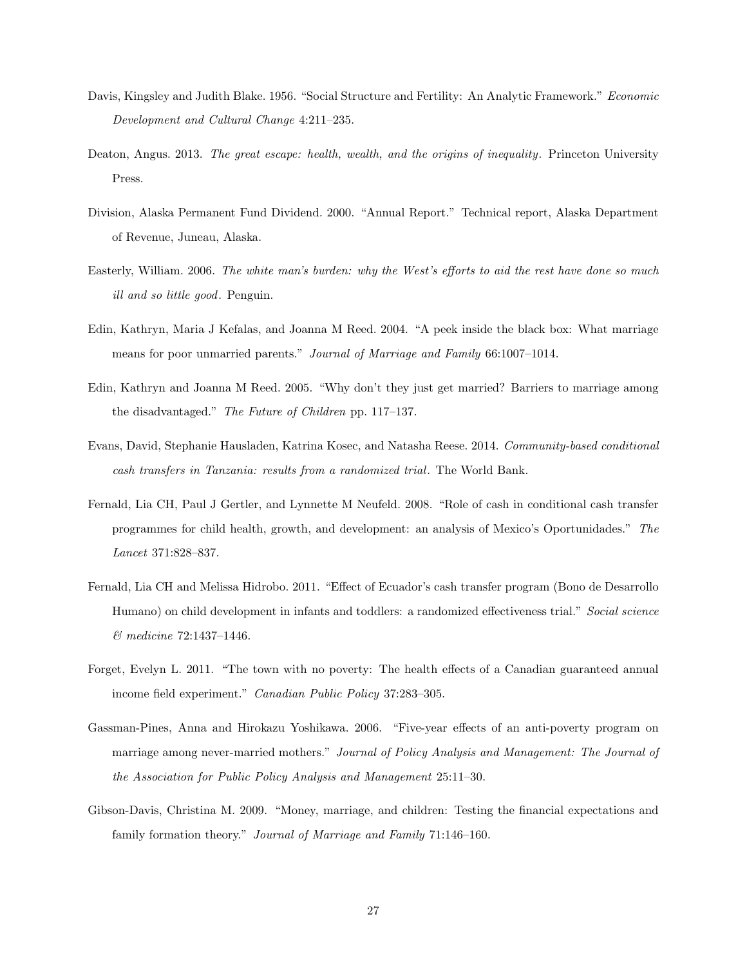- Davis, Kingsley and Judith Blake. 1956. "Social Structure and Fertility: An Analytic Framework." Economic Development and Cultural Change 4:211–235.
- Deaton, Angus. 2013. The great escape: health, wealth, and the origins of inequality. Princeton University Press.
- Division, Alaska Permanent Fund Dividend. 2000. "Annual Report." Technical report, Alaska Department of Revenue, Juneau, Alaska.
- Easterly, William. 2006. The white man's burden: why the West's efforts to aid the rest have done so much ill and so little good. Penguin.
- Edin, Kathryn, Maria J Kefalas, and Joanna M Reed. 2004. "A peek inside the black box: What marriage means for poor unmarried parents." Journal of Marriage and Family 66:1007-1014.
- Edin, Kathryn and Joanna M Reed. 2005. "Why don't they just get married? Barriers to marriage among the disadvantaged." The Future of Children pp. 117–137.
- Evans, David, Stephanie Hausladen, Katrina Kosec, and Natasha Reese. 2014. Community-based conditional cash transfers in Tanzania: results from a randomized trial. The World Bank.
- Fernald, Lia CH, Paul J Gertler, and Lynnette M Neufeld. 2008. "Role of cash in conditional cash transfer programmes for child health, growth, and development: an analysis of Mexico's Oportunidades." The Lancet 371:828–837.
- Fernald, Lia CH and Melissa Hidrobo. 2011. "Effect of Ecuador's cash transfer program (Bono de Desarrollo Humano) on child development in infants and toddlers: a randomized effectiveness trial." Social science & medicine 72:1437–1446.
- Forget, Evelyn L. 2011. "The town with no poverty: The health effects of a Canadian guaranteed annual income field experiment." Canadian Public Policy 37:283–305.
- Gassman-Pines, Anna and Hirokazu Yoshikawa. 2006. "Five-year effects of an anti-poverty program on marriage among never-married mothers." Journal of Policy Analysis and Management: The Journal of the Association for Public Policy Analysis and Management 25:11–30.
- Gibson-Davis, Christina M. 2009. "Money, marriage, and children: Testing the financial expectations and family formation theory." Journal of Marriage and Family 71:146–160.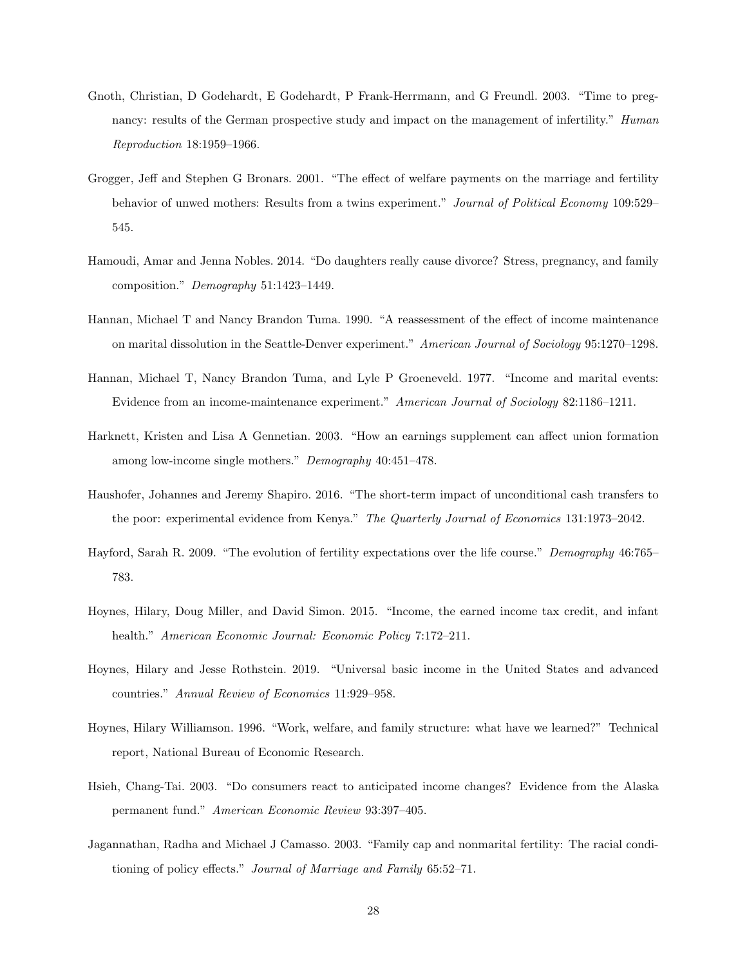- Gnoth, Christian, D Godehardt, E Godehardt, P Frank-Herrmann, and G Freundl. 2003. "Time to pregnancy: results of the German prospective study and impact on the management of infertility." Human Reproduction 18:1959–1966.
- Grogger, Jeff and Stephen G Bronars. 2001. "The effect of welfare payments on the marriage and fertility behavior of unwed mothers: Results from a twins experiment." Journal of Political Economy 109:529– 545.
- Hamoudi, Amar and Jenna Nobles. 2014. "Do daughters really cause divorce? Stress, pregnancy, and family composition." Demography 51:1423–1449.
- Hannan, Michael T and Nancy Brandon Tuma. 1990. "A reassessment of the effect of income maintenance on marital dissolution in the Seattle-Denver experiment." American Journal of Sociology 95:1270–1298.
- Hannan, Michael T, Nancy Brandon Tuma, and Lyle P Groeneveld. 1977. "Income and marital events: Evidence from an income-maintenance experiment." American Journal of Sociology 82:1186–1211.
- Harknett, Kristen and Lisa A Gennetian. 2003. "How an earnings supplement can affect union formation among low-income single mothers." Demography 40:451–478.
- Haushofer, Johannes and Jeremy Shapiro. 2016. "The short-term impact of unconditional cash transfers to the poor: experimental evidence from Kenya." The Quarterly Journal of Economics 131:1973–2042.
- Hayford, Sarah R. 2009. "The evolution of fertility expectations over the life course." Demography 46:765– 783.
- Hoynes, Hilary, Doug Miller, and David Simon. 2015. "Income, the earned income tax credit, and infant health." American Economic Journal: Economic Policy 7:172-211.
- Hoynes, Hilary and Jesse Rothstein. 2019. "Universal basic income in the United States and advanced countries." Annual Review of Economics 11:929–958.
- Hoynes, Hilary Williamson. 1996. "Work, welfare, and family structure: what have we learned?" Technical report, National Bureau of Economic Research.
- Hsieh, Chang-Tai. 2003. "Do consumers react to anticipated income changes? Evidence from the Alaska permanent fund." American Economic Review 93:397–405.
- Jagannathan, Radha and Michael J Camasso. 2003. "Family cap and nonmarital fertility: The racial conditioning of policy effects." Journal of Marriage and Family 65:52–71.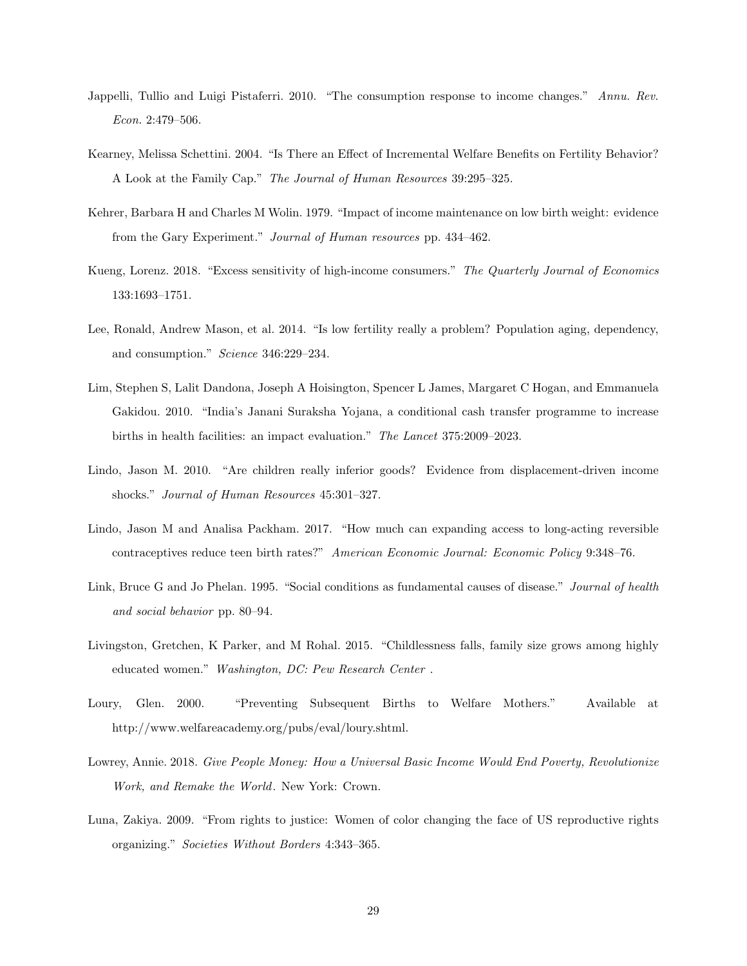- Jappelli, Tullio and Luigi Pistaferri. 2010. "The consumption response to income changes." Annu. Rev. Econ. 2:479–506.
- Kearney, Melissa Schettini. 2004. "Is There an Effect of Incremental Welfare Benefits on Fertility Behavior? A Look at the Family Cap." The Journal of Human Resources 39:295–325.
- Kehrer, Barbara H and Charles M Wolin. 1979. "Impact of income maintenance on low birth weight: evidence from the Gary Experiment." Journal of Human resources pp. 434–462.
- Kueng, Lorenz. 2018. "Excess sensitivity of high-income consumers." The Quarterly Journal of Economics 133:1693–1751.
- Lee, Ronald, Andrew Mason, et al. 2014. "Is low fertility really a problem? Population aging, dependency, and consumption." Science 346:229–234.
- Lim, Stephen S, Lalit Dandona, Joseph A Hoisington, Spencer L James, Margaret C Hogan, and Emmanuela Gakidou. 2010. "India's Janani Suraksha Yojana, a conditional cash transfer programme to increase births in health facilities: an impact evaluation." The Lancet 375:2009–2023.
- Lindo, Jason M. 2010. "Are children really inferior goods? Evidence from displacement-driven income shocks." Journal of Human Resources 45:301–327.
- Lindo, Jason M and Analisa Packham. 2017. "How much can expanding access to long-acting reversible contraceptives reduce teen birth rates?" American Economic Journal: Economic Policy 9:348–76.
- Link, Bruce G and Jo Phelan. 1995. "Social conditions as fundamental causes of disease." Journal of health and social behavior pp. 80–94.
- Livingston, Gretchen, K Parker, and M Rohal. 2015. "Childlessness falls, family size grows among highly educated women." Washington, DC: Pew Research Center .
- Loury, Glen. 2000. "Preventing Subsequent Births to Welfare Mothers." Available at http://www.welfareacademy.org/pubs/eval/loury.shtml.
- Lowrey, Annie. 2018. Give People Money: How a Universal Basic Income Would End Poverty, Revolutionize Work, and Remake the World. New York: Crown.
- Luna, Zakiya. 2009. "From rights to justice: Women of color changing the face of US reproductive rights organizing." Societies Without Borders 4:343–365.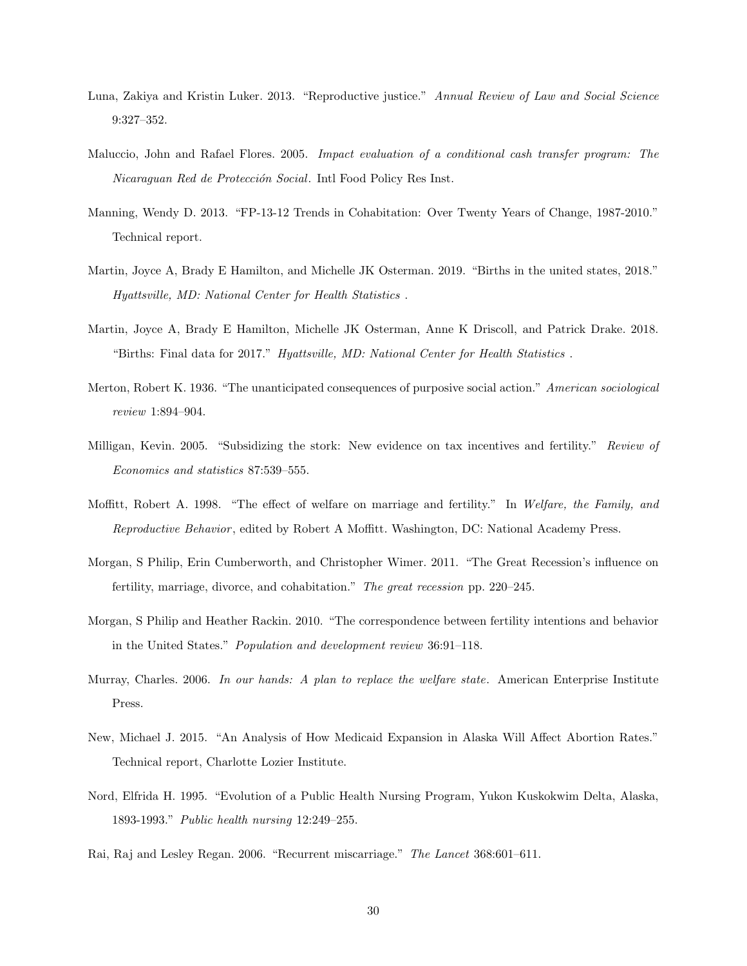- Luna, Zakiya and Kristin Luker. 2013. "Reproductive justice." Annual Review of Law and Social Science 9:327–352.
- Maluccio, John and Rafael Flores. 2005. Impact evaluation of a conditional cash transfer program: The Nicaraguan Red de Protección Social. Intl Food Policy Res Inst.
- Manning, Wendy D. 2013. "FP-13-12 Trends in Cohabitation: Over Twenty Years of Change, 1987-2010." Technical report.
- Martin, Joyce A, Brady E Hamilton, and Michelle JK Osterman. 2019. "Births in the united states, 2018." Hyattsville, MD: National Center for Health Statistics .
- Martin, Joyce A, Brady E Hamilton, Michelle JK Osterman, Anne K Driscoll, and Patrick Drake. 2018. "Births: Final data for 2017." Hyattsville, MD: National Center for Health Statistics .
- Merton, Robert K. 1936. "The unanticipated consequences of purposive social action." American sociological review 1:894–904.
- Milligan, Kevin. 2005. "Subsidizing the stork: New evidence on tax incentives and fertility." Review of Economics and statistics 87:539–555.
- Moffitt, Robert A. 1998. "The effect of welfare on marriage and fertility." In Welfare, the Family, and Reproductive Behavior , edited by Robert A Moffitt. Washington, DC: National Academy Press.
- Morgan, S Philip, Erin Cumberworth, and Christopher Wimer. 2011. "The Great Recession's influence on fertility, marriage, divorce, and cohabitation." The great recession pp. 220–245.
- Morgan, S Philip and Heather Rackin. 2010. "The correspondence between fertility intentions and behavior in the United States." Population and development review 36:91–118.
- Murray, Charles. 2006. In our hands: A plan to replace the welfare state. American Enterprise Institute Press.
- New, Michael J. 2015. "An Analysis of How Medicaid Expansion in Alaska Will Affect Abortion Rates." Technical report, Charlotte Lozier Institute.
- Nord, Elfrida H. 1995. "Evolution of a Public Health Nursing Program, Yukon Kuskokwim Delta, Alaska, 1893-1993." Public health nursing 12:249–255.
- Rai, Raj and Lesley Regan. 2006. "Recurrent miscarriage." The Lancet 368:601–611.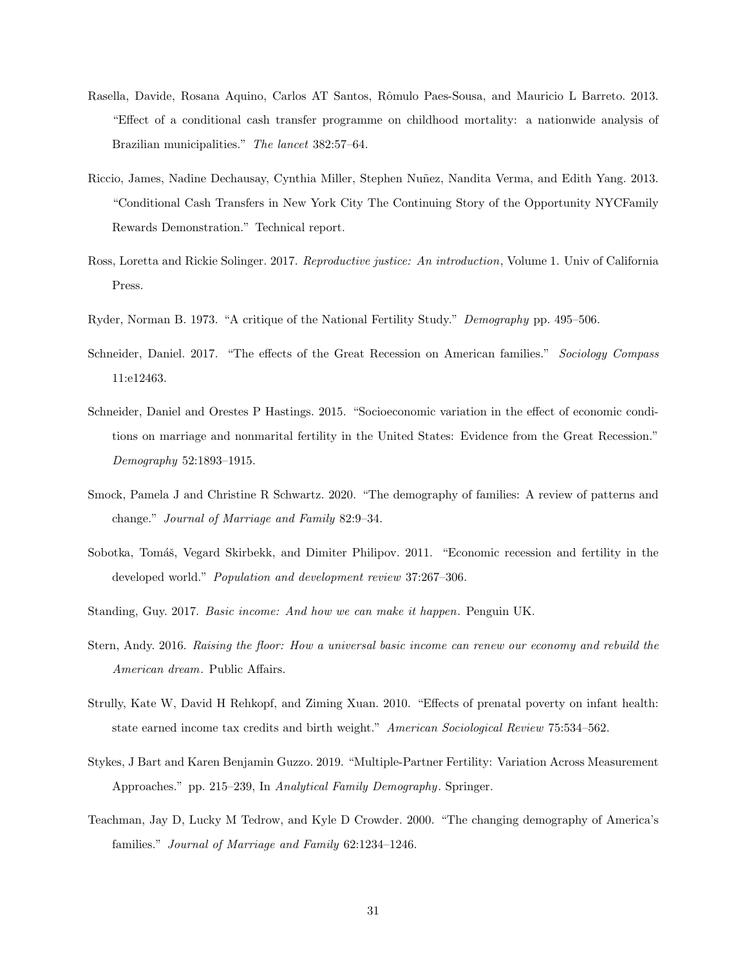- Rasella, Davide, Rosana Aquino, Carlos AT Santos, Rômulo Paes-Sousa, and Mauricio L Barreto. 2013. "Effect of a conditional cash transfer programme on childhood mortality: a nationwide analysis of Brazilian municipalities." The lancet 382:57–64.
- Riccio, James, Nadine Dechausay, Cynthia Miller, Stephen Nuñez, Nandita Verma, and Edith Yang. 2013. "Conditional Cash Transfers in New York City The Continuing Story of the Opportunity NYCFamily Rewards Demonstration." Technical report.
- Ross, Loretta and Rickie Solinger. 2017. Reproductive justice: An introduction, Volume 1. Univ of California Press.
- Ryder, Norman B. 1973. "A critique of the National Fertility Study." Demography pp. 495–506.
- Schneider, Daniel. 2017. "The effects of the Great Recession on American families." Sociology Compass 11:e12463.
- Schneider, Daniel and Orestes P Hastings. 2015. "Socioeconomic variation in the effect of economic conditions on marriage and nonmarital fertility in the United States: Evidence from the Great Recession." Demography 52:1893–1915.
- Smock, Pamela J and Christine R Schwartz. 2020. "The demography of families: A review of patterns and change." Journal of Marriage and Family 82:9–34.
- Sobotka, Tomáš, Vegard Skirbekk, and Dimiter Philipov. 2011. "Economic recession and fertility in the developed world." Population and development review 37:267–306.
- Standing, Guy. 2017. Basic income: And how we can make it happen. Penguin UK.
- Stern, Andy. 2016. Raising the floor: How a universal basic income can renew our economy and rebuild the American dream. Public Affairs.
- Strully, Kate W, David H Rehkopf, and Ziming Xuan. 2010. "Effects of prenatal poverty on infant health: state earned income tax credits and birth weight." American Sociological Review 75:534–562.
- Stykes, J Bart and Karen Benjamin Guzzo. 2019. "Multiple-Partner Fertility: Variation Across Measurement Approaches." pp. 215–239, In Analytical Family Demography. Springer.
- Teachman, Jay D, Lucky M Tedrow, and Kyle D Crowder. 2000. "The changing demography of America's families." Journal of Marriage and Family 62:1234–1246.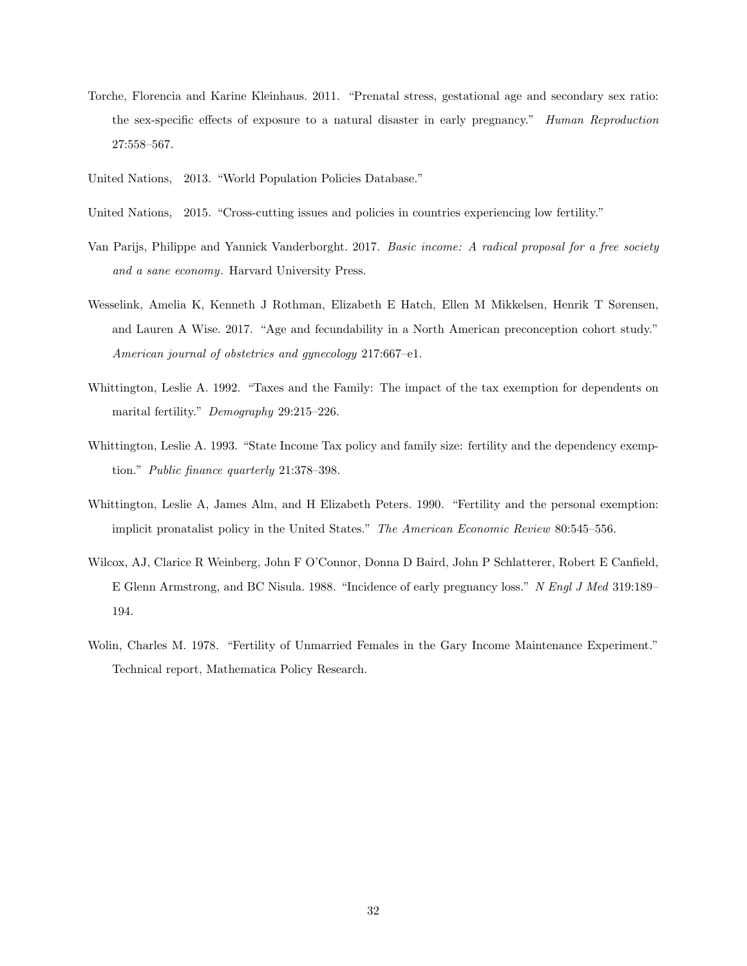- Torche, Florencia and Karine Kleinhaus. 2011. "Prenatal stress, gestational age and secondary sex ratio: the sex-specific effects of exposure to a natural disaster in early pregnancy." Human Reproduction 27:558–567.
- United Nations, 2013. "World Population Policies Database."
- United Nations, 2015. "Cross-cutting issues and policies in countries experiencing low fertility."
- Van Parijs, Philippe and Yannick Vanderborght. 2017. Basic income: A radical proposal for a free society and a sane economy. Harvard University Press.
- Wesselink, Amelia K, Kenneth J Rothman, Elizabeth E Hatch, Ellen M Mikkelsen, Henrik T Sørensen, and Lauren A Wise. 2017. "Age and fecundability in a North American preconception cohort study." American journal of obstetrics and gynecology 217:667–e1.
- Whittington, Leslie A. 1992. "Taxes and the Family: The impact of the tax exemption for dependents on marital fertility." Demography 29:215–226.
- Whittington, Leslie A. 1993. "State Income Tax policy and family size: fertility and the dependency exemption." Public finance quarterly 21:378–398.
- Whittington, Leslie A, James Alm, and H Elizabeth Peters. 1990. "Fertility and the personal exemption: implicit pronatalist policy in the United States." The American Economic Review 80:545–556.
- Wilcox, AJ, Clarice R Weinberg, John F O'Connor, Donna D Baird, John P Schlatterer, Robert E Canfield, E Glenn Armstrong, and BC Nisula. 1988. "Incidence of early pregnancy loss." N Engl J Med 319:189– 194.
- Wolin, Charles M. 1978. "Fertility of Unmarried Females in the Gary Income Maintenance Experiment." Technical report, Mathematica Policy Research.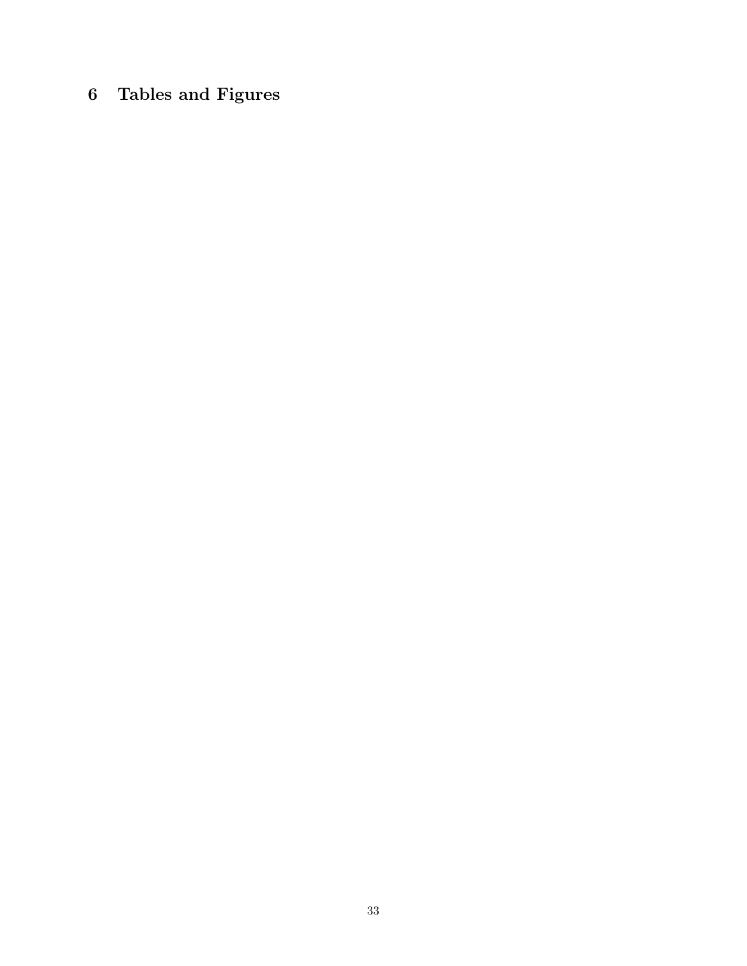# 6 Tables and Figures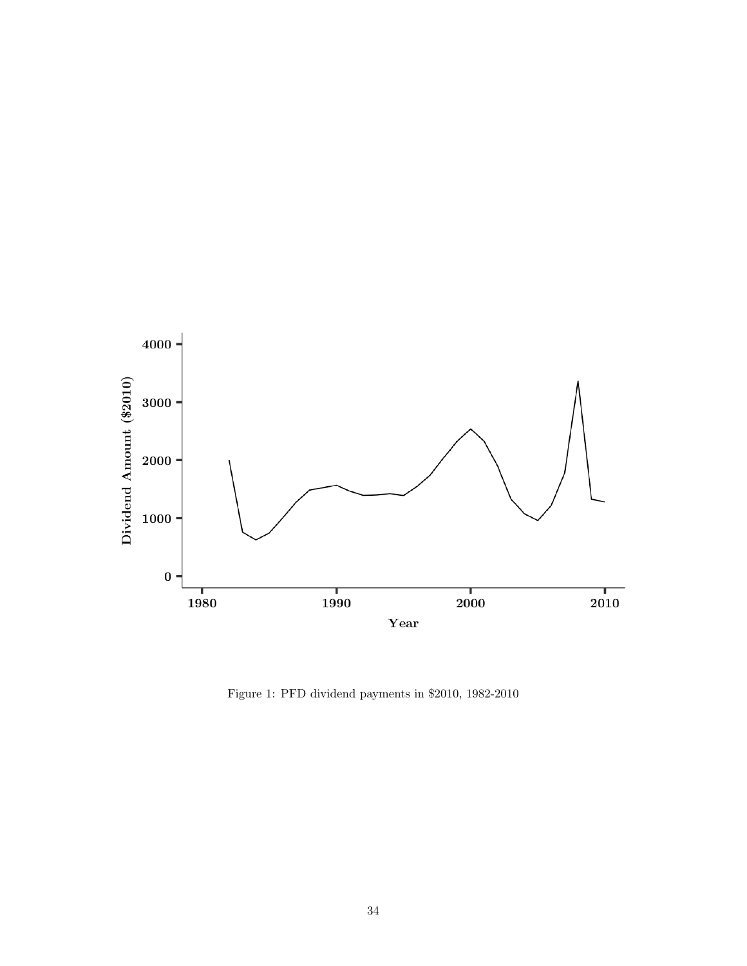

Figure 1: PFD dividend payments in \$2010, 1982-2010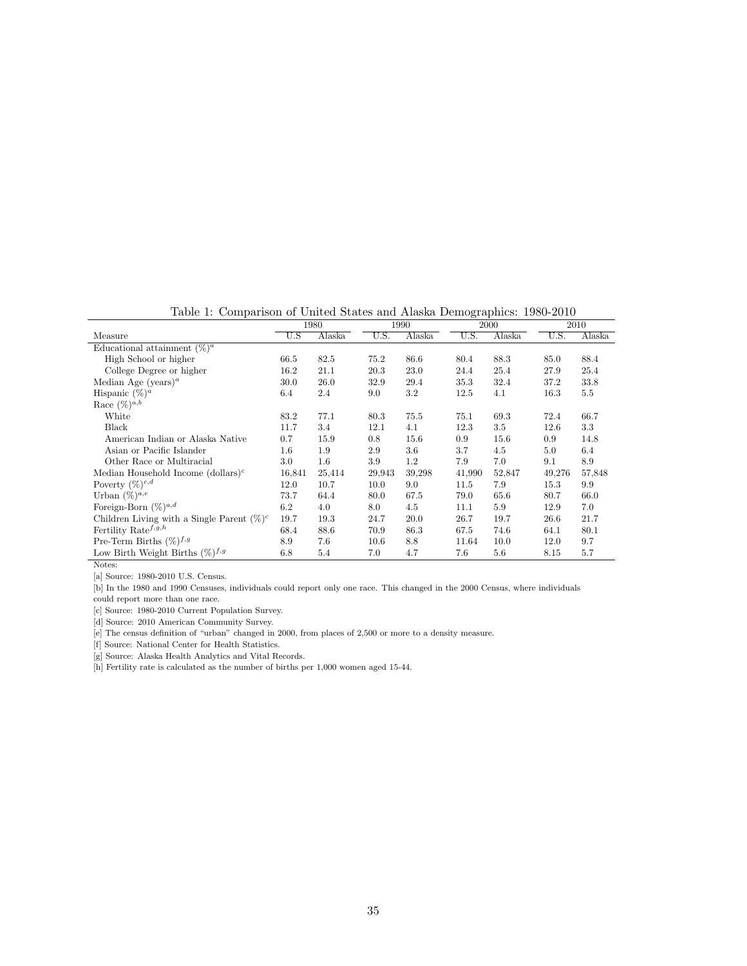Table 1: Comparison of United States and Alaska Demographics: 1980-2010

|                                               |                  | 1980    |        | 1990    |        | 2000    |        | 2010   |
|-----------------------------------------------|------------------|---------|--------|---------|--------|---------|--------|--------|
| Measure                                       | $\overline{U.S}$ | Alaska  | U.S.   | Alaska  | U.S.   | Alaska  | U.S.   | Alaska |
| Educational attainment $(\%)^a$               |                  |         |        |         |        |         |        |        |
| High School or higher                         | 66.5             | 82.5    | 75.2   | 86.6    | 80.4   | 88.3    | 85.0   | 88.4   |
| College Degree or higher                      | 16.2             | 21.1    | 20.3   | 23.0    | 24.4   | 25.4    | 27.9   | 25.4   |
| Median Age (years) <sup><i>a</i></sup>        | 30.0             | 26.0    | 32.9   | 29.4    | 35.3   | 32.4    | 37.2   | 33.8   |
| Hispanic $(\%)^a$                             | 6.4              | 2.4     | 9.0    | 3.2     | 12.5   | 4.1     | 16.3   | 5.5    |
| Race $(\%)^{a,b}$                             |                  |         |        |         |        |         |        |        |
| White                                         | 83.2             | 77.1    | 80.3   | 75.5    | 75.1   | 69.3    | 72.4   | 66.7   |
| Black                                         | 11.7             | 3.4     | 12.1   | 4.1     | 12.3   | 3.5     | 12.6   | 3.3    |
| American Indian or Alaska Native              | 0.7              | 15.9    | 0.8    | 15.6    | 0.9    | 15.6    | 0.9    | 14.8   |
| Asian or Pacific Islander                     | 1.6              | 1.9     | 2.9    | 3.6     | 3.7    | 4.5     | 5.0    | 6.4    |
| Other Race or Multiracial                     | $3.0\,$          | $1.6\,$ | 3.9    | $1.2\,$ | 7.9    | 7.0     | 9.1    | 8.9    |
| Median Household Income $(dollars)c$          | 16.841           | 25,414  | 29,943 | 39,298  | 41,990 | 52,847  | 49,276 | 57,848 |
| Poverty $(\%)^{c,d}$                          | 12.0             | 10.7    | 10.0   | 9.0     | 11.5   | 7.9     | 15.3   | 9.9    |
| Urban $(\%)^{a,e}$                            | 73.7             | 64.4    | 80.0   | 67.5    | 79.0   | 65.6    | 80.7   | 66.0   |
| Foreign-Born $(\%)^{a,d}$                     | 6.2              | 4.0     | 8.0    | 4.5     | 11.1   | 5.9     | 12.9   | 7.0    |
| Children Living with a Single Parent $(\%)^c$ | 19.7             | 19.3    | 24.7   | 20.0    | 26.7   | 19.7    | 26.6   | 21.7   |
| Fertility Rate <sup><math>f,g,h</math></sup>  | 68.4             | 88.6    | 70.9   | 86.3    | 67.5   | 74.6    | 64.1   | 80.1   |
| Pre-Term Births $(\%)^{f,g}$                  | 8.9              | 7.6     | 10.6   | 8.8     | 11.64  | 10.0    | 12.0   | 9.7    |
| Low Birth Weight Births $(\%)^{f,g}$          | 6.8              | 5.4     | 7.0    | 4.7     | 7.6    | $5.6\,$ | 8.15   | 5.7    |

[a] Source: 1980-2010 U.S. Census.

[b] In the 1980 and 1990 Censuses, individuals could report only one race. This changed in the 2000 Census, where individuals could report more than one race.

[c] Source: 1980-2010 Current Population Survey.

[d] Source: 2010 American Community Survey.

[e] The census definition of "urban" changed in 2000, from places of 2,500 or more to a density measure.

[f] Source: National Center for Health Statistics.

[g] Source: Alaska Health Analytics and Vital Records.

[h] Fertility rate is calculated as the number of births per 1,000 women aged 15-44.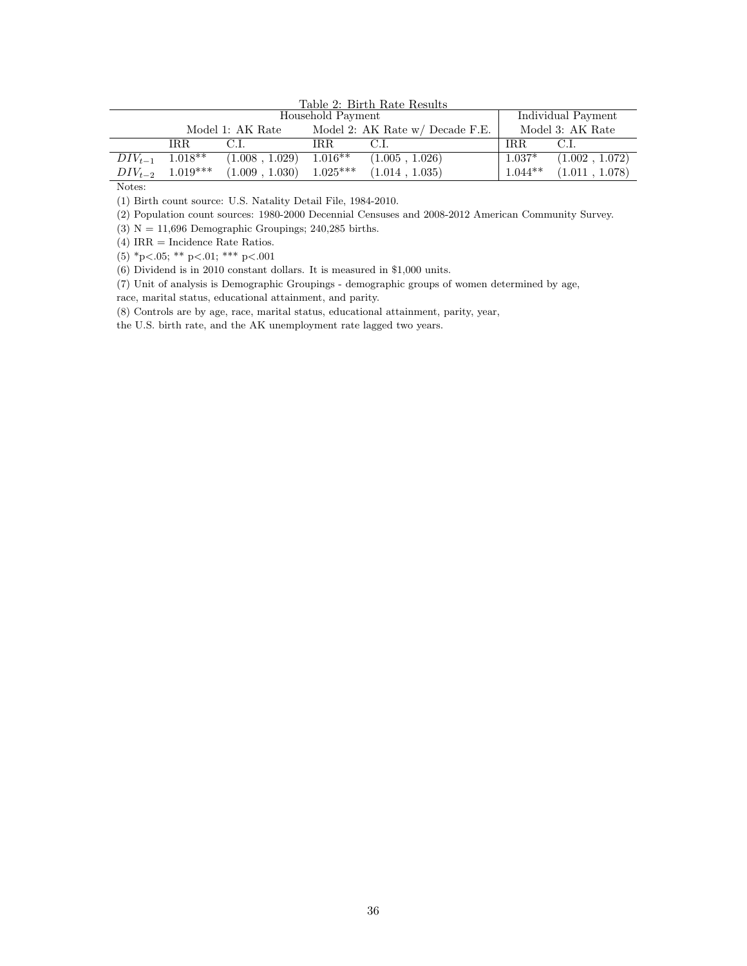|                   | Table 2: Birth Rate Results |                  |            |                                 |           |                    |
|-------------------|-----------------------------|------------------|------------|---------------------------------|-----------|--------------------|
| Household Payment |                             |                  |            |                                 |           | Individual Payment |
|                   |                             | Model 1: AK Rate |            | Model 2: AK Rate w/ Decade F.E. |           | Model 3: AK Rate   |
|                   | IRR.                        | C.L              | IRR.       | C.L                             | IRR.      | C.L.               |
| $DIV_{t-1}$       | $1.018**$                   | (1.008, 1.029)   | $1.016**$  | (1.005, 1.026)                  | $1.037*$  | (1.002, 1.072)     |
|                   | $DIV_{t-2}$ 1.019***        | (1.009, 1.030)   | $1.025***$ | (1.014, 1.035)                  | $1.044**$ | (1.011, 1.078)     |

(1) Birth count source: U.S. Natality Detail File, 1984-2010.

(2) Population count sources: 1980-2000 Decennial Censuses and 2008-2012 American Community Survey.

(3)  $N = 11,696$  Demographic Groupings; 240,285 births.

(4) IRR = Incidence Rate Ratios.

(5)  ${}^*p<.05$ ; \*\* p $<.01$ ; \*\*\* p $<.001$ 

(6) Dividend is in 2010 constant dollars. It is measured in \$1,000 units.

(7) Unit of analysis is Demographic Groupings - demographic groups of women determined by age,

race, marital status, educational attainment, and parity.

(8) Controls are by age, race, marital status, educational attainment, parity, year,

the U.S. birth rate, and the AK unemployment rate lagged two years.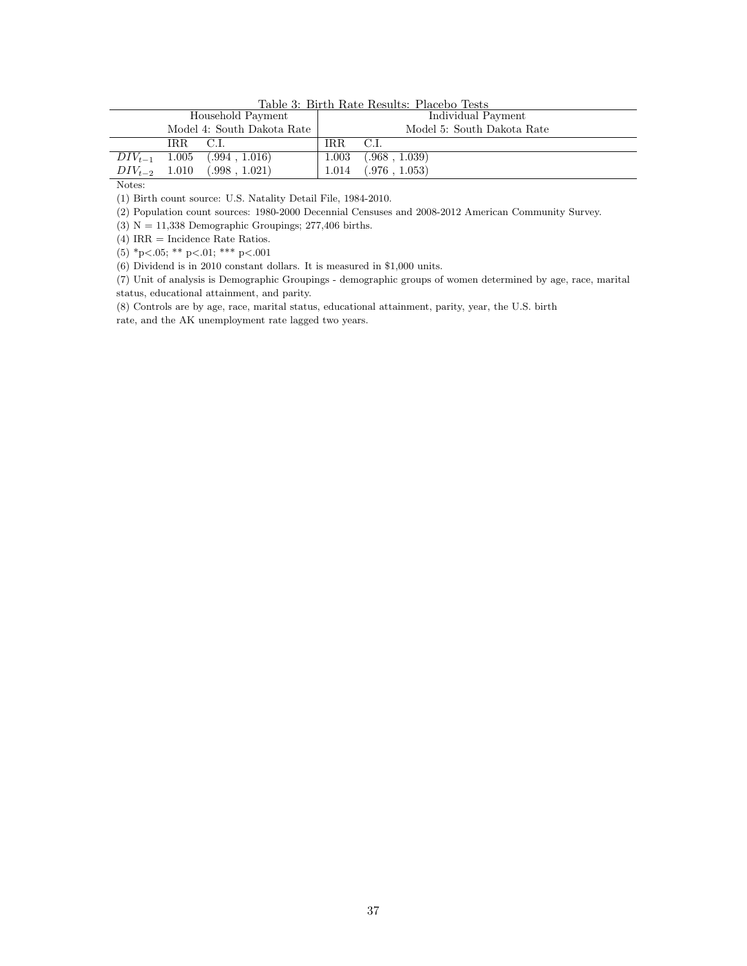|                   | Table 3: Birth Rate Results: Placebo Tests |                            |                    |                            |
|-------------------|--------------------------------------------|----------------------------|--------------------|----------------------------|
| Household Payment |                                            |                            | Individual Payment |                            |
|                   |                                            | Model 4: South Dakota Rate |                    | Model 5: South Dakota Rate |
|                   | IRR C.I.                                   |                            | IR.R               | C.L                        |
| $DIV_{t-1}$       |                                            | $1.005$ $(.994, 1.016)$    | 1.003              | (.968, 1.039)              |
| $DIV_{t-2}$ 1.010 |                                            | (.998, 1.021)              | 1.014              | (.976, 1.053)              |

Table 3: Birth Rate Results: Placebo Tests

(1) Birth count source: U.S. Natality Detail File, 1984-2010.

(2) Population count sources: 1980-2000 Decennial Censuses and 2008-2012 American Community Survey.

(3)  $N = 11,338$  Demographic Groupings; 277,406 births.

(4) IRR = Incidence Rate Ratios.

(5) \*p<.05; \*\* p<.01; \*\*\* p<.001

(6) Dividend is in 2010 constant dollars. It is measured in \$1,000 units.

(7) Unit of analysis is Demographic Groupings - demographic groups of women determined by age, race, marital status, educational attainment, and parity.

(8) Controls are by age, race, marital status, educational attainment, parity, year, the U.S. birth

rate, and the AK unemployment rate lagged two years.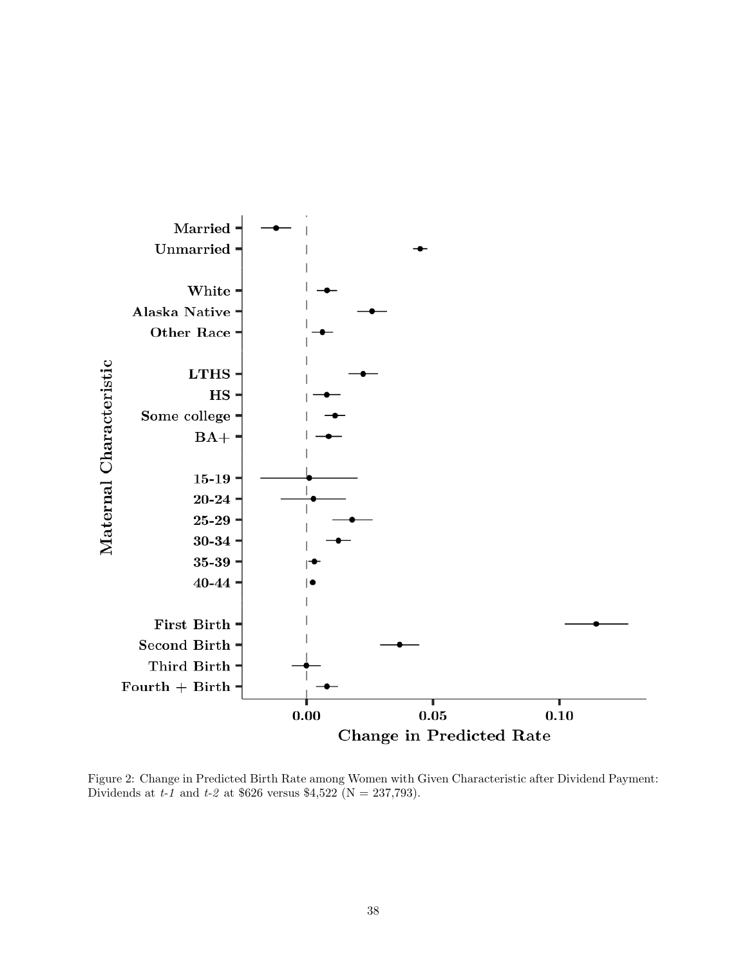

Figure 2: Change in Predicted Birth Rate among Women with Given Characteristic after Dividend Payment: Dividends at t-1 and t-2 at \$626 versus \$4,522 (N = 237,793).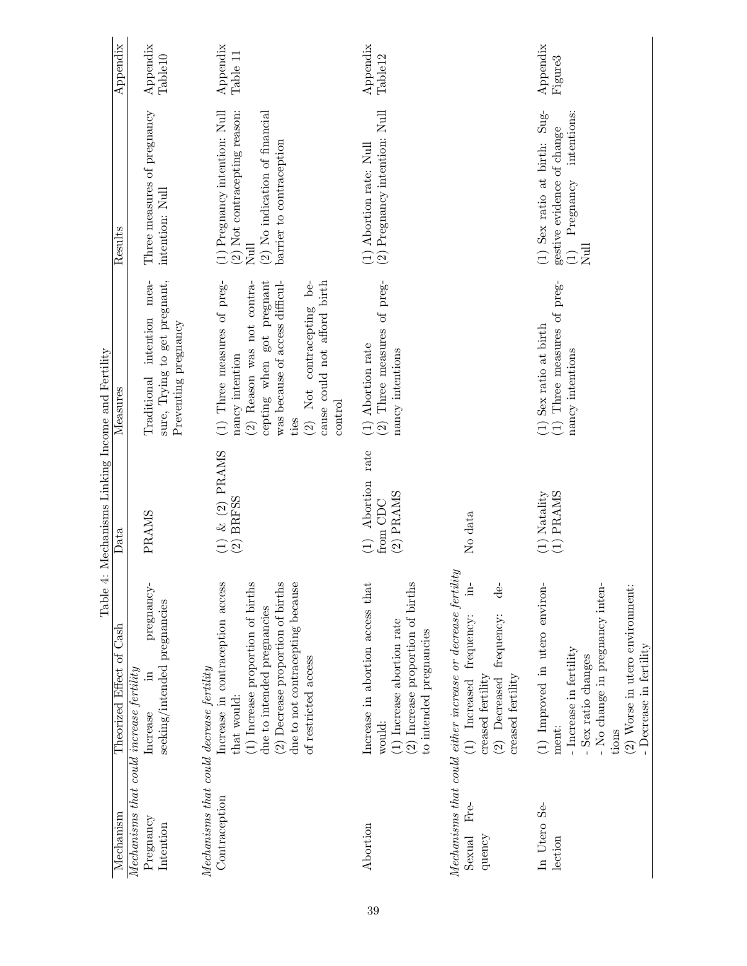| Appendix                                                 | Appendix<br>Table <sup>10</sup>                                                                               | Appendix<br>Table 11                                                                                                                                                                                                                                             | Appendix<br>Table <sub>12</sub>                                                                                                          |                                                                                                                                                                                  | Appendix<br>Figure3<br>intentions:                                                                                                                                     |
|----------------------------------------------------------|---------------------------------------------------------------------------------------------------------------|------------------------------------------------------------------------------------------------------------------------------------------------------------------------------------------------------------------------------------------------------------------|------------------------------------------------------------------------------------------------------------------------------------------|----------------------------------------------------------------------------------------------------------------------------------------------------------------------------------|------------------------------------------------------------------------------------------------------------------------------------------------------------------------|
| Results                                                  | Three measures of pregnancy<br>intention: Null                                                                | (1) Pregnancy intention: Null (2) Not contrace<br>pting reason:<br>(2) No indication of financial<br>barrier to contraception<br>$N$ ull                                                                                                                         | (2) Pregnancy intention: Null<br>(1) Abortion rate: Null                                                                                 |                                                                                                                                                                                  | (1) Sex ratio at birth: Sug-<br>gestive evidence of change<br>$\begin{array}{ll} \mbox{(1)} & \mbox{Pregnancy} \\ \mbox{Null} & \end{array}$                           |
| Measures                                                 | mea-<br>sure, Trying to get pregnant,<br>Traditional intention<br>Preventing pregnancy                        | (1) Three measures of preg-<br>cepting when got pregnant<br>was because of access difficul-<br>(2) Not contracepting be-<br>(2) Reason was not contra-<br>cause could not afford birth<br>nancy intention<br>control<br>ties                                     | (2) Three measures of preg-<br>(1) Abortion rate<br>nancy intentions                                                                     |                                                                                                                                                                                  | (1) Sex ratio at birth $(1)$ Three measures of preg-<br>nancy intentions                                                                                               |
| Table 4: Mechanisms Linking Income and Fertility<br>Data | PRAMS                                                                                                         | $\begin{array}{c} (1)\  \, \&\,\, (2)\  \, {\rm PRAMS}\\ (2)\,\, {\rm BRFSS} \end{array}$                                                                                                                                                                        | rate<br>$(1)$ Abortion<br>$(2)$ PRAMS<br>from CDC                                                                                        | No data                                                                                                                                                                          | $\begin{array}{c} \text{(1) } \text{Natality} \\ \text{(1) } \text{PRAMS} \end{array}$                                                                                 |
| Theorized Effect of Cash                                 | pregnancy-<br>seeking/intended pregnancies<br>$Mechanisms that could increase fertility$<br>$\Xi$<br>Increase | Increase in contraception access<br>(2) Decrease proportion of births<br>(1) Increase proportion of births<br>due to not contracepting because<br>due to intended pregnancies<br>of restricted access<br>Mechanisms that could decrease fertility<br>that would: | (2) Increase proportion of births<br>Increase in abortion access that<br>(1) Increase abortion rate<br>to intended pregnancies<br>would: | Mechanisms that could either increase or decrease fertility<br>$\exists$<br>de<br>(2) Decreased frequency:<br>(1) Increased frequency:<br>creased fertility<br>creased fertility | (1) Improved in utero environ-<br>No change in pregnancy inten-<br>(2) Worse in utero environment:<br>- Increase in fertility<br>- Sex ratio changes<br>ment:<br>tions |
| Mechanism                                                | Pregnancy<br>Intention                                                                                        | Contraception                                                                                                                                                                                                                                                    | Abortion                                                                                                                                 | Fre-<br>Sexual<br>quency                                                                                                                                                         | In Utero Se-<br>lection                                                                                                                                                |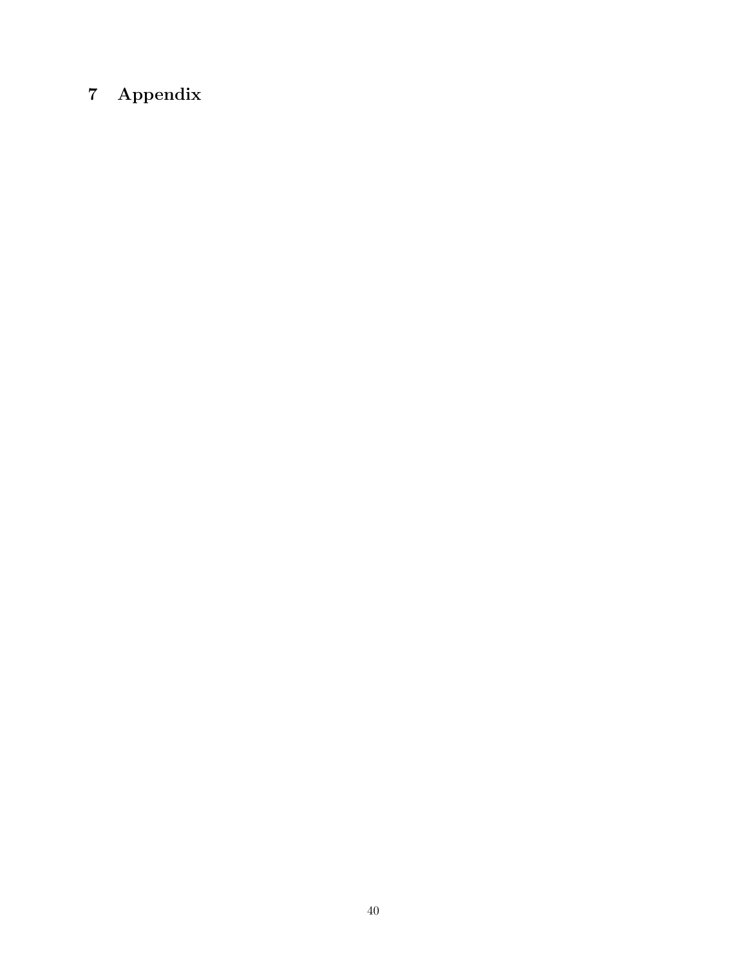# 7 Appendix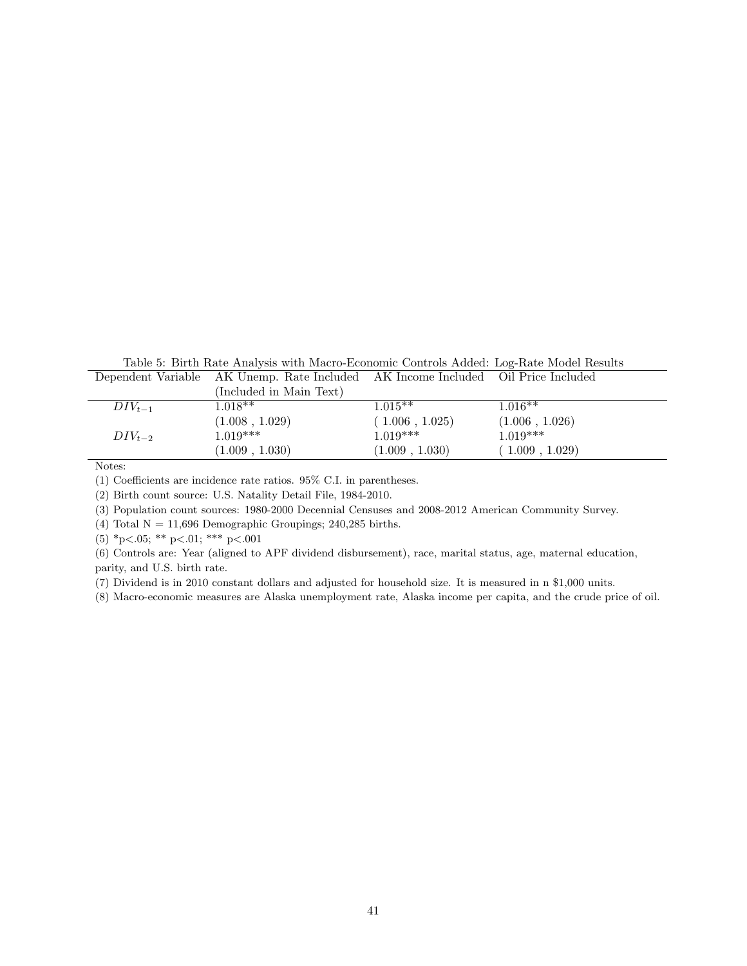Table 5: Birth Rate Analysis with Macro-Economic Controls Added: Log-Rate Model Results

|             | Dependent Variable AK Unemp. Rate Included AK Income Included Oil Price Included |                |                |
|-------------|----------------------------------------------------------------------------------|----------------|----------------|
|             | (Included in Main Text)                                                          |                |                |
| $DIV_{t-1}$ | $1.018**$                                                                        | $1.015**$      | $1.016**$      |
|             | (1.008, 1.029)                                                                   | (1.006, 1.025) | (1.006, 1.026) |
| $DIV_{t-2}$ | $1.019***$                                                                       | $1.019***$     | $1.019***$     |
|             | (1.009, 1.030)                                                                   | (1.009, 1.030) | (1.009, 1.029) |

(1) Coefficients are incidence rate ratios. 95% C.I. in parentheses.

(2) Birth count source: U.S. Natality Detail File, 1984-2010.

(3) Population count sources: 1980-2000 Decennial Censuses and 2008-2012 American Community Survey.

(4) Total  $N = 11,696$  Demographic Groupings; 240,285 births.

(5) \*p<.05; \*\* p<.01; \*\*\* p<.001

(6) Controls are: Year (aligned to APF dividend disbursement), race, marital status, age, maternal education, parity, and U.S. birth rate.

(7) Dividend is in 2010 constant dollars and adjusted for household size. It is measured in n \$1,000 units.

(8) Macro-economic measures are Alaska unemployment rate, Alaska income per capita, and the crude price of oil.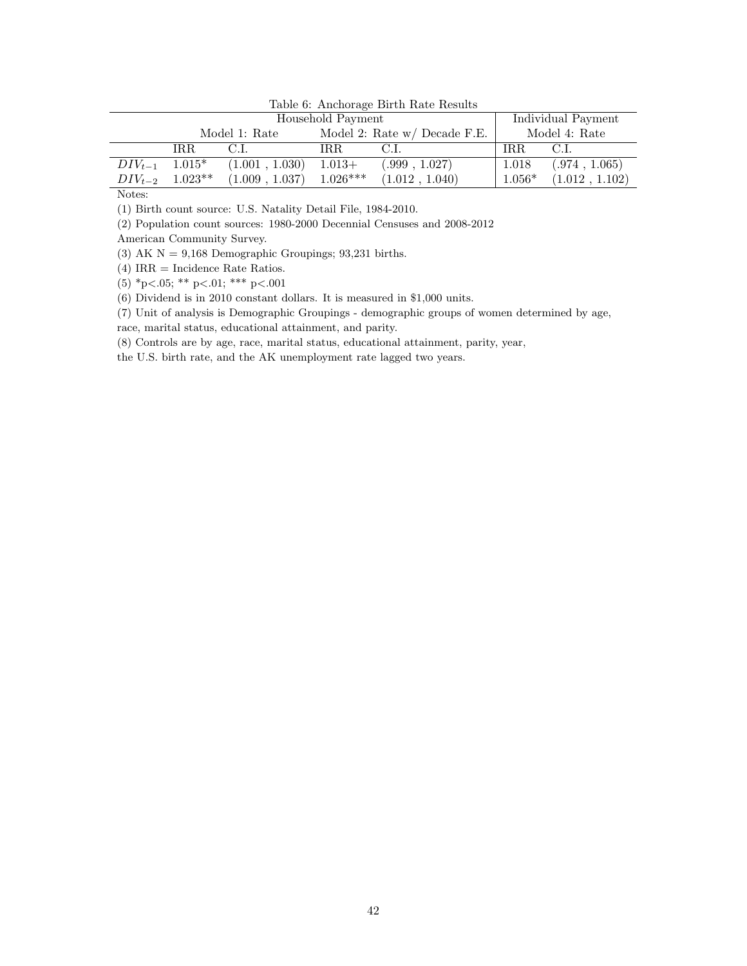|                   | Lable 0. THRHOLGS DIFTH Rate Results |                         |            |                                |          |                    |
|-------------------|--------------------------------------|-------------------------|------------|--------------------------------|----------|--------------------|
| Household Payment |                                      |                         |            |                                |          | Individual Payment |
|                   |                                      | Model 1: Rate           |            | Model 2: Rate $w/D$ ecade F.E. |          | Model 4: Rate      |
|                   | IR.R.                                | C.L                     | IR.R       |                                | IRR.     | C.L                |
| $DIV_{t-1}$       | $1.015*$                             | $(1.001, 1.030)$ 1.013+ |            | (.999, 1.027)                  | 1.018    | (.974, 1.065)      |
|                   | $DIV_{t-2}$ 1.023**                  | (1.009, 1.037)          | $1.026***$ | (1.012, 1.040)                 | $1.056*$ | (1.012, 1.102)     |

Table 6: Anchorage Birth Rate Results

(1) Birth count source: U.S. Natality Detail File, 1984-2010.

(2) Population count sources: 1980-2000 Decennial Censuses and 2008-2012

American Community Survey.

(3) AK  $N = 9,168$  Demographic Groupings; 93,231 births.

(4) IRR = Incidence Rate Ratios.

(5) \*p<.05; \*\* p<.01; \*\*\* p<.001

(6) Dividend is in 2010 constant dollars. It is measured in \$1,000 units.

(7) Unit of analysis is Demographic Groupings - demographic groups of women determined by age, race, marital status, educational attainment, and parity.

(8) Controls are by age, race, marital status, educational attainment, parity, year,

the U.S. birth rate, and the AK unemployment rate lagged two years.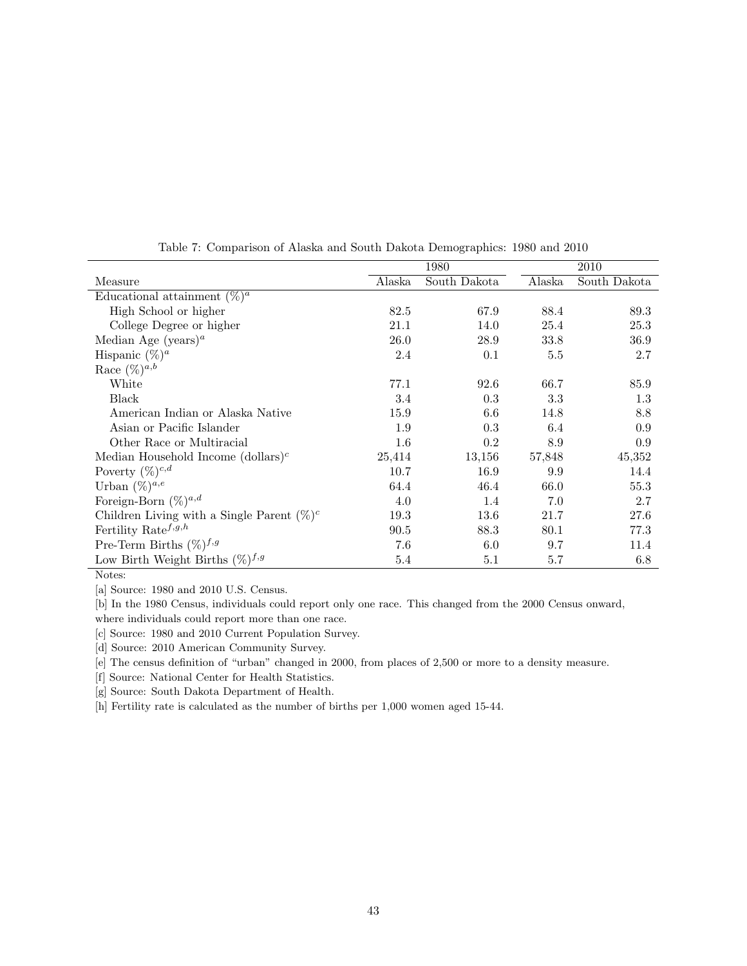|                                               | 1980    |              |        | 2010         |  |
|-----------------------------------------------|---------|--------------|--------|--------------|--|
| Measure                                       | Alaska  | South Dakota | Alaska | South Dakota |  |
| Educational attainment $(\%)^a$               |         |              |        |              |  |
| High School or higher                         | 82.5    | 67.9         | 88.4   | 89.3         |  |
| College Degree or higher                      | 21.1    | 14.0         | 25.4   | 25.3         |  |
| Median Age (years) <sup><i>a</i></sup>        | 26.0    | 28.9         | 33.8   | 36.9         |  |
| Hispanic $(\%)^a$                             | 2.4     | 0.1          | 5.5    | 2.7          |  |
| Race $(\%)^{a,b}$                             |         |              |        |              |  |
| White                                         | 77.1    | 92.6         | 66.7   | 85.9         |  |
| Black                                         | 3.4     | 0.3          | 3.3    | 1.3          |  |
| American Indian or Alaska Native              | 15.9    | 6.6          | 14.8   | 8.8          |  |
| Asian or Pacific Islander                     | 1.9     | 0.3          | 6.4    | 0.9          |  |
| Other Race or Multiracial                     | $1.6\,$ | 0.2          | 8.9    | 0.9          |  |
| Median Household Income $(dollars)c$          | 25,414  | 13,156       | 57,848 | 45,352       |  |
| Poverty $(\%)^{c,d}$                          | 10.7    | 16.9         | 9.9    | 14.4         |  |
| Urban $(\%)^{a,e}$                            | 64.4    | 46.4         | 66.0   | 55.3         |  |
| Foreign-Born $(\%)^{a,d}$                     | 4.0     | 1.4          | 7.0    | 2.7          |  |
| Children Living with a Single Parent $(\%)^c$ | 19.3    | 13.6         | 21.7   | 27.6         |  |
| Fertility Rate <sup><math>f,g,h</math></sup>  | 90.5    | 88.3         | 80.1   | 77.3         |  |
| Pre-Term Births $(\%)^{f,g}$                  | 7.6     | 6.0          | 9.7    | 11.4         |  |
| Low Birth Weight Births $(\%)^{f,g}$          | 5.4     | 5.1          | 5.7    | 6.8          |  |

Table 7: Comparison of Alaska and South Dakota Demographics: 1980 and 2010

[a] Source: 1980 and 2010 U.S. Census.

[b] In the 1980 Census, individuals could report only one race. This changed from the 2000 Census onward, where individuals could report more than one race.

[c] Source: 1980 and 2010 Current Population Survey.

[d] Source: 2010 American Community Survey.

[e] The census definition of "urban" changed in 2000, from places of 2,500 or more to a density measure.

[f] Source: National Center for Health Statistics.

[g] Source: South Dakota Department of Health.

[h] Fertility rate is calculated as the number of births per 1,000 women aged 15-44.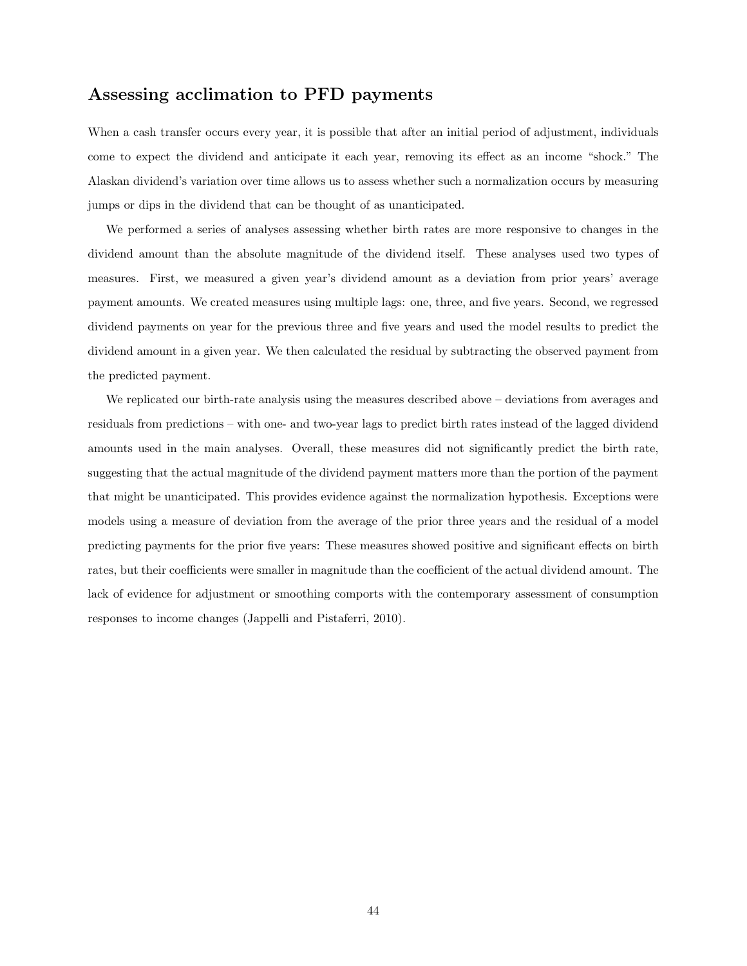# Assessing acclimation to PFD payments

When a cash transfer occurs every year, it is possible that after an initial period of adjustment, individuals come to expect the dividend and anticipate it each year, removing its effect as an income "shock." The Alaskan dividend's variation over time allows us to assess whether such a normalization occurs by measuring jumps or dips in the dividend that can be thought of as unanticipated.

We performed a series of analyses assessing whether birth rates are more responsive to changes in the dividend amount than the absolute magnitude of the dividend itself. These analyses used two types of measures. First, we measured a given year's dividend amount as a deviation from prior years' average payment amounts. We created measures using multiple lags: one, three, and five years. Second, we regressed dividend payments on year for the previous three and five years and used the model results to predict the dividend amount in a given year. We then calculated the residual by subtracting the observed payment from the predicted payment.

We replicated our birth-rate analysis using the measures described above – deviations from averages and residuals from predictions – with one- and two-year lags to predict birth rates instead of the lagged dividend amounts used in the main analyses. Overall, these measures did not significantly predict the birth rate, suggesting that the actual magnitude of the dividend payment matters more than the portion of the payment that might be unanticipated. This provides evidence against the normalization hypothesis. Exceptions were models using a measure of deviation from the average of the prior three years and the residual of a model predicting payments for the prior five years: These measures showed positive and significant effects on birth rates, but their coefficients were smaller in magnitude than the coefficient of the actual dividend amount. The lack of evidence for adjustment or smoothing comports with the contemporary assessment of consumption responses to income changes (Jappelli and Pistaferri, 2010).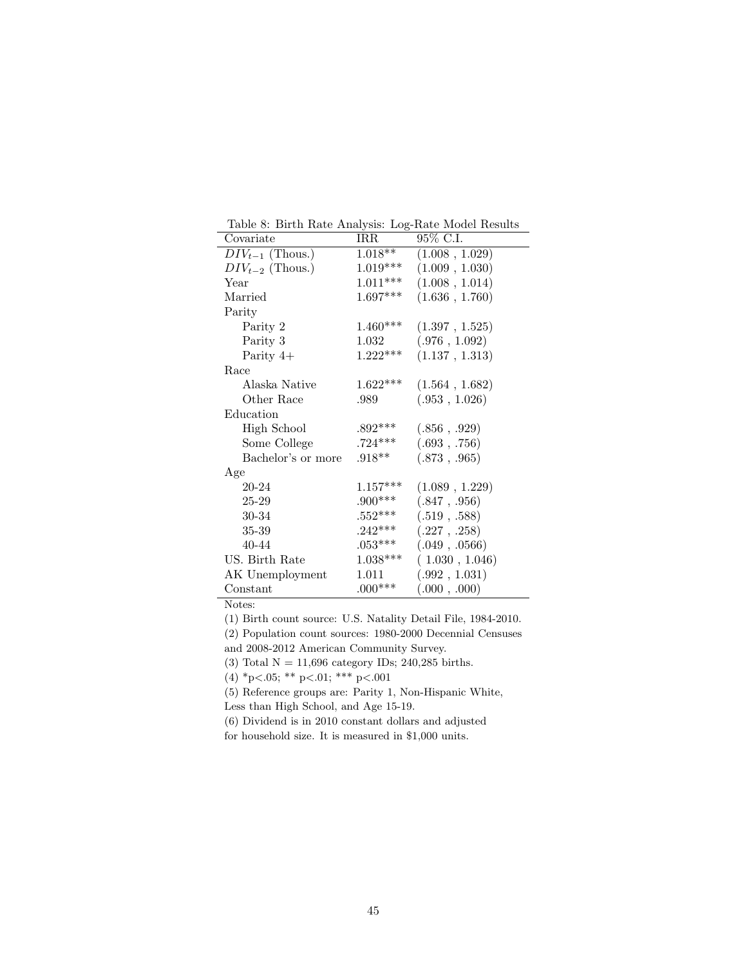| Covariate            | IRR        | 95% C.I.       |
|----------------------|------------|----------------|
| $DIV_{t-1}$ (Thous.) | $1.018**$  | (1.008, 1.029) |
| $DIV_{t-2}$ (Thous.) | $1.019***$ | (1.009, 1.030) |
| Year                 | $1.011***$ | (1.008, 1.014) |
| Married              | $1.697***$ | (1.636, 1.760) |
| Parity               |            |                |
| Parity 2             | $1.460***$ | (1.397, 1.525) |
| Parity 3             | 1.032      | (.976, 1.092)  |
| Parity $4+$          | $1.222***$ | (1.137, 1.313) |
| Race                 |            |                |
| Alaska Native        | $1.622***$ | (1.564, 1.682) |
| Other Race           | .989       | (.953, 1.026)  |
| Education            |            |                |
| <b>High School</b>   | $.892***$  | (.856, .929)   |
| Some College         | $.724***$  | (.693, .756)   |
| Bachelor's or more   | $.918**$   | (.873, .965)   |
| Age                  |            |                |
| 20-24                | $1.157***$ | (1.089, 1.229) |
| 25-29                | $.900***$  | (.847, .956)   |
| 30-34                | $.552***$  | (.519, .588)   |
| 35-39                | $.242***$  | (.227, .258)   |
| 40-44                | $.053***$  | (.049, .0566)  |
| US. Birth Rate       | $1.038***$ | (1.030, 1.046) |
| AK Unemployment      | 1.011      | (.992, 1.031)  |
| Constant             | $.000***$  | (.000, .000)   |

Table 8: Birth Rate Analysis: Log-Rate Model Results

(1) Birth count source: U.S. Natality Detail File, 1984-2010.

(2) Population count sources: 1980-2000 Decennial Censuses

and 2008-2012 American Community Survey.

(3) Total  $\mathcal{N}=11{,}696$  category IDs; 240,285 births.

(4) \*p<.05; \*\* p<.01; \*\*\* p<.001

(5) Reference groups are: Parity 1, Non-Hispanic White,

Less than High School, and Age 15-19.

(6) Dividend is in 2010 constant dollars and adjusted

for household size. It is measured in \$1,000 units.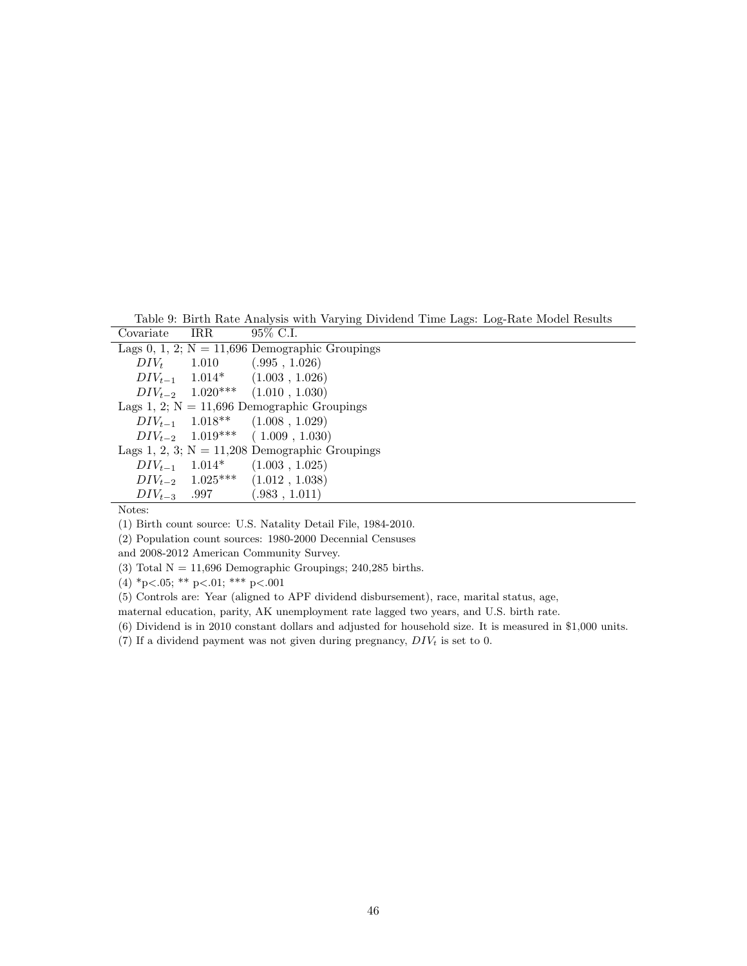Table 9: Birth Rate Analysis with Varying Dividend Time Lags: Log-Rate Model Results<br>wariate RB 95% C I  $\overline{\text{Covariate}}$ 

| <u>UU vultuu U</u> | .             |                                                  |
|--------------------|---------------|--------------------------------------------------|
|                    |               | Lags 0, 1, 2; $N = 11,696$ Demographic Groupings |
|                    | $DIV_t$ 1.010 | (.995, 1.026)                                    |
|                    |               | $DIV_{t-1}$ 1.014* (1.003, 1.026)                |
|                    |               | $DIV_{t-2}$ 1.020*** (1.010, 1.030)              |
|                    |               | Lags 1, 2; $N = 11,696$ Demographic Groupings    |
|                    |               | $DIV_{t-1}$ 1.018** (1.008, 1.029)               |
|                    |               | $DIV_{t-2}$ 1.019*** (1.009, 1.030)              |
|                    |               | Lags 1, 2, 3; $N = 11,208$ Demographic Groupings |
|                    |               | $DIV_{t-1}$ 1.014* (1.003, 1.025)                |
|                    |               | $DIV_{t-2}$ 1.025*** $(1.012, 1.038)$            |
|                    |               | $DIV_{t-3}$ .997 (.983, 1.011)                   |
|                    |               |                                                  |

(1) Birth count source: U.S. Natality Detail File, 1984-2010.

(2) Population count sources: 1980-2000 Decennial Censuses

and 2008-2012 American Community Survey.

(3) Total  $N = 11,696$  Demographic Groupings; 240,285 births.

(4) \*p<.05; \*\* p<.01; \*\*\* p<.001

(5) Controls are: Year (aligned to APF dividend disbursement), race, marital status, age,

maternal education, parity, AK unemployment rate lagged two years, and U.S. birth rate.

(6) Dividend is in 2010 constant dollars and adjusted for household size. It is measured in \$1,000 units.

(7) If a dividend payment was not given during pregnancy,  $DIV_t$  is set to 0.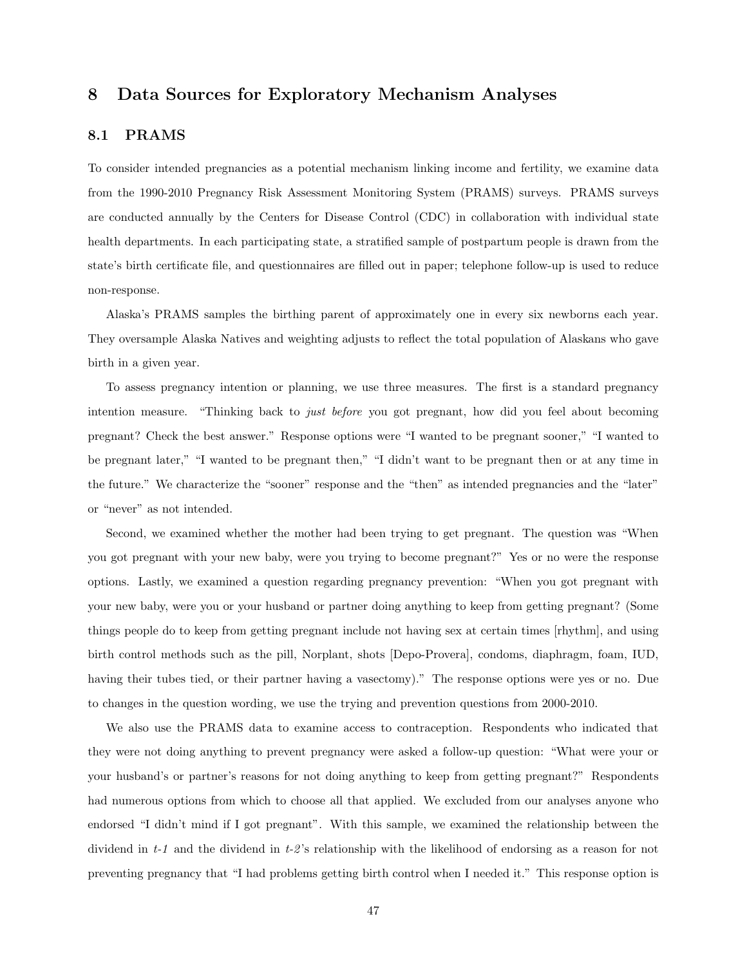# 8 Data Sources for Exploratory Mechanism Analyses

## 8.1 PRAMS

To consider intended pregnancies as a potential mechanism linking income and fertility, we examine data from the 1990-2010 Pregnancy Risk Assessment Monitoring System (PRAMS) surveys. PRAMS surveys are conducted annually by the Centers for Disease Control (CDC) in collaboration with individual state health departments. In each participating state, a stratified sample of postpartum people is drawn from the state's birth certificate file, and questionnaires are filled out in paper; telephone follow-up is used to reduce non-response.

Alaska's PRAMS samples the birthing parent of approximately one in every six newborns each year. They oversample Alaska Natives and weighting adjusts to reflect the total population of Alaskans who gave birth in a given year.

To assess pregnancy intention or planning, we use three measures. The first is a standard pregnancy intention measure. "Thinking back to *just before* you got pregnant, how did you feel about becoming pregnant? Check the best answer." Response options were "I wanted to be pregnant sooner," "I wanted to be pregnant later," "I wanted to be pregnant then," "I didn't want to be pregnant then or at any time in the future." We characterize the "sooner" response and the "then" as intended pregnancies and the "later" or "never" as not intended.

Second, we examined whether the mother had been trying to get pregnant. The question was "When you got pregnant with your new baby, were you trying to become pregnant?" Yes or no were the response options. Lastly, we examined a question regarding pregnancy prevention: "When you got pregnant with your new baby, were you or your husband or partner doing anything to keep from getting pregnant? (Some things people do to keep from getting pregnant include not having sex at certain times [rhythm], and using birth control methods such as the pill, Norplant, shots [Depo-Provera], condoms, diaphragm, foam, IUD, having their tubes tied, or their partner having a vasectomy)." The response options were yes or no. Due to changes in the question wording, we use the trying and prevention questions from 2000-2010.

We also use the PRAMS data to examine access to contraception. Respondents who indicated that they were not doing anything to prevent pregnancy were asked a follow-up question: "What were your or your husband's or partner's reasons for not doing anything to keep from getting pregnant?" Respondents had numerous options from which to choose all that applied. We excluded from our analyses anyone who endorsed "I didn't mind if I got pregnant". With this sample, we examined the relationship between the dividend in t-1 and the dividend in t-2 's relationship with the likelihood of endorsing as a reason for not preventing pregnancy that "I had problems getting birth control when I needed it." This response option is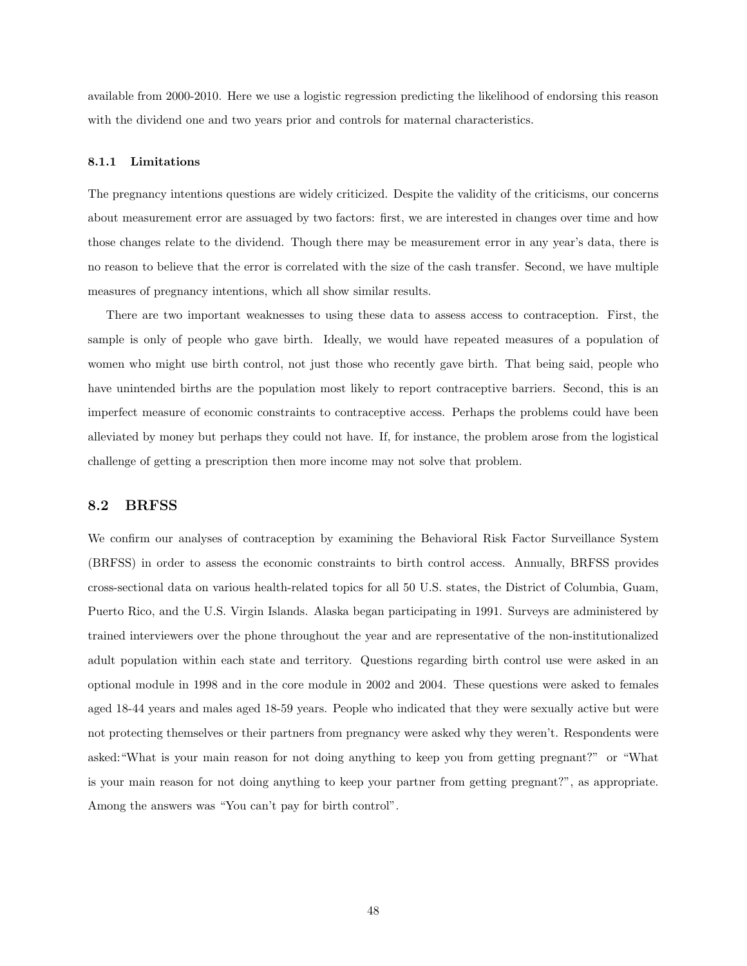available from 2000-2010. Here we use a logistic regression predicting the likelihood of endorsing this reason with the dividend one and two years prior and controls for maternal characteristics.

#### 8.1.1 Limitations

The pregnancy intentions questions are widely criticized. Despite the validity of the criticisms, our concerns about measurement error are assuaged by two factors: first, we are interested in changes over time and how those changes relate to the dividend. Though there may be measurement error in any year's data, there is no reason to believe that the error is correlated with the size of the cash transfer. Second, we have multiple measures of pregnancy intentions, which all show similar results.

There are two important weaknesses to using these data to assess access to contraception. First, the sample is only of people who gave birth. Ideally, we would have repeated measures of a population of women who might use birth control, not just those who recently gave birth. That being said, people who have unintended births are the population most likely to report contraceptive barriers. Second, this is an imperfect measure of economic constraints to contraceptive access. Perhaps the problems could have been alleviated by money but perhaps they could not have. If, for instance, the problem arose from the logistical challenge of getting a prescription then more income may not solve that problem.

### 8.2 BRFSS

We confirm our analyses of contraception by examining the Behavioral Risk Factor Surveillance System (BRFSS) in order to assess the economic constraints to birth control access. Annually, BRFSS provides cross-sectional data on various health-related topics for all 50 U.S. states, the District of Columbia, Guam, Puerto Rico, and the U.S. Virgin Islands. Alaska began participating in 1991. Surveys are administered by trained interviewers over the phone throughout the year and are representative of the non-institutionalized adult population within each state and territory. Questions regarding birth control use were asked in an optional module in 1998 and in the core module in 2002 and 2004. These questions were asked to females aged 18-44 years and males aged 18-59 years. People who indicated that they were sexually active but were not protecting themselves or their partners from pregnancy were asked why they weren't. Respondents were asked:"What is your main reason for not doing anything to keep you from getting pregnant?" or "What is your main reason for not doing anything to keep your partner from getting pregnant?", as appropriate. Among the answers was "You can't pay for birth control".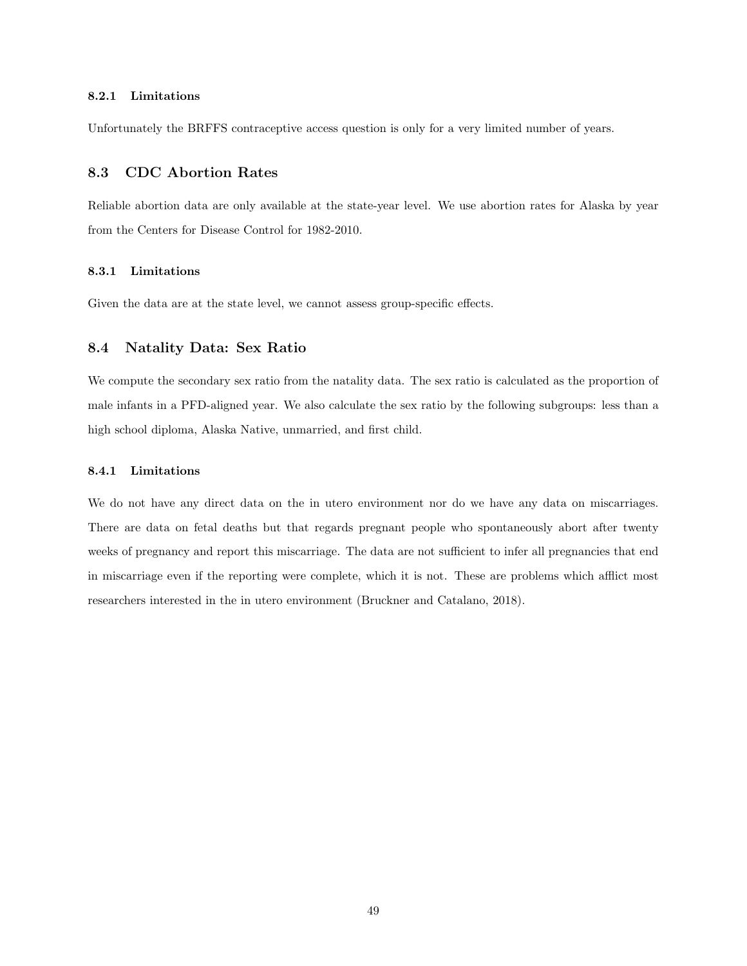#### 8.2.1 Limitations

Unfortunately the BRFFS contraceptive access question is only for a very limited number of years.

## 8.3 CDC Abortion Rates

Reliable abortion data are only available at the state-year level. We use abortion rates for Alaska by year from the Centers for Disease Control for 1982-2010.

#### 8.3.1 Limitations

Given the data are at the state level, we cannot assess group-specific effects.

## 8.4 Natality Data: Sex Ratio

We compute the secondary sex ratio from the natality data. The sex ratio is calculated as the proportion of male infants in a PFD-aligned year. We also calculate the sex ratio by the following subgroups: less than a high school diploma, Alaska Native, unmarried, and first child.

## 8.4.1 Limitations

We do not have any direct data on the in utero environment nor do we have any data on miscarriages. There are data on fetal deaths but that regards pregnant people who spontaneously abort after twenty weeks of pregnancy and report this miscarriage. The data are not sufficient to infer all pregnancies that end in miscarriage even if the reporting were complete, which it is not. These are problems which afflict most researchers interested in the in utero environment (Bruckner and Catalano, 2018).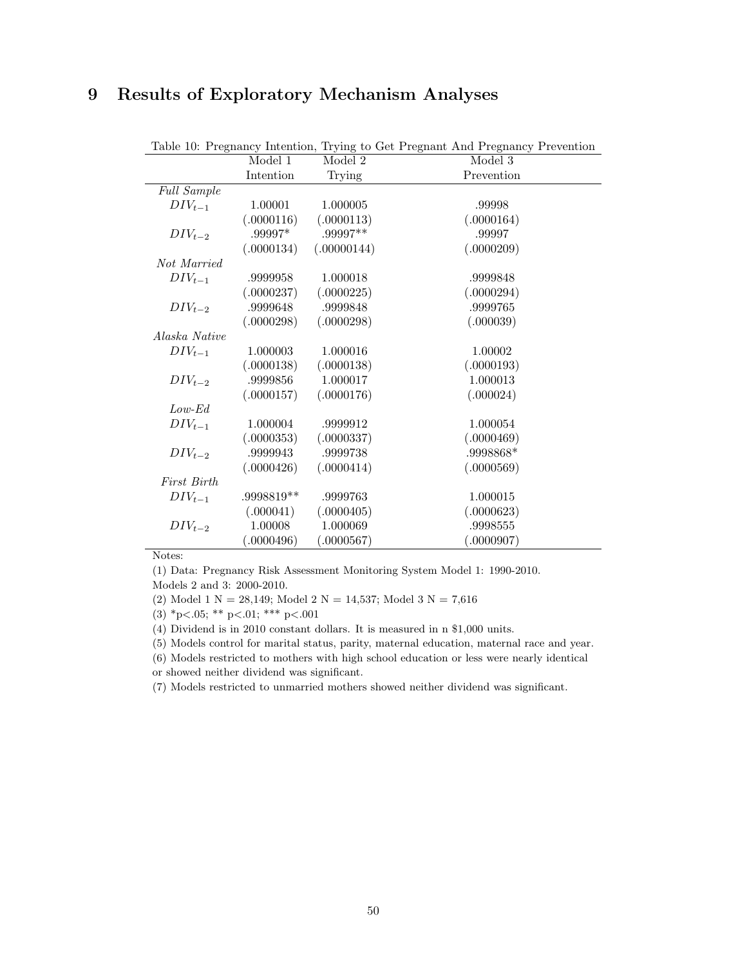# 9 Results of Exploratory Mechanism Analyses

|                    |            |             | Table 10: Pregnancy Intention, Trying to Get Pregnant And Pregnancy Prevention |
|--------------------|------------|-------------|--------------------------------------------------------------------------------|
|                    | Model 1    | Model 2     | Model 3                                                                        |
|                    | Intention  | Trying      | Prevention                                                                     |
| <b>Full Sample</b> |            |             |                                                                                |
| $DIV_{t-1}$        | 1.00001    | 1.000005    | .99998                                                                         |
|                    | (.0000116) | (.0000113)  | (.0000164)                                                                     |
| $DIV_{t-2}$        | .99997*    | .99997**    | .99997                                                                         |
|                    | (.0000134) | (.00000144) | (.0000209)                                                                     |
| Not Married        |            |             |                                                                                |
| $DIV_{t-1}$        | .9999958   | 1.000018    | .9999848                                                                       |
|                    | (.0000237) | (.0000225)  | (.0000294)                                                                     |
| $DIV_{t-2}$        | .9999648   | .9999848    | .9999765                                                                       |
|                    | (.0000298) | (.0000298)  | (.000039)                                                                      |
| Alaska Native      |            |             |                                                                                |
| $DIV_{t-1}$        | 1.000003   | 1.000016    | 1.00002                                                                        |
|                    | (.0000138) | (.0000138)  | (.0000193)                                                                     |
| $DIV_{t-2}$        | .9999856   | 1.000017    | 1.000013                                                                       |
|                    | (.0000157) | (.0000176)  | (.000024)                                                                      |
| $Low$ - $Ed$       |            |             |                                                                                |
| $DIV_{t-1}$        | 1.000004   | .9999912    | 1.000054                                                                       |
|                    | (.0000353) | (.0000337)  | (.0000469)                                                                     |
| $DIV_{t-2}$        | .9999943   | .9999738    | .9998868*                                                                      |
|                    | (.0000426) | (.0000414)  | (.0000569)                                                                     |
| First Birth        |            |             |                                                                                |
| $DIV_{t-1}$        | .9998819** | .9999763    | 1.000015                                                                       |
|                    | (.000041)  | (.0000405)  | (.0000623)                                                                     |
| $DIV_{t-2}$        | 1.00008    | 1.000069    | .9998555                                                                       |
|                    | (.0000496) | (.0000567)  | (.0000907)                                                                     |

Table 10: Pregnancy Intention, Trying to Get Pregnant And Pregnancy Prevention

Notes:

(1) Data: Pregnancy Risk Assessment Monitoring System Model 1: 1990-2010.

Models 2 and 3: 2000-2010.

(2) Model 1 N = 28,149; Model 2 N = 14,537; Model 3 N = 7,616

(3) \*p<.05; \*\* p<.01; \*\*\* p<.001

(4) Dividend is in 2010 constant dollars. It is measured in n \$1,000 units.

(5) Models control for marital status, parity, maternal education, maternal race and year.

(6) Models restricted to mothers with high school education or less were nearly identical or showed neither dividend was significant.

(7) Models restricted to unmarried mothers showed neither dividend was significant.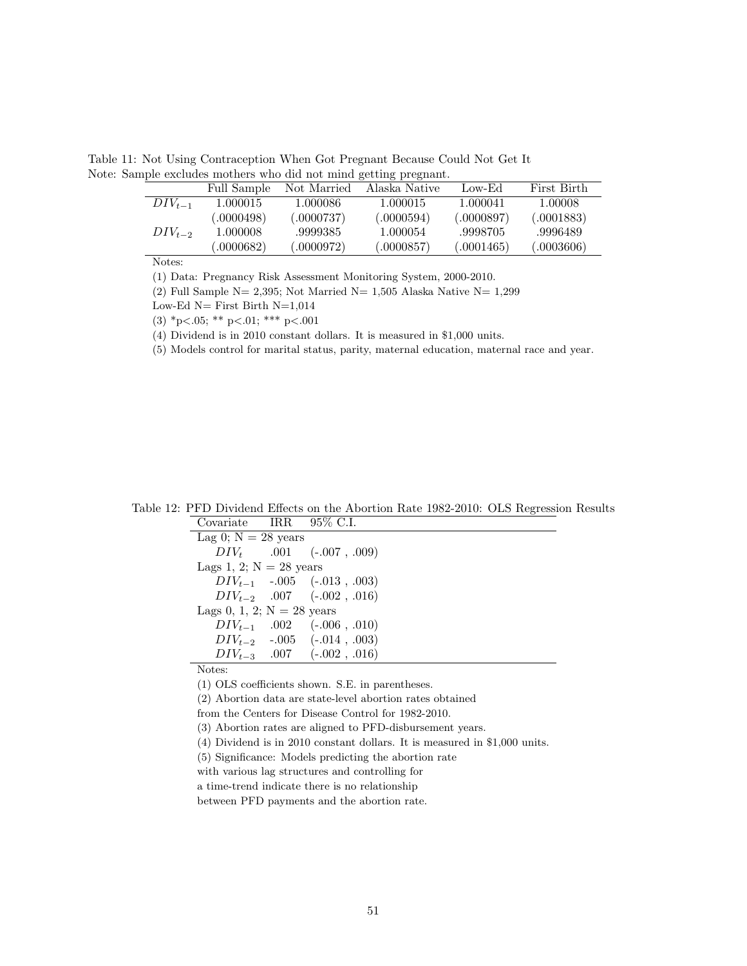Table 11: Not Using Contraception When Got Pregnant Because Could Not Get It Note: Sample excludes mothers who did not mind getting pregnant.

|             | Full Sample | Not Married | Alaska Native | Low-Ed     | First Birth |
|-------------|-------------|-------------|---------------|------------|-------------|
| $DIV_{t-1}$ | 1.000015    | 1.000086    | 1.000015      | 1.000041   | 1.00008     |
|             | (.0000498)  | (.0000737)  | (.0000594)    | (.0000897) | (.0001883)  |
| $DIV_{t-2}$ | 1.000008    | .9999385    | 1.000054      | .9998705   | .9996489    |
|             | (.0000682)  | (.0000972)  | (.0000857)    | (.0001465) | (.0003606)  |
|             |             |             |               |            |             |

(1) Data: Pregnancy Risk Assessment Monitoring System, 2000-2010.

(2) Full Sample N= 2,395; Not Married N= 1,505 Alaska Native N=  $1,299$ 

Low-Ed  $N=$  First Birth  $N=1,014$ 

(3)  ${}^*p<.05;$  \*\*  $p<.01;$  \*\*\*  $p<.001$ 

(4) Dividend is in 2010 constant dollars. It is measured in \$1,000 units.

(5) Models control for marital status, parity, maternal education, maternal race and year.

Table 12: PFD Dividend Effects on the Abortion Rate 1982-2010: OLS Regression Results

| Covariate IRR $95\%$ C.I.    |                                 |
|------------------------------|---------------------------------|
| Lag 0; $N = 28$ years        |                                 |
|                              | $DIV_t$ .001 (-.007, .009)      |
| Lags 1, 2; $N = 28$ years    |                                 |
|                              | $DIV_{t-1}$ -.005 (-.013, .003) |
|                              | $DIV_{t-2}$ .007 (-.002, .016)  |
| Lags 0, 1, 2; $N = 28$ years |                                 |
|                              | $DIV_{t-1}$ .002 (-.006, .010)  |
|                              | $DIV_{t-2}$ -.005 (-.014, .003) |
|                              | $DIV_{t-3}$ .007 (-.002, .016)  |

Notes:

(1) OLS coefficients shown. S.E. in parentheses.

(2) Abortion data are state-level abortion rates obtained

from the Centers for Disease Control for 1982-2010.

(3) Abortion rates are aligned to PFD-disbursement years.

(4) Dividend is in 2010 constant dollars. It is measured in \$1,000 units.

(5) Significance: Models predicting the abortion rate

with various lag structures and controlling for

a time-trend indicate there is no relationship

between PFD payments and the abortion rate.